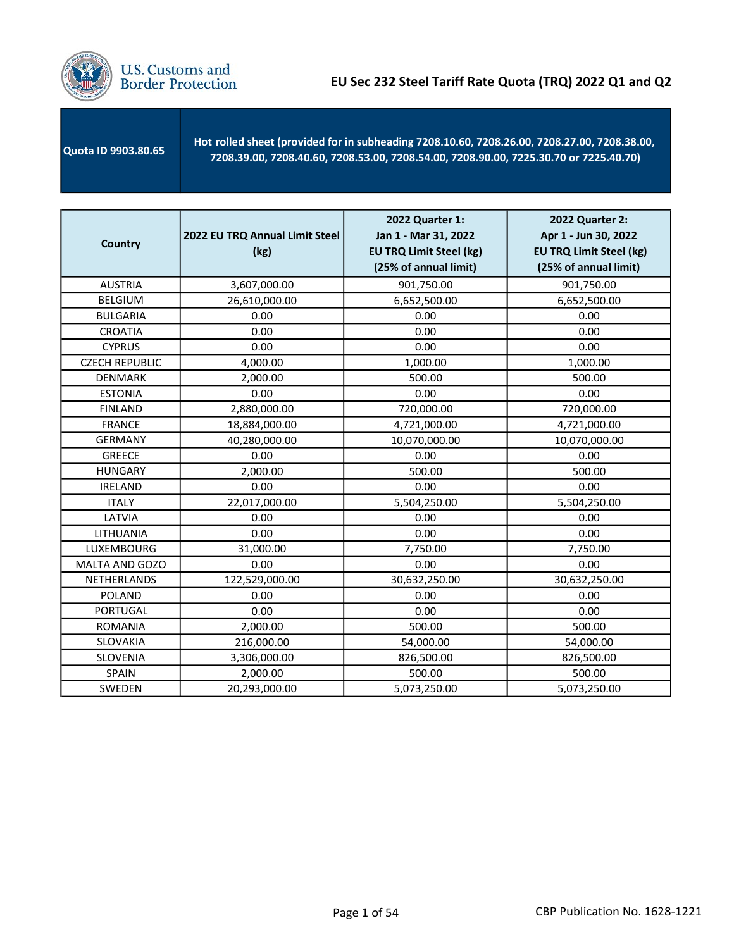

 Quota ID 9903.80.65 - Hot rolled sheet (provided for in subheading 7208.10.60, 7208.26.00, 7208.27.00, 7208.38.00, 7208.39.00, 7208.40.60, 7208.53.00, 7208.54.00, 7208.90.00, 7225.30.70 or 7225.40.70)

| <b>Country</b>        | 2022 EU TRQ Annual Limit Steel<br>(kg) | 2022 Quarter 1:<br>Jan 1 - Mar 31, 2022<br><b>EU TRQ Limit Steel (kg)</b><br>(25% of annual limit) | 2022 Quarter 2:<br>Apr 1 - Jun 30, 2022<br><b>EU TRQ Limit Steel (kg)</b><br>(25% of annual limit) |
|-----------------------|----------------------------------------|----------------------------------------------------------------------------------------------------|----------------------------------------------------------------------------------------------------|
| <b>AUSTRIA</b>        | 3,607,000.00                           | 901,750.00                                                                                         | 901,750.00                                                                                         |
| <b>BELGIUM</b>        | 26,610,000.00                          | 6,652,500.00                                                                                       | 6,652,500.00                                                                                       |
| <b>BULGARIA</b>       | 0.00                                   | 0.00                                                                                               | 0.00                                                                                               |
| <b>CROATIA</b>        | 0.00                                   | 0.00                                                                                               | 0.00                                                                                               |
| <b>CYPRUS</b>         | 0.00                                   | 0.00                                                                                               | 0.00                                                                                               |
| <b>CZECH REPUBLIC</b> | 4,000.00                               | 1,000.00                                                                                           | 1,000.00                                                                                           |
| <b>DENMARK</b>        | 2,000.00                               | 500.00                                                                                             | 500.00                                                                                             |
| <b>ESTONIA</b>        | 0.00                                   | 0.00                                                                                               | 0.00                                                                                               |
| <b>FINLAND</b>        | 2,880,000.00                           | 720,000.00                                                                                         | 720,000.00                                                                                         |
| <b>FRANCE</b>         | 18,884,000.00                          | 4,721,000.00                                                                                       | 4,721,000.00                                                                                       |
| <b>GERMANY</b>        | 40,280,000.00                          | 10,070,000.00                                                                                      | 10,070,000.00                                                                                      |
| <b>GREECE</b>         | 0.00                                   | 0.00                                                                                               | 0.00                                                                                               |
| <b>HUNGARY</b>        | 2,000.00                               | 500.00                                                                                             | 500.00                                                                                             |
| <b>IRELAND</b>        | 0.00                                   | 0.00                                                                                               | 0.00                                                                                               |
| <b>ITALY</b>          | 22,017,000.00                          | 5,504,250.00                                                                                       | 5,504,250.00                                                                                       |
| LATVIA                | 0.00                                   | 0.00                                                                                               | 0.00                                                                                               |
| LITHUANIA             | 0.00                                   | 0.00                                                                                               | 0.00                                                                                               |
| LUXEMBOURG            | 31,000.00                              | 7,750.00                                                                                           | 7,750.00                                                                                           |
| MALTA AND GOZO        | 0.00                                   | 0.00                                                                                               | 0.00                                                                                               |
| NETHERLANDS           | 122,529,000.00                         | 30,632,250.00                                                                                      | 30,632,250.00                                                                                      |
| <b>POLAND</b>         | 0.00                                   | 0.00                                                                                               | 0.00                                                                                               |
| <b>PORTUGAL</b>       | 0.00                                   | 0.00                                                                                               | 0.00                                                                                               |
| <b>ROMANIA</b>        | 2,000.00                               | 500.00                                                                                             | 500.00                                                                                             |
| <b>SLOVAKIA</b>       | 216,000.00                             | 54,000.00                                                                                          | 54,000.00                                                                                          |
| SLOVENIA              | 3,306,000.00                           | 826,500.00                                                                                         | 826,500.00                                                                                         |
| SPAIN                 | 2,000.00                               | 500.00                                                                                             | 500.00                                                                                             |
| SWEDEN                | 20,293,000.00                          | 5,073,250.00                                                                                       | 5,073,250.00                                                                                       |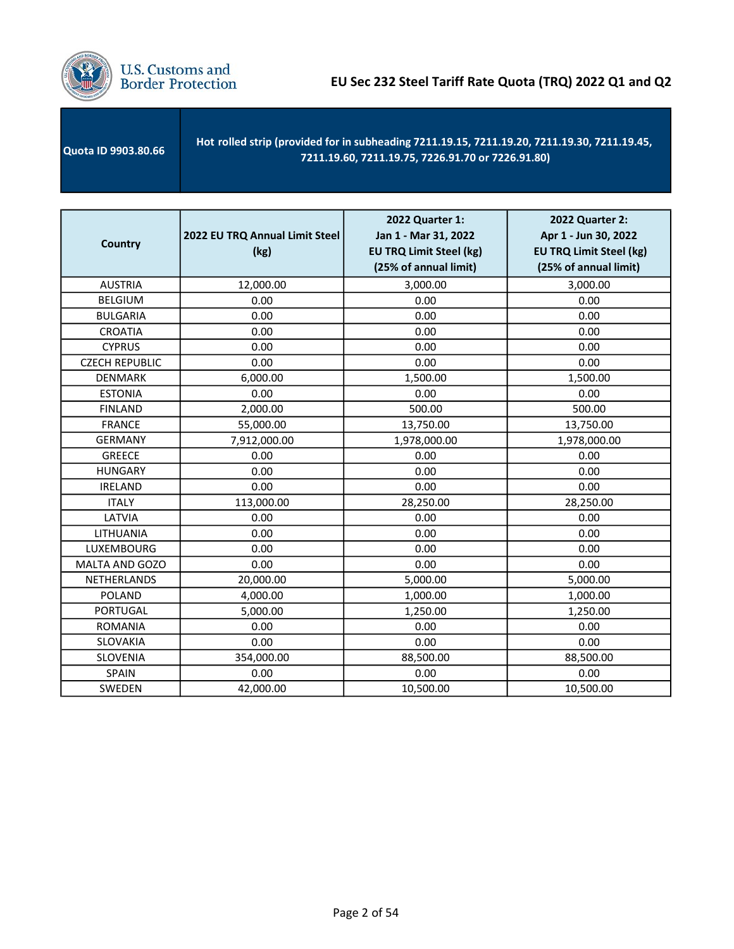

| <b>Quota ID 9903.80.66</b> | Hot rolled strip (provided for in subheading 7211.19.15, 7211.19.20, 7211.19.30, 7211.19.45,<br>7211.19.60, 7211.19.75, 7226.91.70 or 7226.91.80) |
|----------------------------|---------------------------------------------------------------------------------------------------------------------------------------------------|
|                            |                                                                                                                                                   |

| <b>Country</b>        | 2022 EU TRQ Annual Limit Steel<br>(kg) | 2022 Quarter 1:<br>Jan 1 - Mar 31, 2022<br><b>EU TRQ Limit Steel (kg)</b><br>(25% of annual limit) | 2022 Quarter 2:<br>Apr 1 - Jun 30, 2022<br><b>EU TRQ Limit Steel (kg)</b><br>(25% of annual limit) |
|-----------------------|----------------------------------------|----------------------------------------------------------------------------------------------------|----------------------------------------------------------------------------------------------------|
| <b>AUSTRIA</b>        | 12,000.00                              | 3,000.00                                                                                           | 3,000.00                                                                                           |
| <b>BELGIUM</b>        | 0.00                                   | 0.00                                                                                               | 0.00                                                                                               |
| <b>BULGARIA</b>       | 0.00                                   | 0.00                                                                                               | 0.00                                                                                               |
| <b>CROATIA</b>        | 0.00                                   | 0.00                                                                                               | 0.00                                                                                               |
| <b>CYPRUS</b>         | 0.00                                   | 0.00                                                                                               | 0.00                                                                                               |
| <b>CZECH REPUBLIC</b> | 0.00                                   | 0.00                                                                                               | 0.00                                                                                               |
| <b>DENMARK</b>        | 6,000.00                               | 1,500.00                                                                                           | 1,500.00                                                                                           |
| <b>ESTONIA</b>        | 0.00                                   | 0.00                                                                                               | 0.00                                                                                               |
| <b>FINLAND</b>        | 2,000.00                               | 500.00                                                                                             | 500.00                                                                                             |
| <b>FRANCE</b>         | 55,000.00                              | 13,750.00                                                                                          | 13,750.00                                                                                          |
| <b>GERMANY</b>        | 7,912,000.00                           | 1,978,000.00                                                                                       | 1,978,000.00                                                                                       |
| <b>GREECE</b>         | 0.00                                   | 0.00                                                                                               | 0.00                                                                                               |
| <b>HUNGARY</b>        | 0.00                                   | 0.00                                                                                               | 0.00                                                                                               |
| <b>IRELAND</b>        | 0.00                                   | 0.00                                                                                               | 0.00                                                                                               |
| <b>ITALY</b>          | 113,000.00                             | 28,250.00                                                                                          | 28,250.00                                                                                          |
| LATVIA                | 0.00                                   | 0.00                                                                                               | 0.00                                                                                               |
| LITHUANIA             | 0.00                                   | 0.00                                                                                               | 0.00                                                                                               |
| LUXEMBOURG            | 0.00                                   | 0.00                                                                                               | 0.00                                                                                               |
| MALTA AND GOZO        | 0.00                                   | 0.00                                                                                               | 0.00                                                                                               |
| NETHERLANDS           | 20,000.00                              | 5,000.00                                                                                           | 5,000.00                                                                                           |
| <b>POLAND</b>         | 4,000.00                               | 1,000.00                                                                                           | 1,000.00                                                                                           |
| <b>PORTUGAL</b>       | 5,000.00                               | 1,250.00                                                                                           | 1,250.00                                                                                           |
| <b>ROMANIA</b>        | 0.00                                   | 0.00                                                                                               | 0.00                                                                                               |
| <b>SLOVAKIA</b>       | 0.00                                   | 0.00                                                                                               | 0.00                                                                                               |
| SLOVENIA              | 354,000.00                             | 88,500.00                                                                                          | 88,500.00                                                                                          |
| SPAIN                 | 0.00                                   | 0.00                                                                                               | 0.00                                                                                               |
| SWEDEN                | 42,000.00                              | 10,500.00                                                                                          | 10,500.00                                                                                          |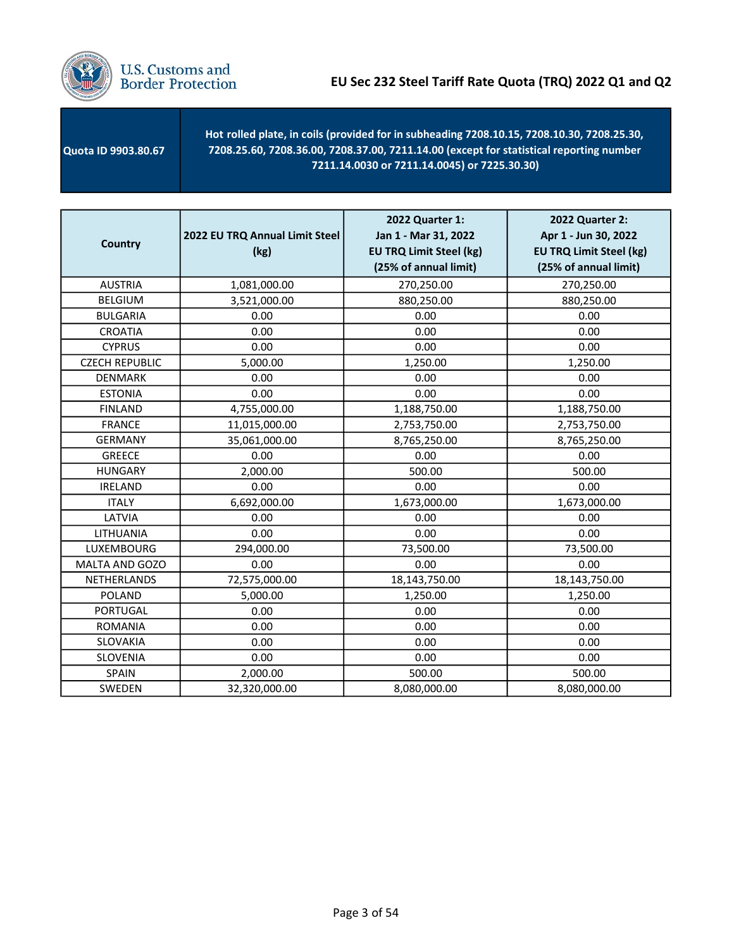

 Quota ID 9903.80.67 - Hot rolled plate, in coils (provided for in subheading 7208.10.15, 7208.10.30, 7208.25.30, 7208.25.60, 7208.36.00, 7208.37.00, 7211.14.00 (except for statistical reporting number 7211.14.0030 or 7211.14.0045) or 7225.30.30)

| <b>Country</b>        | 2022 EU TRQ Annual Limit Steel<br>(kg) | 2022 Quarter 1:<br>Jan 1 - Mar 31, 2022<br><b>EU TRQ Limit Steel (kg)</b><br>(25% of annual limit) | <b>2022 Quarter 2:</b><br>Apr 1 - Jun 30, 2022<br><b>EU TRQ Limit Steel (kg)</b><br>(25% of annual limit) |
|-----------------------|----------------------------------------|----------------------------------------------------------------------------------------------------|-----------------------------------------------------------------------------------------------------------|
| <b>AUSTRIA</b>        | 1,081,000.00                           | 270,250.00                                                                                         | 270,250.00                                                                                                |
| <b>BELGIUM</b>        | 3,521,000.00                           | 880,250.00                                                                                         | 880,250.00                                                                                                |
| <b>BULGARIA</b>       | 0.00                                   | 0.00                                                                                               | 0.00                                                                                                      |
| <b>CROATIA</b>        | 0.00                                   | 0.00                                                                                               | 0.00                                                                                                      |
| <b>CYPRUS</b>         | 0.00                                   | 0.00                                                                                               | 0.00                                                                                                      |
| <b>CZECH REPUBLIC</b> | 5,000.00                               | 1,250.00                                                                                           | 1,250.00                                                                                                  |
| <b>DENMARK</b>        | 0.00                                   | 0.00                                                                                               | 0.00                                                                                                      |
| <b>ESTONIA</b>        | 0.00                                   | 0.00                                                                                               | 0.00                                                                                                      |
| <b>FINLAND</b>        | 4,755,000.00                           | 1,188,750.00                                                                                       | 1,188,750.00                                                                                              |
| <b>FRANCE</b>         | 11,015,000.00                          | 2,753,750.00                                                                                       | 2,753,750.00                                                                                              |
| <b>GERMANY</b>        | 35,061,000.00                          | 8,765,250.00                                                                                       | 8,765,250.00                                                                                              |
| <b>GREECE</b>         | 0.00                                   | 0.00                                                                                               | 0.00                                                                                                      |
| <b>HUNGARY</b>        | 2,000.00                               | 500.00                                                                                             | 500.00                                                                                                    |
| <b>IRELAND</b>        | 0.00                                   | 0.00                                                                                               | 0.00                                                                                                      |
| <b>ITALY</b>          | 6,692,000.00                           | 1,673,000.00                                                                                       | 1,673,000.00                                                                                              |
| LATVIA                | 0.00                                   | 0.00                                                                                               | 0.00                                                                                                      |
| LITHUANIA             | 0.00                                   | 0.00                                                                                               | 0.00                                                                                                      |
| LUXEMBOURG            | 294,000.00                             | 73,500.00                                                                                          | 73,500.00                                                                                                 |
| MALTA AND GOZO        | 0.00                                   | 0.00                                                                                               | 0.00                                                                                                      |
| NETHERLANDS           | 72,575,000.00                          | 18,143,750.00                                                                                      | 18,143,750.00                                                                                             |
| <b>POLAND</b>         | 5,000.00                               | 1,250.00                                                                                           | 1,250.00                                                                                                  |
| <b>PORTUGAL</b>       | 0.00                                   | 0.00                                                                                               | 0.00                                                                                                      |
| <b>ROMANIA</b>        | 0.00                                   | 0.00                                                                                               | 0.00                                                                                                      |
| SLOVAKIA              | 0.00                                   | 0.00                                                                                               | 0.00                                                                                                      |
| SLOVENIA              | 0.00                                   | 0.00                                                                                               | 0.00                                                                                                      |
| <b>SPAIN</b>          | 2,000.00                               | 500.00                                                                                             | 500.00                                                                                                    |
| SWEDEN                | 32,320,000.00                          | 8,080,000.00                                                                                       | 8,080,000.00                                                                                              |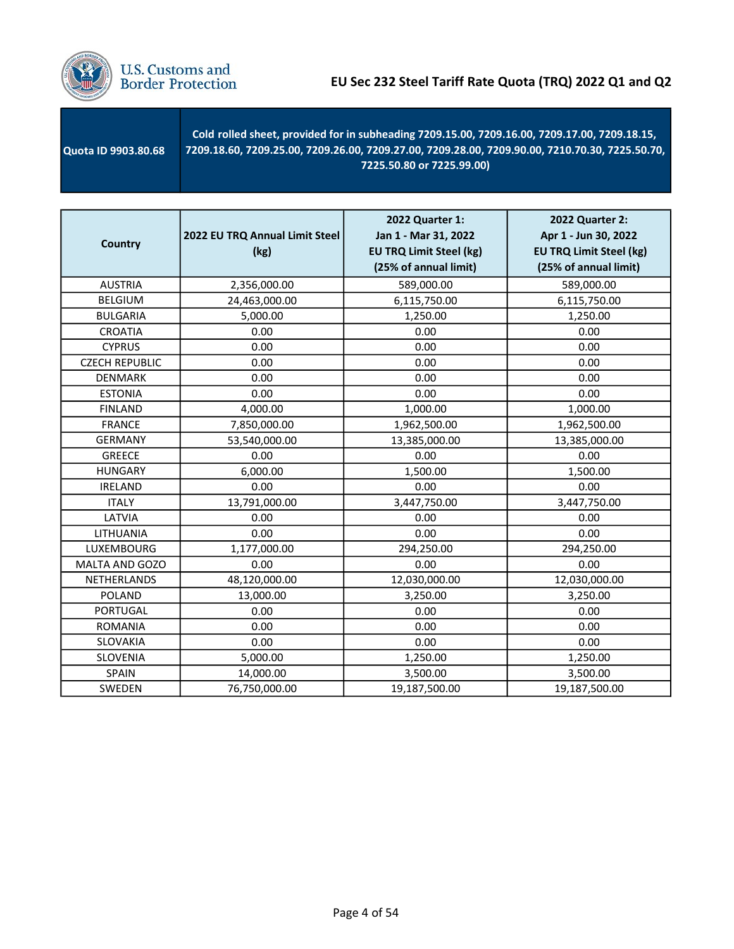

 Quota ID 9903.80.68 - Cold rolled sheet, provided for in subheading 7209.15.00, 7209.16.00, 7209.17.00, 7209.18.15, 7209.18.60, 7209.25.00, 7209.26.00, 7209.27.00, 7209.28.00, 7209.90.00, 7210.70.30, 7225.50.70, 7225.50.80 or 7225.99.00)

| <b>Country</b>        | 2022 EU TRQ Annual Limit Steel<br>(kg) | 2022 Quarter 1:<br>Jan 1 - Mar 31, 2022<br><b>EU TRQ Limit Steel (kg)</b><br>(25% of annual limit) | 2022 Quarter 2:<br>Apr 1 - Jun 30, 2022<br><b>EU TRQ Limit Steel (kg)</b><br>(25% of annual limit) |
|-----------------------|----------------------------------------|----------------------------------------------------------------------------------------------------|----------------------------------------------------------------------------------------------------|
| <b>AUSTRIA</b>        | 2,356,000.00                           | 589,000.00                                                                                         | 589,000.00                                                                                         |
| <b>BELGIUM</b>        | 24,463,000.00                          | 6,115,750.00                                                                                       | 6,115,750.00                                                                                       |
| <b>BULGARIA</b>       | 5,000.00                               | 1,250.00                                                                                           | 1,250.00                                                                                           |
| <b>CROATIA</b>        | 0.00                                   | 0.00                                                                                               | 0.00                                                                                               |
| <b>CYPRUS</b>         | 0.00                                   | 0.00                                                                                               | 0.00                                                                                               |
| <b>CZECH REPUBLIC</b> | 0.00                                   | 0.00                                                                                               | 0.00                                                                                               |
| <b>DENMARK</b>        | 0.00                                   | 0.00                                                                                               | 0.00                                                                                               |
| <b>ESTONIA</b>        | 0.00                                   | 0.00                                                                                               | 0.00                                                                                               |
| <b>FINLAND</b>        | 4,000.00                               | 1,000.00                                                                                           | 1,000.00                                                                                           |
| <b>FRANCE</b>         | 7,850,000.00                           | 1,962,500.00                                                                                       | 1,962,500.00                                                                                       |
| <b>GERMANY</b>        | 53,540,000.00                          | 13,385,000.00                                                                                      | 13,385,000.00                                                                                      |
| <b>GREECE</b>         | 0.00                                   | 0.00                                                                                               | 0.00                                                                                               |
| <b>HUNGARY</b>        | 6,000.00                               | 1,500.00                                                                                           | 1,500.00                                                                                           |
| <b>IRELAND</b>        | 0.00                                   | 0.00                                                                                               | 0.00                                                                                               |
| <b>ITALY</b>          | 13,791,000.00                          | 3,447,750.00                                                                                       | 3,447,750.00                                                                                       |
| LATVIA                | 0.00                                   | 0.00                                                                                               | 0.00                                                                                               |
| LITHUANIA             | 0.00                                   | 0.00                                                                                               | 0.00                                                                                               |
| LUXEMBOURG            | 1,177,000.00                           | 294,250.00                                                                                         | 294,250.00                                                                                         |
| MALTA AND GOZO        | 0.00                                   | 0.00                                                                                               | 0.00                                                                                               |
| <b>NETHERLANDS</b>    | 48,120,000.00                          | 12,030,000.00                                                                                      | 12,030,000.00                                                                                      |
| POLAND                | 13,000.00                              | 3,250.00                                                                                           | 3,250.00                                                                                           |
| <b>PORTUGAL</b>       | 0.00                                   | 0.00                                                                                               | 0.00                                                                                               |
| <b>ROMANIA</b>        | 0.00                                   | 0.00                                                                                               | 0.00                                                                                               |
| <b>SLOVAKIA</b>       | 0.00                                   | 0.00                                                                                               | 0.00                                                                                               |
| SLOVENIA              | 5,000.00                               | 1,250.00                                                                                           | 1,250.00                                                                                           |
| SPAIN                 | 14,000.00                              | 3,500.00                                                                                           | 3,500.00                                                                                           |
| SWEDEN                | 76,750,000.00                          | 19,187,500.00                                                                                      | 19,187,500.00                                                                                      |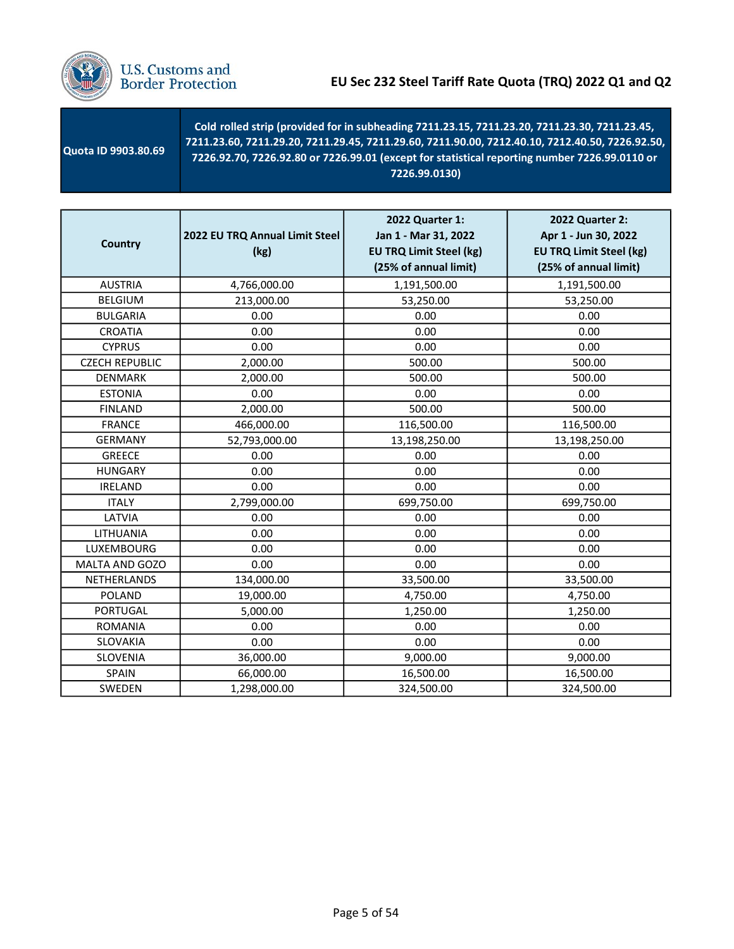

| <b>Country</b>        | 2022 EU TRQ Annual Limit Steel<br>(kg) | 2022 Quarter 1:<br>Jan 1 - Mar 31, 2022<br><b>EU TRQ Limit Steel (kg)</b><br>(25% of annual limit) | 2022 Quarter 2:<br>Apr 1 - Jun 30, 2022<br><b>EU TRQ Limit Steel (kg)</b><br>(25% of annual limit) |
|-----------------------|----------------------------------------|----------------------------------------------------------------------------------------------------|----------------------------------------------------------------------------------------------------|
| <b>AUSTRIA</b>        | 4,766,000.00                           | 1,191,500.00                                                                                       | 1,191,500.00                                                                                       |
| <b>BELGIUM</b>        | 213,000.00                             | 53,250.00                                                                                          | 53,250.00                                                                                          |
| <b>BULGARIA</b>       | 0.00                                   | 0.00                                                                                               | 0.00                                                                                               |
| <b>CROATIA</b>        | 0.00                                   | 0.00                                                                                               | 0.00                                                                                               |
| <b>CYPRUS</b>         | 0.00                                   | 0.00                                                                                               | 0.00                                                                                               |
| <b>CZECH REPUBLIC</b> | 2,000.00                               | 500.00                                                                                             | 500.00                                                                                             |
| <b>DENMARK</b>        | 2,000.00                               | 500.00                                                                                             | 500.00                                                                                             |
| <b>ESTONIA</b>        | 0.00                                   | 0.00                                                                                               | 0.00                                                                                               |
| <b>FINLAND</b>        | 2,000.00                               | 500.00                                                                                             | 500.00                                                                                             |
| <b>FRANCE</b>         | 466,000.00                             | 116,500.00                                                                                         | 116,500.00                                                                                         |
| <b>GERMANY</b>        | 52,793,000.00                          | 13,198,250.00                                                                                      | 13,198,250.00                                                                                      |
| <b>GREECE</b>         | 0.00                                   | 0.00                                                                                               | 0.00                                                                                               |
| <b>HUNGARY</b>        | 0.00                                   | 0.00                                                                                               | 0.00                                                                                               |
| <b>IRELAND</b>        | 0.00                                   | 0.00                                                                                               | 0.00                                                                                               |
| <b>ITALY</b>          | 2,799,000.00                           | 699,750.00                                                                                         | 699,750.00                                                                                         |
| LATVIA                | 0.00                                   | 0.00                                                                                               | 0.00                                                                                               |
| LITHUANIA             | 0.00                                   | 0.00                                                                                               | 0.00                                                                                               |
| <b>LUXEMBOURG</b>     | 0.00                                   | 0.00                                                                                               | 0.00                                                                                               |
| MALTA AND GOZO        | 0.00                                   | 0.00                                                                                               | 0.00                                                                                               |
| NETHERLANDS           | 134,000.00                             | 33,500.00                                                                                          | 33,500.00                                                                                          |
| <b>POLAND</b>         | 19,000.00                              | 4,750.00                                                                                           | 4,750.00                                                                                           |
| <b>PORTUGAL</b>       | 5,000.00                               | 1,250.00                                                                                           | 1,250.00                                                                                           |
| <b>ROMANIA</b>        | 0.00                                   | 0.00                                                                                               | 0.00                                                                                               |
| SLOVAKIA              | 0.00                                   | 0.00                                                                                               | 0.00                                                                                               |
| SLOVENIA              | 36,000.00                              | 9,000.00                                                                                           | 9,000.00                                                                                           |
| SPAIN                 | 66,000.00                              | 16,500.00                                                                                          | 16,500.00                                                                                          |
| SWEDEN                | 1,298,000.00                           | 324,500.00                                                                                         | 324,500.00                                                                                         |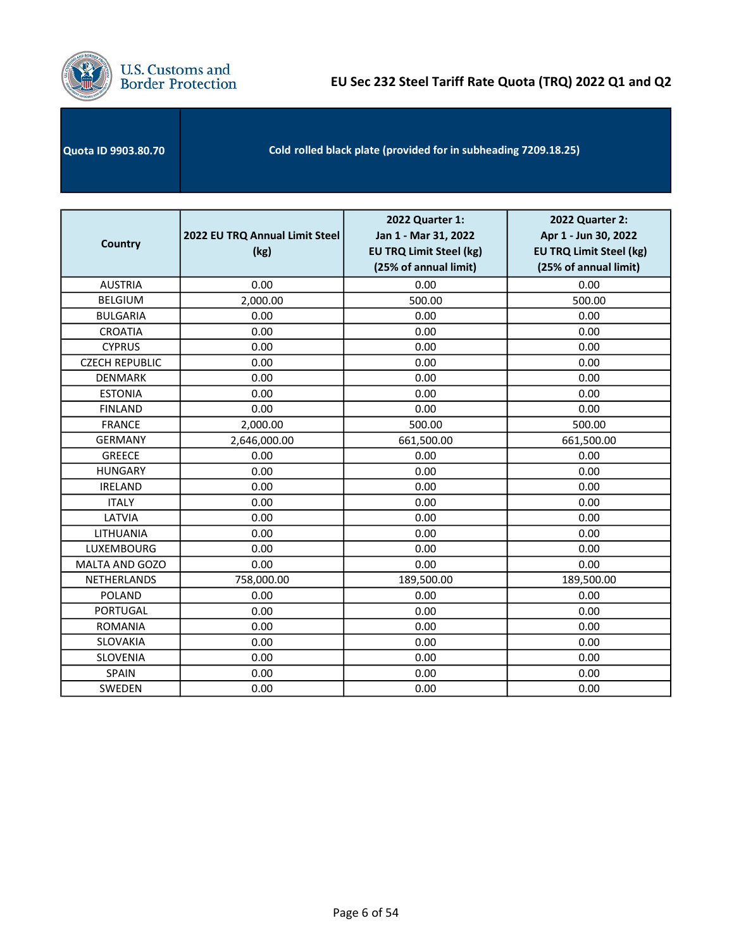

# **U.S. Customs and<br>Border Protection**

| <b>Quota ID 9903.80.70</b> | Cold rolled black plate (provided for in subheading 7209.18.25) |
|----------------------------|-----------------------------------------------------------------|
|----------------------------|-----------------------------------------------------------------|

| <b>Country</b>        | 2022 EU TRQ Annual Limit Steel<br>(kg) | 2022 Quarter 1:<br>Jan 1 - Mar 31, 2022<br><b>EU TRQ Limit Steel (kg)</b><br>(25% of annual limit) | 2022 Quarter 2:<br>Apr 1 - Jun 30, 2022<br><b>EU TRQ Limit Steel (kg)</b><br>(25% of annual limit) |
|-----------------------|----------------------------------------|----------------------------------------------------------------------------------------------------|----------------------------------------------------------------------------------------------------|
| <b>AUSTRIA</b>        | 0.00                                   | 0.00                                                                                               | 0.00                                                                                               |
| <b>BELGIUM</b>        | 2,000.00                               | 500.00                                                                                             | 500.00                                                                                             |
| <b>BULGARIA</b>       | 0.00                                   | 0.00                                                                                               | 0.00                                                                                               |
| <b>CROATIA</b>        | 0.00                                   | 0.00                                                                                               | 0.00                                                                                               |
| <b>CYPRUS</b>         | 0.00                                   | 0.00                                                                                               | 0.00                                                                                               |
| <b>CZECH REPUBLIC</b> | 0.00                                   | 0.00                                                                                               | 0.00                                                                                               |
| <b>DENMARK</b>        | 0.00                                   | 0.00                                                                                               | 0.00                                                                                               |
| <b>ESTONIA</b>        | 0.00                                   | 0.00                                                                                               | 0.00                                                                                               |
| <b>FINLAND</b>        | 0.00                                   | 0.00                                                                                               | 0.00                                                                                               |
| <b>FRANCE</b>         | 2,000.00                               | 500.00                                                                                             | 500.00                                                                                             |
| <b>GERMANY</b>        | 2,646,000.00                           | 661,500.00                                                                                         | 661,500.00                                                                                         |
| <b>GREECE</b>         | 0.00                                   | 0.00                                                                                               | 0.00                                                                                               |
| <b>HUNGARY</b>        | 0.00                                   | 0.00                                                                                               | 0.00                                                                                               |
| <b>IRELAND</b>        | 0.00                                   | 0.00                                                                                               | 0.00                                                                                               |
| <b>ITALY</b>          | 0.00                                   | 0.00                                                                                               | 0.00                                                                                               |
| LATVIA                | 0.00                                   | 0.00                                                                                               | 0.00                                                                                               |
| LITHUANIA             | 0.00                                   | 0.00                                                                                               | 0.00                                                                                               |
| LUXEMBOURG            | 0.00                                   | 0.00                                                                                               | 0.00                                                                                               |
| MALTA AND GOZO        | 0.00                                   | 0.00                                                                                               | 0.00                                                                                               |
| NETHERLANDS           | 758,000.00                             | 189,500.00                                                                                         | 189,500.00                                                                                         |
| <b>POLAND</b>         | 0.00                                   | 0.00                                                                                               | 0.00                                                                                               |
| <b>PORTUGAL</b>       | 0.00                                   | 0.00                                                                                               | 0.00                                                                                               |
| <b>ROMANIA</b>        | 0.00                                   | 0.00                                                                                               | 0.00                                                                                               |
| SLOVAKIA              | 0.00                                   | 0.00                                                                                               | 0.00                                                                                               |
| SLOVENIA              | 0.00                                   | 0.00                                                                                               | 0.00                                                                                               |
| <b>SPAIN</b>          | 0.00                                   | 0.00                                                                                               | 0.00                                                                                               |
| SWEDEN                | 0.00                                   | 0.00                                                                                               | 0.00                                                                                               |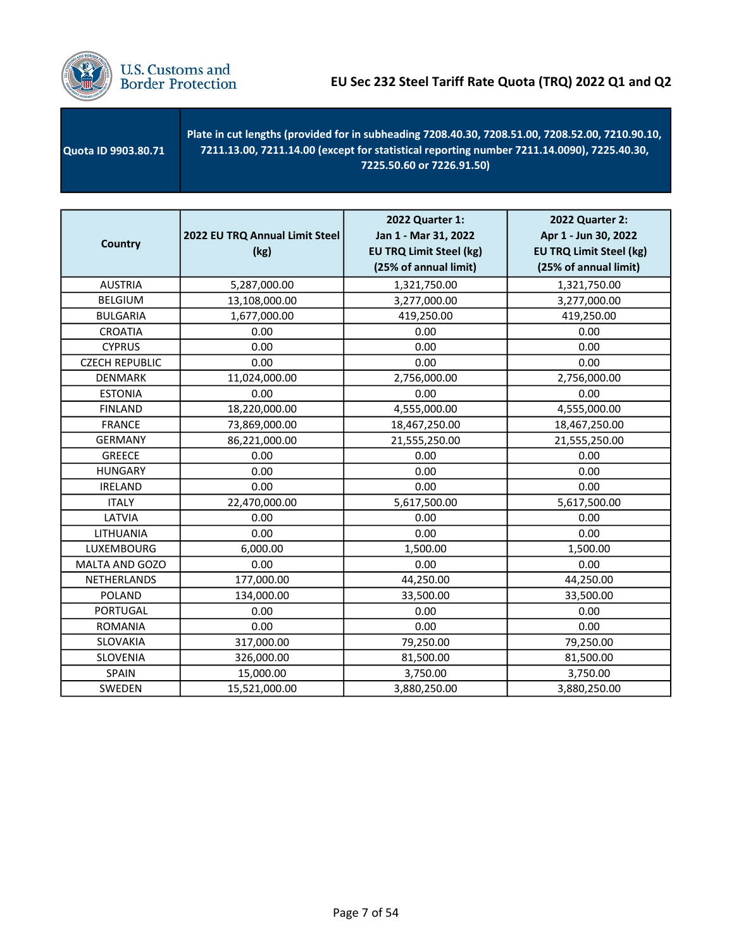

 Quota ID 9903.80.71 Plate in cut lengths (provided for in subheading 7208.40.30, 7208.51.00, 7208.52.00, 7210.90.10, 7211.13.00, 7211.14.00 (except for statistical reporting number 7211.14.0090), 7225.40.30, 7225.50.60 or 7226.91.50)

| <b>Country</b>        | 2022 EU TRQ Annual Limit Steel<br>(kg) | 2022 Quarter 1:<br>Jan 1 - Mar 31, 2022<br><b>EU TRQ Limit Steel (kg)</b><br>(25% of annual limit) | <b>2022 Quarter 2:</b><br>Apr 1 - Jun 30, 2022<br><b>EU TRQ Limit Steel (kg)</b><br>(25% of annual limit) |
|-----------------------|----------------------------------------|----------------------------------------------------------------------------------------------------|-----------------------------------------------------------------------------------------------------------|
| <b>AUSTRIA</b>        | 5,287,000.00                           | 1,321,750.00                                                                                       | 1,321,750.00                                                                                              |
| <b>BELGIUM</b>        | 13,108,000.00                          | 3,277,000.00                                                                                       | 3,277,000.00                                                                                              |
| <b>BULGARIA</b>       | 1,677,000.00                           | 419,250.00                                                                                         | 419,250.00                                                                                                |
| <b>CROATIA</b>        | 0.00                                   | 0.00                                                                                               | 0.00                                                                                                      |
| <b>CYPRUS</b>         | 0.00                                   | 0.00                                                                                               | 0.00                                                                                                      |
| <b>CZECH REPUBLIC</b> | 0.00                                   | 0.00                                                                                               | 0.00                                                                                                      |
| <b>DENMARK</b>        | 11,024,000.00                          | 2,756,000.00                                                                                       | 2,756,000.00                                                                                              |
| <b>ESTONIA</b>        | 0.00                                   | 0.00                                                                                               | 0.00                                                                                                      |
| <b>FINLAND</b>        | 18,220,000.00                          | 4,555,000.00                                                                                       | 4,555,000.00                                                                                              |
| <b>FRANCE</b>         | 73,869,000.00                          | 18,467,250.00                                                                                      | 18,467,250.00                                                                                             |
| <b>GERMANY</b>        | 86,221,000.00                          | 21,555,250.00                                                                                      | 21,555,250.00                                                                                             |
| <b>GREECE</b>         | 0.00                                   | 0.00                                                                                               | 0.00                                                                                                      |
| <b>HUNGARY</b>        | 0.00                                   | 0.00                                                                                               | 0.00                                                                                                      |
| <b>IRELAND</b>        | 0.00                                   | 0.00                                                                                               | 0.00                                                                                                      |
| <b>ITALY</b>          | 22,470,000.00                          | 5,617,500.00                                                                                       | 5,617,500.00                                                                                              |
| LATVIA                | 0.00                                   | 0.00                                                                                               | 0.00                                                                                                      |
| LITHUANIA             | 0.00                                   | 0.00                                                                                               | 0.00                                                                                                      |
| LUXEMBOURG            | 6,000.00                               | 1,500.00                                                                                           | 1,500.00                                                                                                  |
| MALTA AND GOZO        | 0.00                                   | 0.00                                                                                               | 0.00                                                                                                      |
| NETHERLANDS           | 177,000.00                             | 44,250.00                                                                                          | 44,250.00                                                                                                 |
| <b>POLAND</b>         | 134,000.00                             | 33,500.00                                                                                          | 33,500.00                                                                                                 |
| <b>PORTUGAL</b>       | 0.00                                   | 0.00                                                                                               | 0.00                                                                                                      |
| <b>ROMANIA</b>        | 0.00                                   | 0.00                                                                                               | 0.00                                                                                                      |
| SLOVAKIA              | 317,000.00                             | 79,250.00                                                                                          | 79,250.00                                                                                                 |
| SLOVENIA              | 326,000.00                             | 81,500.00                                                                                          | 81,500.00                                                                                                 |
| SPAIN                 | 15,000.00                              | 3,750.00                                                                                           | 3,750.00                                                                                                  |
| SWEDEN                | 15,521,000.00                          | 3,880,250.00                                                                                       | 3,880,250.00                                                                                              |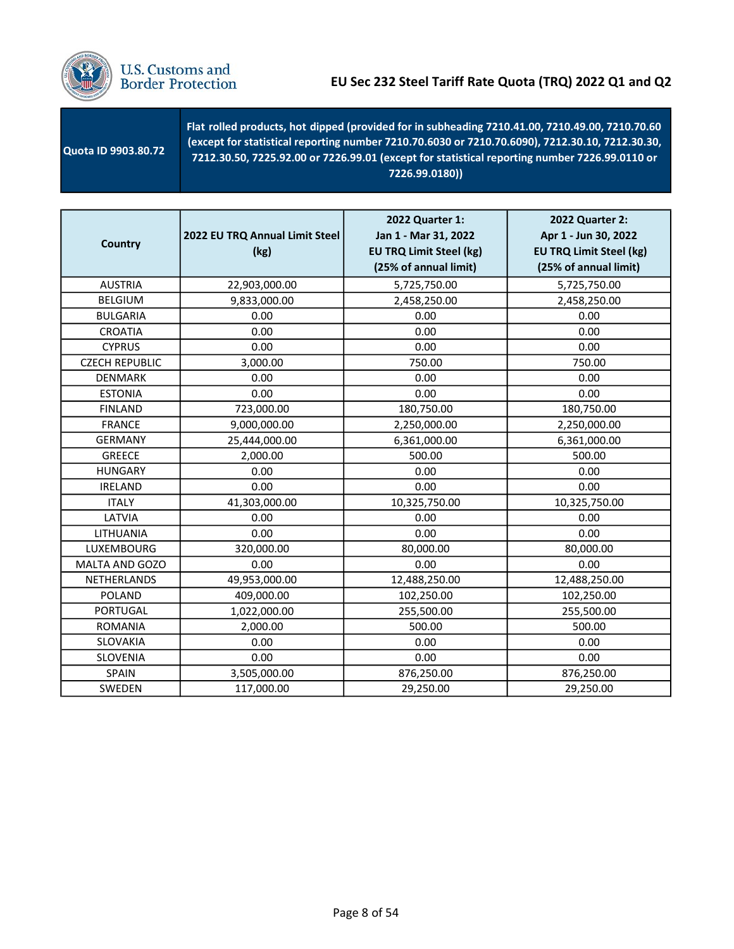

| <b>Quota ID 9903.80.72</b> | Flat rolled products, hot dipped (provided for in subheading 7210.41.00, 7210.49.00, 7210.70.60<br>(except for statistical reporting number 7210.70.6030 or 7210.70.6090), 7212.30.10, 7212.30.30,<br>7212.30.50, 7225.92.00 or 7226.99.01 (except for statistical reporting number 7226.99.0110 or<br>7226.99.0180)) |
|----------------------------|-----------------------------------------------------------------------------------------------------------------------------------------------------------------------------------------------------------------------------------------------------------------------------------------------------------------------|
|----------------------------|-----------------------------------------------------------------------------------------------------------------------------------------------------------------------------------------------------------------------------------------------------------------------------------------------------------------------|

| <b>Country</b>        | 2022 EU TRQ Annual Limit Steel<br>(kg) | 2022 Quarter 1:<br>Jan 1 - Mar 31, 2022<br><b>EU TRQ Limit Steel (kg)</b><br>(25% of annual limit) | 2022 Quarter 2:<br>Apr 1 - Jun 30, 2022<br><b>EU TRQ Limit Steel (kg)</b><br>(25% of annual limit) |
|-----------------------|----------------------------------------|----------------------------------------------------------------------------------------------------|----------------------------------------------------------------------------------------------------|
| <b>AUSTRIA</b>        | 22,903,000.00                          | 5,725,750.00                                                                                       | 5,725,750.00                                                                                       |
| <b>BELGIUM</b>        | 9,833,000.00                           | 2,458,250.00                                                                                       | 2,458,250.00                                                                                       |
| <b>BULGARIA</b>       | 0.00                                   | 0.00                                                                                               | 0.00                                                                                               |
| <b>CROATIA</b>        | 0.00                                   | 0.00                                                                                               | 0.00                                                                                               |
| <b>CYPRUS</b>         | 0.00                                   | 0.00                                                                                               | 0.00                                                                                               |
| <b>CZECH REPUBLIC</b> | 3,000.00                               | 750.00                                                                                             | 750.00                                                                                             |
| <b>DENMARK</b>        | 0.00                                   | 0.00                                                                                               | 0.00                                                                                               |
| <b>ESTONIA</b>        | 0.00                                   | 0.00                                                                                               | 0.00                                                                                               |
| <b>FINLAND</b>        | 723,000.00                             | 180,750.00                                                                                         | 180,750.00                                                                                         |
| <b>FRANCE</b>         | 9,000,000.00                           | 2,250,000.00                                                                                       | 2,250,000.00                                                                                       |
| <b>GERMANY</b>        | 25,444,000.00                          | 6,361,000.00                                                                                       | 6,361,000.00                                                                                       |
| <b>GREECE</b>         | 2,000.00                               | 500.00                                                                                             | 500.00                                                                                             |
| <b>HUNGARY</b>        | 0.00                                   | 0.00                                                                                               | 0.00                                                                                               |
| <b>IRELAND</b>        | 0.00                                   | 0.00                                                                                               | 0.00                                                                                               |
| <b>ITALY</b>          | 41,303,000.00                          | 10,325,750.00                                                                                      | 10,325,750.00                                                                                      |
| LATVIA                | 0.00                                   | 0.00                                                                                               | 0.00                                                                                               |
| LITHUANIA             | 0.00                                   | 0.00                                                                                               | 0.00                                                                                               |
| <b>LUXEMBOURG</b>     | 320,000.00                             | 80,000.00                                                                                          | 80,000.00                                                                                          |
| MALTA AND GOZO        | 0.00                                   | 0.00                                                                                               | 0.00                                                                                               |
| NETHERLANDS           | 49,953,000.00                          | 12,488,250.00                                                                                      | 12,488,250.00                                                                                      |
| <b>POLAND</b>         | 409,000.00                             | 102,250.00                                                                                         | 102,250.00                                                                                         |
| <b>PORTUGAL</b>       | 1,022,000.00                           | 255,500.00                                                                                         | 255,500.00                                                                                         |
| <b>ROMANIA</b>        | 2,000.00                               | 500.00                                                                                             | 500.00                                                                                             |
| <b>SLOVAKIA</b>       | 0.00                                   | 0.00                                                                                               | 0.00                                                                                               |
| SLOVENIA              | 0.00                                   | 0.00                                                                                               | 0.00                                                                                               |
| <b>SPAIN</b>          | 3,505,000.00                           | 876,250.00                                                                                         | 876,250.00                                                                                         |
| SWEDEN                | 117,000.00                             | 29,250.00                                                                                          | 29,250.00                                                                                          |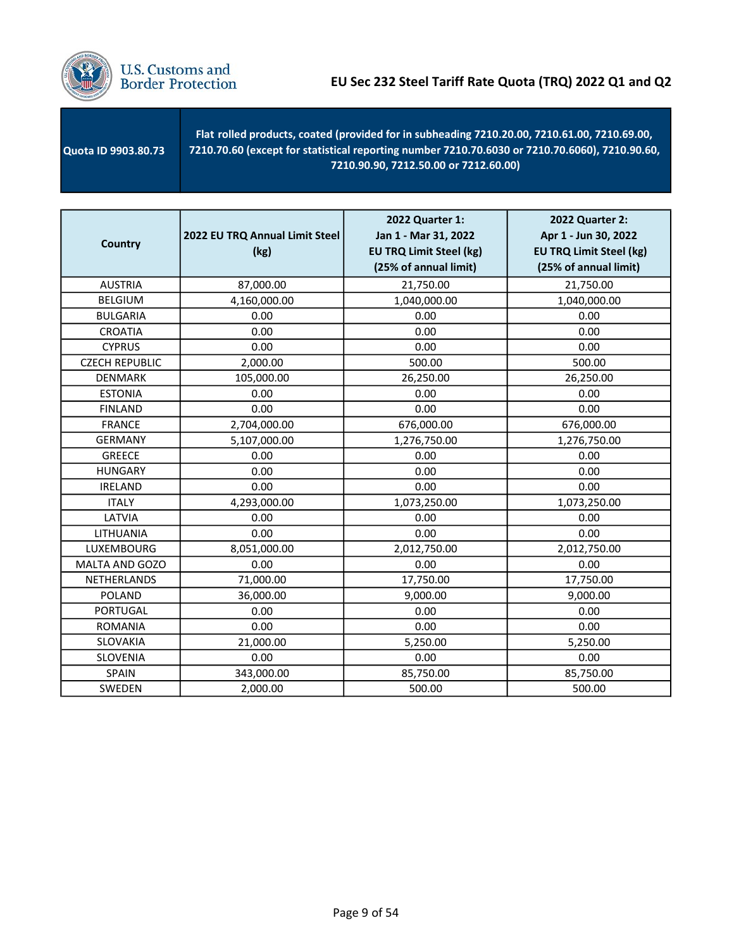

| <b>Quota ID 9903.80.73</b> | Flat rolled products, coated (provided for in subheading 7210.20.00, 7210.61.00, 7210.69.00,<br>7210.70.60 (except for statistical reporting number 7210.70.6030 or 7210.70.6060), 7210.90.60,<br>7210.90.90. 7212.50.00 or 7212.60.00) |
|----------------------------|-----------------------------------------------------------------------------------------------------------------------------------------------------------------------------------------------------------------------------------------|
|----------------------------|-----------------------------------------------------------------------------------------------------------------------------------------------------------------------------------------------------------------------------------------|

| <b>Country</b>        | 2022 EU TRQ Annual Limit Steel<br>(kg) | <b>2022 Quarter 1:</b><br>Jan 1 - Mar 31, 2022<br><b>EU TRQ Limit Steel (kg)</b><br>(25% of annual limit) | <b>2022 Quarter 2:</b><br>Apr 1 - Jun 30, 2022<br><b>EU TRQ Limit Steel (kg)</b><br>(25% of annual limit) |
|-----------------------|----------------------------------------|-----------------------------------------------------------------------------------------------------------|-----------------------------------------------------------------------------------------------------------|
| <b>AUSTRIA</b>        | 87,000.00                              | 21,750.00                                                                                                 | 21,750.00                                                                                                 |
| <b>BELGIUM</b>        | 4,160,000.00                           | 1,040,000.00                                                                                              | 1,040,000.00                                                                                              |
| <b>BULGARIA</b>       | 0.00                                   | 0.00                                                                                                      | 0.00                                                                                                      |
| <b>CROATIA</b>        | 0.00                                   | 0.00                                                                                                      | 0.00                                                                                                      |
| <b>CYPRUS</b>         | 0.00                                   | 0.00                                                                                                      | 0.00                                                                                                      |
| <b>CZECH REPUBLIC</b> | 2,000.00                               | 500.00                                                                                                    | 500.00                                                                                                    |
| <b>DENMARK</b>        | 105,000.00                             | 26,250.00                                                                                                 | 26,250.00                                                                                                 |
| <b>ESTONIA</b>        | 0.00                                   | 0.00                                                                                                      | 0.00                                                                                                      |
| <b>FINLAND</b>        | 0.00                                   | 0.00                                                                                                      | 0.00                                                                                                      |
| <b>FRANCE</b>         | 2,704,000.00                           | 676,000.00                                                                                                | 676,000.00                                                                                                |
| <b>GERMANY</b>        | 5,107,000.00                           | 1,276,750.00                                                                                              | 1,276,750.00                                                                                              |
| <b>GREECE</b>         | 0.00                                   | 0.00                                                                                                      | 0.00                                                                                                      |
| <b>HUNGARY</b>        | 0.00                                   | 0.00                                                                                                      | 0.00                                                                                                      |
| <b>IRELAND</b>        | 0.00                                   | 0.00                                                                                                      | 0.00                                                                                                      |
| <b>ITALY</b>          | 4,293,000.00                           | 1,073,250.00                                                                                              | 1,073,250.00                                                                                              |
| LATVIA                | 0.00                                   | 0.00                                                                                                      | 0.00                                                                                                      |
| LITHUANIA             | 0.00                                   | 0.00                                                                                                      | 0.00                                                                                                      |
| LUXEMBOURG            | 8,051,000.00                           | 2,012,750.00                                                                                              | 2,012,750.00                                                                                              |
| MALTA AND GOZO        | 0.00                                   | 0.00                                                                                                      | 0.00                                                                                                      |
| NETHERLANDS           | 71,000.00                              | 17,750.00                                                                                                 | 17,750.00                                                                                                 |
| <b>POLAND</b>         | 36,000.00                              | 9,000.00                                                                                                  | 9,000.00                                                                                                  |
| <b>PORTUGAL</b>       | 0.00                                   | 0.00                                                                                                      | 0.00                                                                                                      |
| <b>ROMANIA</b>        | 0.00                                   | 0.00                                                                                                      | 0.00                                                                                                      |
| <b>SLOVAKIA</b>       | 21,000.00                              | 5,250.00                                                                                                  | 5,250.00                                                                                                  |
| SLOVENIA              | 0.00                                   | 0.00                                                                                                      | 0.00                                                                                                      |
| SPAIN                 | 343,000.00                             | 85,750.00                                                                                                 | 85,750.00                                                                                                 |
| SWEDEN                | 2,000.00                               | 500.00                                                                                                    | 500.00                                                                                                    |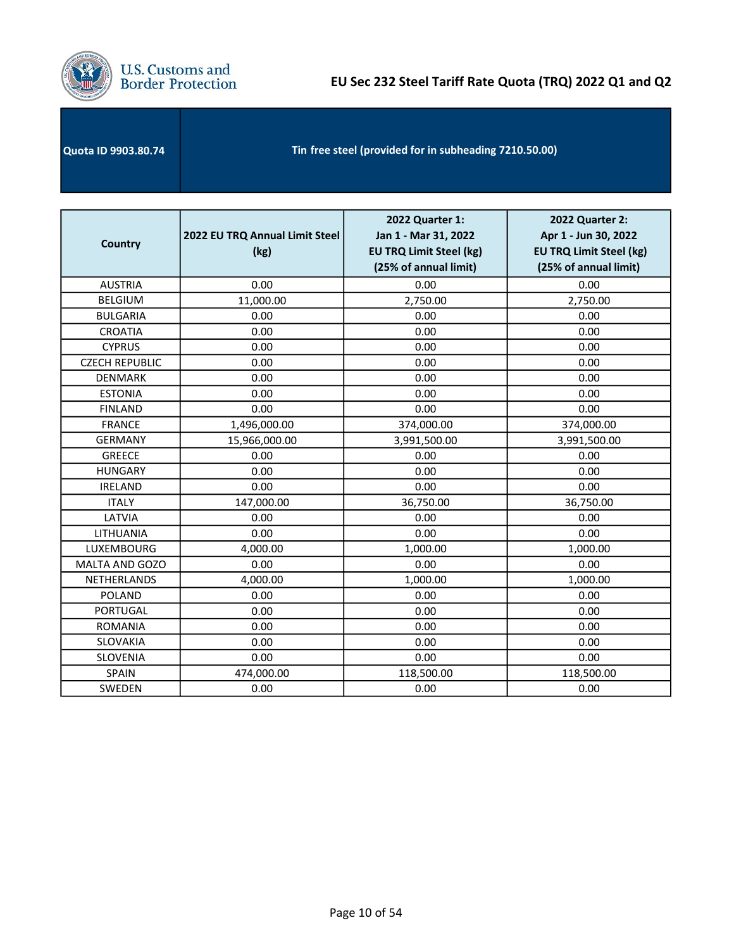

| Quota ID 9903.80.74 | Tin free steel (provided for in subheading 7210.50.00) |  |
|---------------------|--------------------------------------------------------|--|
|---------------------|--------------------------------------------------------|--|

| <b>Country</b>        | 2022 EU TRQ Annual Limit Steel<br>(kg) | 2022 Quarter 1:<br>Jan 1 - Mar 31, 2022<br><b>EU TRQ Limit Steel (kg)</b><br>(25% of annual limit) | 2022 Quarter 2:<br>Apr 1 - Jun 30, 2022<br><b>EU TRQ Limit Steel (kg)</b><br>(25% of annual limit) |
|-----------------------|----------------------------------------|----------------------------------------------------------------------------------------------------|----------------------------------------------------------------------------------------------------|
| <b>AUSTRIA</b>        | 0.00                                   | 0.00                                                                                               | 0.00                                                                                               |
| <b>BELGIUM</b>        | 11,000.00                              | 2,750.00                                                                                           | 2,750.00                                                                                           |
| <b>BULGARIA</b>       | 0.00                                   | 0.00                                                                                               | 0.00                                                                                               |
| <b>CROATIA</b>        | 0.00                                   | 0.00                                                                                               | 0.00                                                                                               |
| <b>CYPRUS</b>         | 0.00                                   | 0.00                                                                                               | 0.00                                                                                               |
| <b>CZECH REPUBLIC</b> | 0.00                                   | 0.00                                                                                               | 0.00                                                                                               |
| <b>DENMARK</b>        | 0.00                                   | 0.00                                                                                               | 0.00                                                                                               |
| <b>ESTONIA</b>        | 0.00                                   | 0.00                                                                                               | 0.00                                                                                               |
| <b>FINLAND</b>        | 0.00                                   | 0.00                                                                                               | 0.00                                                                                               |
| <b>FRANCE</b>         | 1,496,000.00                           | 374,000.00                                                                                         | 374,000.00                                                                                         |
| <b>GERMANY</b>        | 15,966,000.00                          | 3,991,500.00                                                                                       | 3,991,500.00                                                                                       |
| <b>GREECE</b>         | 0.00                                   | 0.00                                                                                               | 0.00                                                                                               |
| <b>HUNGARY</b>        | 0.00                                   | 0.00                                                                                               | 0.00                                                                                               |
| <b>IRELAND</b>        | 0.00                                   | 0.00                                                                                               | 0.00                                                                                               |
| <b>ITALY</b>          | 147,000.00                             | 36,750.00                                                                                          | 36,750.00                                                                                          |
| LATVIA                | 0.00                                   | 0.00                                                                                               | 0.00                                                                                               |
| LITHUANIA             | 0.00                                   | 0.00                                                                                               | 0.00                                                                                               |
| LUXEMBOURG            | 4,000.00                               | 1,000.00                                                                                           | 1,000.00                                                                                           |
| MALTA AND GOZO        | 0.00                                   | 0.00                                                                                               | 0.00                                                                                               |
| NETHERLANDS           | 4,000.00                               | 1,000.00                                                                                           | 1,000.00                                                                                           |
| <b>POLAND</b>         | 0.00                                   | 0.00                                                                                               | 0.00                                                                                               |
| <b>PORTUGAL</b>       | 0.00                                   | 0.00                                                                                               | 0.00                                                                                               |
| <b>ROMANIA</b>        | 0.00                                   | 0.00                                                                                               | 0.00                                                                                               |
| SLOVAKIA              | 0.00                                   | 0.00                                                                                               | 0.00                                                                                               |
| SLOVENIA              | 0.00                                   | 0.00                                                                                               | 0.00                                                                                               |
| <b>SPAIN</b>          | 474,000.00                             | 118,500.00                                                                                         | 118,500.00                                                                                         |
| SWEDEN                | 0.00                                   | 0.00                                                                                               | 0.00                                                                                               |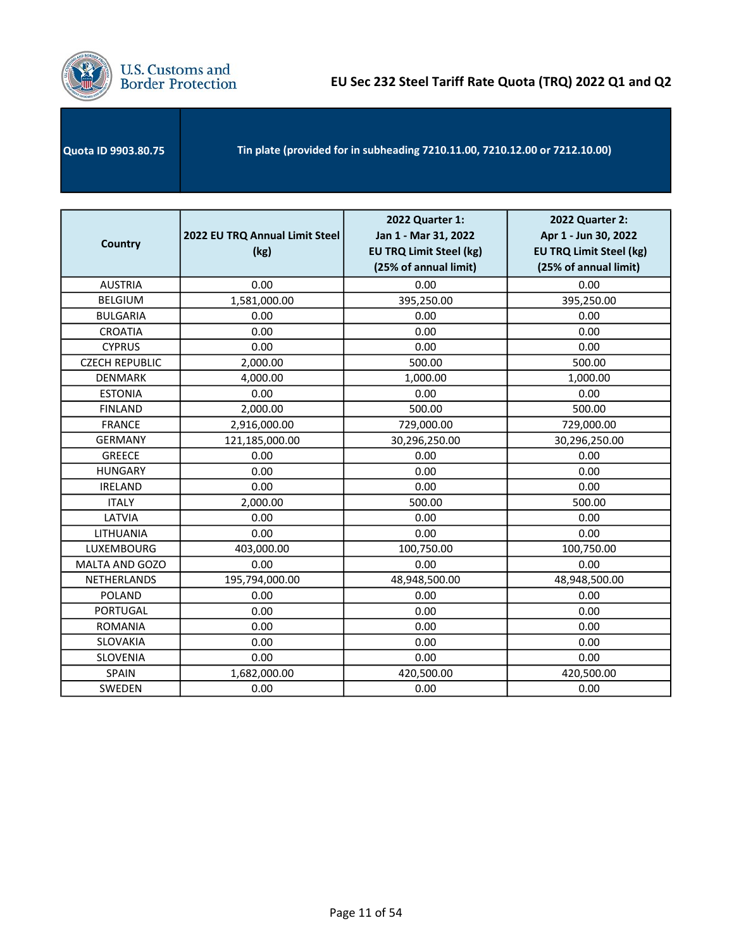

| Tin plate (provided for in subheading 7210.11.00, 7210.12.00 or 7212.10.00)<br><b>Quota ID 9903.80.75</b> |  |
|-----------------------------------------------------------------------------------------------------------|--|
|-----------------------------------------------------------------------------------------------------------|--|

| <b>Country</b>        | 2022 EU TRQ Annual Limit Steel<br>(kg) | 2022 Quarter 1:<br>Jan 1 - Mar 31, 2022<br><b>EU TRQ Limit Steel (kg)</b><br>(25% of annual limit) | <b>2022 Quarter 2:</b><br>Apr 1 - Jun 30, 2022<br><b>EU TRQ Limit Steel (kg)</b><br>(25% of annual limit) |
|-----------------------|----------------------------------------|----------------------------------------------------------------------------------------------------|-----------------------------------------------------------------------------------------------------------|
| <b>AUSTRIA</b>        | 0.00                                   | 0.00                                                                                               | 0.00                                                                                                      |
| <b>BELGIUM</b>        | 1,581,000.00                           | 395,250.00                                                                                         | 395,250.00                                                                                                |
| <b>BULGARIA</b>       | 0.00                                   | 0.00                                                                                               | 0.00                                                                                                      |
| <b>CROATIA</b>        | 0.00                                   | 0.00                                                                                               | 0.00                                                                                                      |
| <b>CYPRUS</b>         | 0.00                                   | 0.00                                                                                               | 0.00                                                                                                      |
| <b>CZECH REPUBLIC</b> | 2,000.00                               | 500.00                                                                                             | 500.00                                                                                                    |
| <b>DENMARK</b>        | 4,000.00                               | 1,000.00                                                                                           | 1,000.00                                                                                                  |
| <b>ESTONIA</b>        | 0.00                                   | 0.00                                                                                               | 0.00                                                                                                      |
| <b>FINLAND</b>        | 2,000.00                               | 500.00                                                                                             | 500.00                                                                                                    |
| <b>FRANCE</b>         | 2,916,000.00                           | 729,000.00                                                                                         | 729,000.00                                                                                                |
| <b>GERMANY</b>        | 121,185,000.00                         | 30,296,250.00                                                                                      | 30,296,250.00                                                                                             |
| <b>GREECE</b>         | 0.00                                   | 0.00                                                                                               | 0.00                                                                                                      |
| <b>HUNGARY</b>        | 0.00                                   | 0.00                                                                                               | 0.00                                                                                                      |
| <b>IRELAND</b>        | 0.00                                   | 0.00                                                                                               | 0.00                                                                                                      |
| <b>ITALY</b>          | 2,000.00                               | 500.00                                                                                             | 500.00                                                                                                    |
| LATVIA                | 0.00                                   | 0.00                                                                                               | 0.00                                                                                                      |
| LITHUANIA             | 0.00                                   | 0.00                                                                                               | 0.00                                                                                                      |
| LUXEMBOURG            | 403,000.00                             | 100,750.00                                                                                         | 100,750.00                                                                                                |
| MALTA AND GOZO        | 0.00                                   | 0.00                                                                                               | 0.00                                                                                                      |
| NETHERLANDS           | 195,794,000.00                         | 48,948,500.00                                                                                      | 48,948,500.00                                                                                             |
| <b>POLAND</b>         | 0.00                                   | 0.00                                                                                               | 0.00                                                                                                      |
| <b>PORTUGAL</b>       | 0.00                                   | 0.00                                                                                               | 0.00                                                                                                      |
| <b>ROMANIA</b>        | 0.00                                   | 0.00                                                                                               | 0.00                                                                                                      |
| <b>SLOVAKIA</b>       | 0.00                                   | 0.00                                                                                               | 0.00                                                                                                      |
| <b>SLOVENIA</b>       | 0.00                                   | 0.00                                                                                               | 0.00                                                                                                      |
| <b>SPAIN</b>          | 1,682,000.00                           | 420,500.00                                                                                         | 420,500.00                                                                                                |
| SWEDEN                | 0.00                                   | 0.00                                                                                               | 0.00                                                                                                      |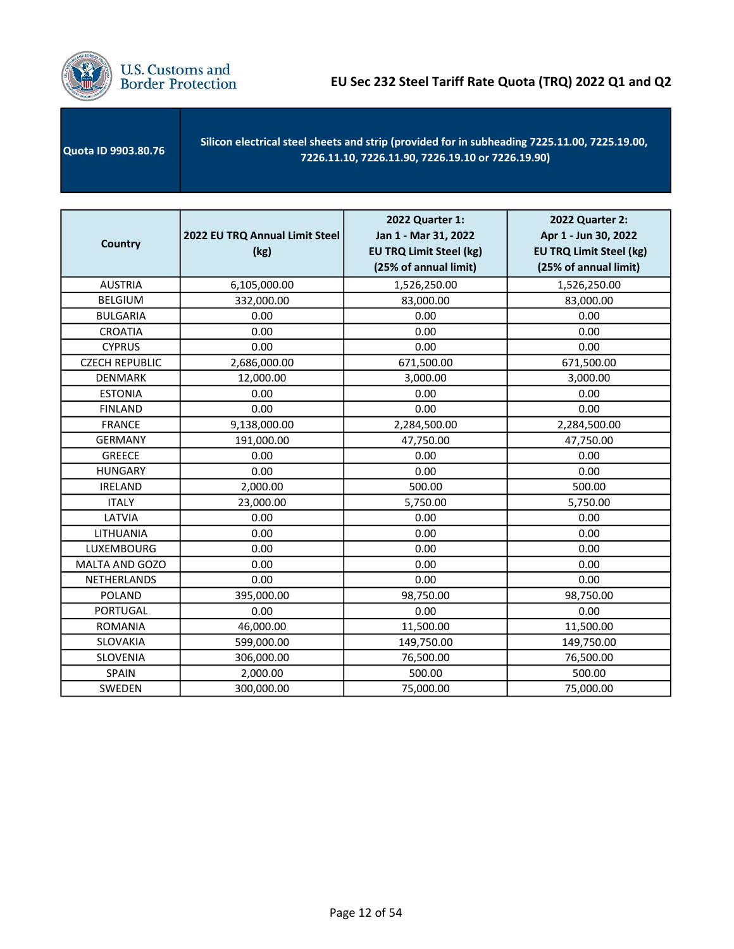

 Quota ID 9903.80.76 Silicon electrical steel sheets and strip (provided for in subheading 7225.11.00, 7225.19.00, 7226.11.10, 7226.11.90, 7226.19.10 or 7226.19.90)

| <b>Country</b>        | 2022 EU TRQ Annual Limit Steel<br>(kg) | 2022 Quarter 1:<br>Jan 1 - Mar 31, 2022<br><b>EU TRQ Limit Steel (kg)</b><br>(25% of annual limit) | 2022 Quarter 2:<br>Apr 1 - Jun 30, 2022<br><b>EU TRQ Limit Steel (kg)</b><br>(25% of annual limit) |
|-----------------------|----------------------------------------|----------------------------------------------------------------------------------------------------|----------------------------------------------------------------------------------------------------|
| <b>AUSTRIA</b>        | 6,105,000.00                           | 1,526,250.00                                                                                       | 1,526,250.00                                                                                       |
| <b>BELGIUM</b>        | 332,000.00                             | 83,000.00                                                                                          | 83,000.00                                                                                          |
| <b>BULGARIA</b>       | 0.00                                   | 0.00                                                                                               | 0.00                                                                                               |
| <b>CROATIA</b>        | 0.00                                   | 0.00                                                                                               | 0.00                                                                                               |
| <b>CYPRUS</b>         | 0.00                                   | 0.00                                                                                               | 0.00                                                                                               |
| <b>CZECH REPUBLIC</b> | 2,686,000.00                           | 671,500.00                                                                                         | 671,500.00                                                                                         |
| <b>DENMARK</b>        | 12,000.00                              | 3,000.00                                                                                           | 3,000.00                                                                                           |
| <b>ESTONIA</b>        | 0.00                                   | 0.00                                                                                               | 0.00                                                                                               |
| <b>FINLAND</b>        | 0.00                                   | 0.00                                                                                               | 0.00                                                                                               |
| <b>FRANCE</b>         | 9,138,000.00                           | 2,284,500.00                                                                                       | 2,284,500.00                                                                                       |
| <b>GERMANY</b>        | 191,000.00                             | 47,750.00                                                                                          | 47,750.00                                                                                          |
| <b>GREECE</b>         | 0.00                                   | 0.00                                                                                               | 0.00                                                                                               |
| <b>HUNGARY</b>        | 0.00                                   | 0.00                                                                                               | 0.00                                                                                               |
| <b>IRELAND</b>        | 2,000.00                               | 500.00                                                                                             | 500.00                                                                                             |
| <b>ITALY</b>          | 23,000.00                              | 5,750.00                                                                                           | 5,750.00                                                                                           |
| LATVIA                | 0.00                                   | 0.00                                                                                               | 0.00                                                                                               |
| LITHUANIA             | 0.00                                   | 0.00                                                                                               | 0.00                                                                                               |
| LUXEMBOURG            | 0.00                                   | 0.00                                                                                               | 0.00                                                                                               |
| MALTA AND GOZO        | 0.00                                   | 0.00                                                                                               | 0.00                                                                                               |
| NETHERLANDS           | 0.00                                   | 0.00                                                                                               | 0.00                                                                                               |
| <b>POLAND</b>         | 395,000.00                             | 98,750.00                                                                                          | 98,750.00                                                                                          |
| <b>PORTUGAL</b>       | 0.00                                   | 0.00                                                                                               | 0.00                                                                                               |
| <b>ROMANIA</b>        | 46,000.00                              | 11,500.00                                                                                          | 11,500.00                                                                                          |
| <b>SLOVAKIA</b>       | 599,000.00                             | 149,750.00                                                                                         | 149,750.00                                                                                         |
| <b>SLOVENIA</b>       | 306,000.00                             | 76,500.00                                                                                          | 76,500.00                                                                                          |
| SPAIN                 | 2,000.00                               | 500.00                                                                                             | 500.00                                                                                             |
| <b>SWEDEN</b>         | 300,000.00                             | 75,000.00                                                                                          | 75,000.00                                                                                          |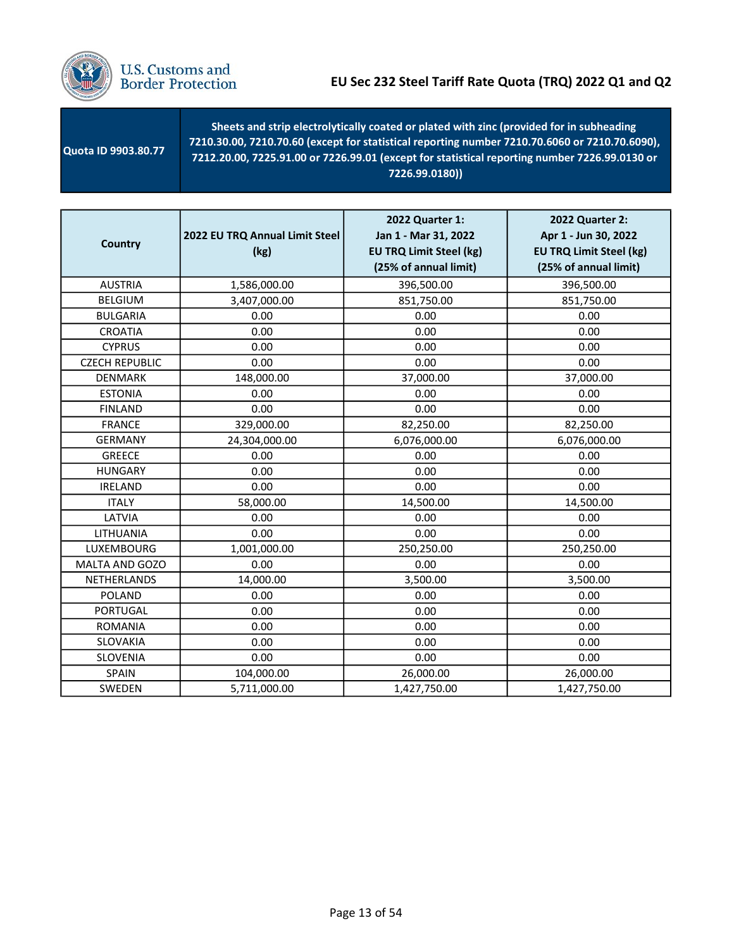

| <b>Quota ID 9903.80.77</b> | Sheets and strip electrolytically coated or plated with zinc (provided for in subheading<br>7210.30.00, 7210.70.60 (except for statistical reporting number 7210.70.6060 or 7210.70.6090),<br>7212.20.00, 7225.91.00 or 7226.99.01 (except for statistical reporting number 7226.99.0130 or<br>7226.99.0180)) |
|----------------------------|---------------------------------------------------------------------------------------------------------------------------------------------------------------------------------------------------------------------------------------------------------------------------------------------------------------|
|----------------------------|---------------------------------------------------------------------------------------------------------------------------------------------------------------------------------------------------------------------------------------------------------------------------------------------------------------|

| <b>Country</b>        | 2022 EU TRQ Annual Limit Steel<br>(kg) | 2022 Quarter 1:<br>Jan 1 - Mar 31, 2022<br><b>EU TRQ Limit Steel (kg)</b><br>(25% of annual limit) | 2022 Quarter 2:<br>Apr 1 - Jun 30, 2022<br><b>EU TRQ Limit Steel (kg)</b><br>(25% of annual limit) |
|-----------------------|----------------------------------------|----------------------------------------------------------------------------------------------------|----------------------------------------------------------------------------------------------------|
| <b>AUSTRIA</b>        | 1,586,000.00                           | 396,500.00                                                                                         | 396,500.00                                                                                         |
| <b>BELGIUM</b>        | 3,407,000.00                           | 851,750.00                                                                                         | 851,750.00                                                                                         |
| <b>BULGARIA</b>       | 0.00                                   | 0.00                                                                                               | 0.00                                                                                               |
| <b>CROATIA</b>        | 0.00                                   | 0.00                                                                                               | 0.00                                                                                               |
| <b>CYPRUS</b>         | 0.00                                   | 0.00                                                                                               | 0.00                                                                                               |
| <b>CZECH REPUBLIC</b> | 0.00                                   | 0.00                                                                                               | 0.00                                                                                               |
| <b>DENMARK</b>        | 148,000.00                             | 37,000.00                                                                                          | 37,000.00                                                                                          |
| <b>ESTONIA</b>        | 0.00                                   | 0.00                                                                                               | 0.00                                                                                               |
| <b>FINLAND</b>        | 0.00                                   | 0.00                                                                                               | 0.00                                                                                               |
| <b>FRANCE</b>         | 329,000.00                             | 82,250.00                                                                                          | 82,250.00                                                                                          |
| <b>GERMANY</b>        | 24,304,000.00                          | 6,076,000.00                                                                                       | 6,076,000.00                                                                                       |
| <b>GREECE</b>         | 0.00                                   | 0.00                                                                                               | 0.00                                                                                               |
| <b>HUNGARY</b>        | 0.00                                   | 0.00                                                                                               | 0.00                                                                                               |
| <b>IRELAND</b>        | 0.00                                   | 0.00                                                                                               | 0.00                                                                                               |
| <b>ITALY</b>          | 58,000.00                              | 14,500.00                                                                                          | 14,500.00                                                                                          |
| LATVIA                | 0.00                                   | 0.00                                                                                               | 0.00                                                                                               |
| LITHUANIA             | 0.00                                   | 0.00                                                                                               | 0.00                                                                                               |
| <b>LUXEMBOURG</b>     | 1,001,000.00                           | 250,250.00                                                                                         | 250,250.00                                                                                         |
| MALTA AND GOZO        | 0.00                                   | 0.00                                                                                               | 0.00                                                                                               |
| NETHERLANDS           | 14,000.00                              | 3,500.00                                                                                           | 3,500.00                                                                                           |
| <b>POLAND</b>         | 0.00                                   | 0.00                                                                                               | 0.00                                                                                               |
| <b>PORTUGAL</b>       | 0.00                                   | 0.00                                                                                               | 0.00                                                                                               |
| <b>ROMANIA</b>        | 0.00                                   | 0.00                                                                                               | 0.00                                                                                               |
| SLOVAKIA              | 0.00                                   | 0.00                                                                                               | 0.00                                                                                               |
| SLOVENIA              | 0.00                                   | 0.00                                                                                               | 0.00                                                                                               |
| SPAIN                 | 104,000.00                             | 26,000.00                                                                                          | 26,000.00                                                                                          |
| SWEDEN                | 5,711,000.00                           | 1,427,750.00                                                                                       | 1,427,750.00                                                                                       |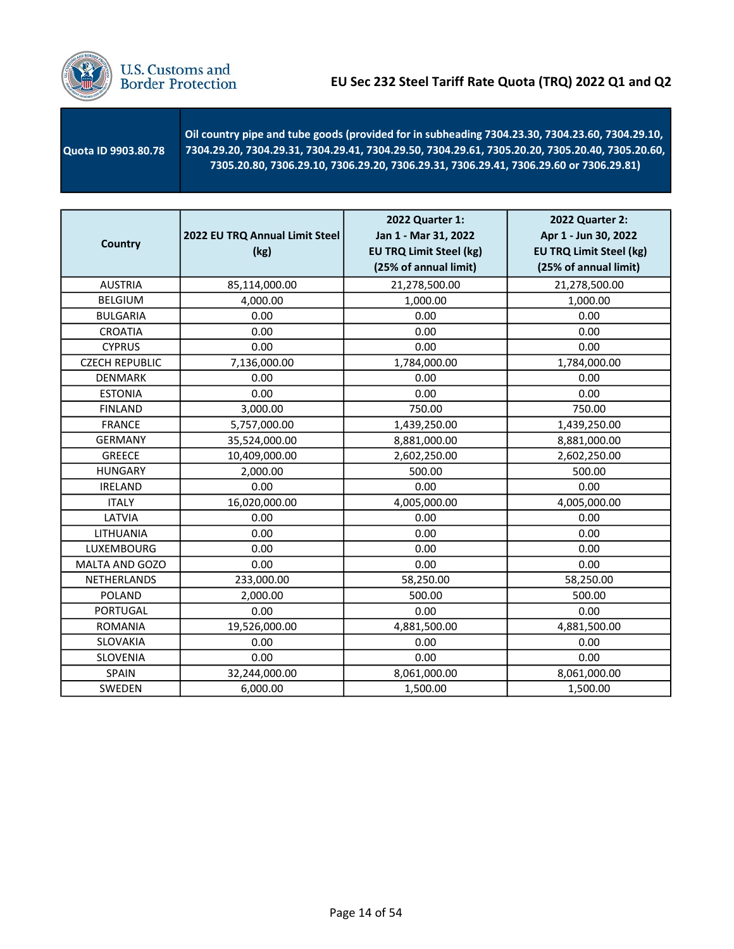

 Quota ID 9903.80.78 Oil country pipe and tube goods (provided for in subheading 7304.23.30, 7304.23.60, 7304.29.10, 7304.29.20, 7304.29.31, 7304.29.41, 7304.29.50, 7304.29.61, 7305.20.20, 7305.20.40, 7305.20.60, 7305.20.80, 7306.29.10, 7306.29.20, 7306.29.31, 7306.29.41, 7306.29.60 or 7306.29.81)

| <b>Country</b>        | 2022 EU TRQ Annual Limit Steel<br>(kg) | 2022 Quarter 1:<br>Jan 1 - Mar 31, 2022<br><b>EU TRQ Limit Steel (kg)</b><br>(25% of annual limit) | 2022 Quarter 2:<br>Apr 1 - Jun 30, 2022<br><b>EU TRQ Limit Steel (kg)</b><br>(25% of annual limit) |
|-----------------------|----------------------------------------|----------------------------------------------------------------------------------------------------|----------------------------------------------------------------------------------------------------|
| <b>AUSTRIA</b>        | 85,114,000.00                          | 21,278,500.00                                                                                      | 21,278,500.00                                                                                      |
| <b>BELGIUM</b>        | 4,000.00                               | 1,000.00                                                                                           | 1,000.00                                                                                           |
| <b>BULGARIA</b>       | 0.00                                   | 0.00                                                                                               | 0.00                                                                                               |
| <b>CROATIA</b>        | 0.00                                   | 0.00                                                                                               | 0.00                                                                                               |
| <b>CYPRUS</b>         | 0.00                                   | 0.00                                                                                               | 0.00                                                                                               |
| <b>CZECH REPUBLIC</b> | 7,136,000.00                           | 1,784,000.00                                                                                       | 1,784,000.00                                                                                       |
| <b>DENMARK</b>        | 0.00                                   | 0.00                                                                                               | 0.00                                                                                               |
| <b>ESTONIA</b>        | 0.00                                   | 0.00                                                                                               | 0.00                                                                                               |
| <b>FINLAND</b>        | 3,000.00                               | 750.00                                                                                             | 750.00                                                                                             |
| <b>FRANCE</b>         | 5,757,000.00                           | 1,439,250.00                                                                                       | 1,439,250.00                                                                                       |
| <b>GERMANY</b>        | 35,524,000.00                          | 8,881,000.00                                                                                       | 8,881,000.00                                                                                       |
| <b>GREECE</b>         | 10,409,000.00                          | 2,602,250.00                                                                                       | 2,602,250.00                                                                                       |
| <b>HUNGARY</b>        | 2,000.00                               | 500.00                                                                                             | 500.00                                                                                             |
| <b>IRELAND</b>        | 0.00                                   | 0.00                                                                                               | 0.00                                                                                               |
| <b>ITALY</b>          | 16,020,000.00                          | 4,005,000.00                                                                                       | 4,005,000.00                                                                                       |
| LATVIA                | 0.00                                   | 0.00                                                                                               | 0.00                                                                                               |
| LITHUANIA             | 0.00                                   | 0.00                                                                                               | 0.00                                                                                               |
| LUXEMBOURG            | 0.00                                   | 0.00                                                                                               | 0.00                                                                                               |
| MALTA AND GOZO        | 0.00                                   | 0.00                                                                                               | 0.00                                                                                               |
| <b>NETHERLANDS</b>    | 233,000.00                             | 58,250.00                                                                                          | 58,250.00                                                                                          |
| <b>POLAND</b>         | 2,000.00                               | 500.00                                                                                             | 500.00                                                                                             |
| <b>PORTUGAL</b>       | 0.00                                   | 0.00                                                                                               | 0.00                                                                                               |
| <b>ROMANIA</b>        | 19,526,000.00                          | 4,881,500.00                                                                                       | 4,881,500.00                                                                                       |
| <b>SLOVAKIA</b>       | 0.00                                   | 0.00                                                                                               | 0.00                                                                                               |
| SLOVENIA              | 0.00                                   | 0.00                                                                                               | 0.00                                                                                               |
| SPAIN                 | 32,244,000.00                          | 8,061,000.00                                                                                       | 8,061,000.00                                                                                       |
| SWEDEN                | 6,000.00                               | 1,500.00                                                                                           | 1,500.00                                                                                           |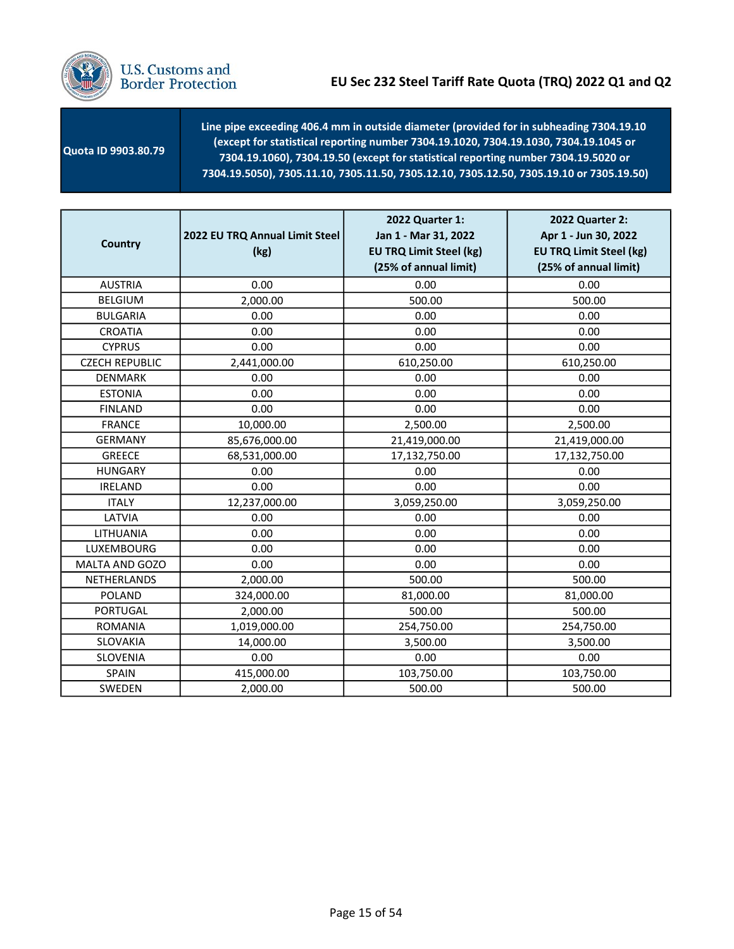

 Quota ID 9903.80.79 Line pipe exceeding 406.4 mm in outside diameter (provided for in subheading 7304.19.10 (except for statistical reporting number 7304.19.1020, 7304.19.1030, 7304.19.1045 or 7304.19.1060), 7304.19.50 (except for statistical reporting number 7304.19.5020 or 7304.19.5050), 7305.11.10, 7305.11.50, 7305.12.10, 7305.12.50, 7305.19.10 or 7305.19.50)

| <b>Country</b>        | 2022 EU TRQ Annual Limit Steel<br>(kg) | 2022 Quarter 1:<br>Jan 1 - Mar 31, 2022<br><b>EU TRQ Limit Steel (kg)</b><br>(25% of annual limit) | 2022 Quarter 2:<br>Apr 1 - Jun 30, 2022<br><b>EU TRQ Limit Steel (kg)</b><br>(25% of annual limit) |
|-----------------------|----------------------------------------|----------------------------------------------------------------------------------------------------|----------------------------------------------------------------------------------------------------|
| <b>AUSTRIA</b>        | 0.00                                   | 0.00                                                                                               | 0.00                                                                                               |
| <b>BELGIUM</b>        | 2,000.00                               | 500.00                                                                                             | 500.00                                                                                             |
| <b>BULGARIA</b>       | 0.00                                   | 0.00                                                                                               | 0.00                                                                                               |
| CROATIA               | 0.00                                   | 0.00                                                                                               | 0.00                                                                                               |
| <b>CYPRUS</b>         | 0.00                                   | 0.00                                                                                               | 0.00                                                                                               |
| <b>CZECH REPUBLIC</b> | 2,441,000.00                           | 610,250.00                                                                                         | 610,250.00                                                                                         |
| <b>DENMARK</b>        | 0.00                                   | 0.00                                                                                               | 0.00                                                                                               |
| <b>ESTONIA</b>        | 0.00                                   | 0.00                                                                                               | 0.00                                                                                               |
| <b>FINLAND</b>        | 0.00                                   | 0.00                                                                                               | 0.00                                                                                               |
| <b>FRANCE</b>         | 10,000.00                              | 2,500.00                                                                                           | 2,500.00                                                                                           |
| <b>GERMANY</b>        | 85,676,000.00                          | 21,419,000.00                                                                                      | 21,419,000.00                                                                                      |
| <b>GREECE</b>         | 68,531,000.00                          | 17,132,750.00                                                                                      | 17,132,750.00                                                                                      |
| <b>HUNGARY</b>        | 0.00                                   | 0.00                                                                                               | 0.00                                                                                               |
| <b>IRELAND</b>        | 0.00                                   | 0.00                                                                                               | 0.00                                                                                               |
| <b>ITALY</b>          | 12,237,000.00                          | 3,059,250.00                                                                                       | 3,059,250.00                                                                                       |
| LATVIA                | 0.00                                   | 0.00                                                                                               | 0.00                                                                                               |
| LITHUANIA             | 0.00                                   | 0.00                                                                                               | 0.00                                                                                               |
| <b>LUXEMBOURG</b>     | 0.00                                   | 0.00                                                                                               | 0.00                                                                                               |
| MALTA AND GOZO        | 0.00                                   | 0.00                                                                                               | 0.00                                                                                               |
| <b>NETHERLANDS</b>    | 2,000.00                               | 500.00                                                                                             | 500.00                                                                                             |
| <b>POLAND</b>         | 324,000.00                             | 81,000.00                                                                                          | 81,000.00                                                                                          |
| <b>PORTUGAL</b>       | 2,000.00                               | 500.00                                                                                             | 500.00                                                                                             |
| <b>ROMANIA</b>        | 1,019,000.00                           | 254,750.00                                                                                         | 254,750.00                                                                                         |
| <b>SLOVAKIA</b>       | 14,000.00                              | 3,500.00                                                                                           | 3,500.00                                                                                           |
| SLOVENIA              | 0.00                                   | 0.00                                                                                               | 0.00                                                                                               |
| SPAIN                 | 415,000.00                             | 103,750.00                                                                                         | 103,750.00                                                                                         |
| SWEDEN                | 2,000.00                               | 500.00                                                                                             | 500.00                                                                                             |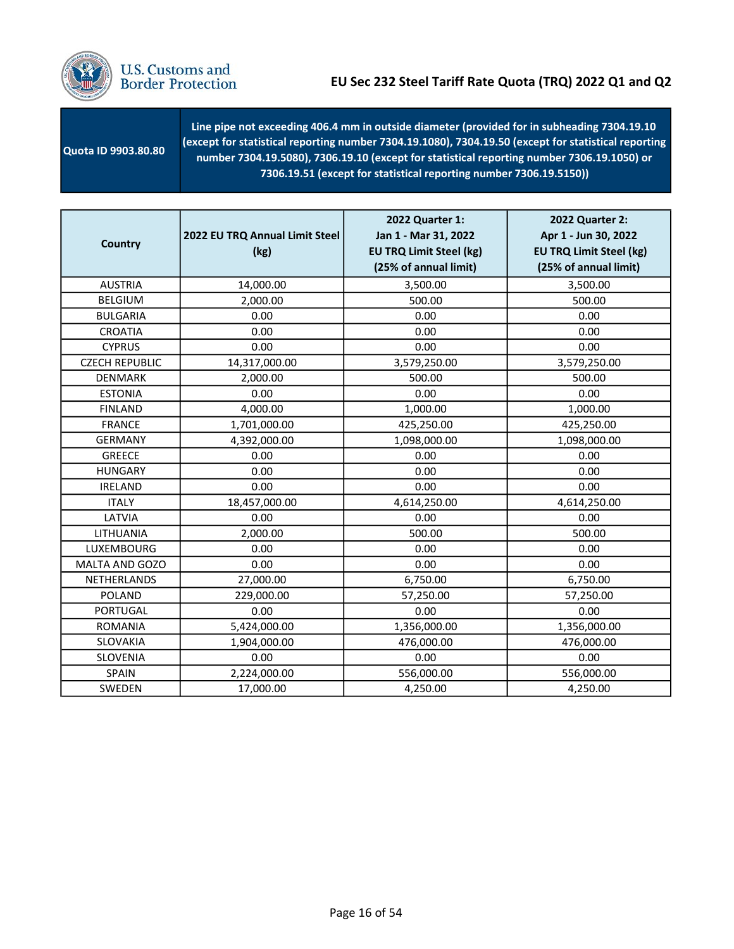

U.S. Customs and<br>Border Protection

| Quota ID 9903.80.80 | Line pipe not exceeding 406.4 mm in outside diameter (provided for in subheading 7304.19.10<br>(except for statistical reporting number 7304.19.1080), 7304.19.50 (except for statistical reporting<br>number 7304.19.5080), 7306.19.10 (except for statistical reporting number 7306.19.1050) or<br>7306.19.51 (except for statistical reporting number 7306.19.5150)) |
|---------------------|-------------------------------------------------------------------------------------------------------------------------------------------------------------------------------------------------------------------------------------------------------------------------------------------------------------------------------------------------------------------------|
|---------------------|-------------------------------------------------------------------------------------------------------------------------------------------------------------------------------------------------------------------------------------------------------------------------------------------------------------------------------------------------------------------------|

| Country               | 2022 EU TRQ Annual Limit Steel<br>(kg) | 2022 Quarter 1:<br>Jan 1 - Mar 31, 2022<br><b>EU TRQ Limit Steel (kg)</b><br>(25% of annual limit) | 2022 Quarter 2:<br>Apr 1 - Jun 30, 2022<br><b>EU TRQ Limit Steel (kg)</b><br>(25% of annual limit) |
|-----------------------|----------------------------------------|----------------------------------------------------------------------------------------------------|----------------------------------------------------------------------------------------------------|
| <b>AUSTRIA</b>        | 14,000.00                              | 3,500.00                                                                                           | 3,500.00                                                                                           |
| <b>BELGIUM</b>        | 2,000.00                               | 500.00                                                                                             | 500.00                                                                                             |
| <b>BULGARIA</b>       | 0.00                                   | 0.00                                                                                               | 0.00                                                                                               |
| <b>CROATIA</b>        | 0.00                                   | 0.00                                                                                               | 0.00                                                                                               |
| <b>CYPRUS</b>         | 0.00                                   | 0.00                                                                                               | 0.00                                                                                               |
| <b>CZECH REPUBLIC</b> | 14,317,000.00                          | 3,579,250.00                                                                                       | 3,579,250.00                                                                                       |
| <b>DENMARK</b>        | 2,000.00                               | 500.00                                                                                             | 500.00                                                                                             |
| <b>ESTONIA</b>        | 0.00                                   | 0.00                                                                                               | 0.00                                                                                               |
| <b>FINLAND</b>        | 4,000.00                               | 1,000.00                                                                                           | 1,000.00                                                                                           |
| <b>FRANCE</b>         | 1,701,000.00                           | 425,250.00                                                                                         | 425,250.00                                                                                         |
| <b>GERMANY</b>        | 4,392,000.00                           | 1,098,000.00                                                                                       | 1,098,000.00                                                                                       |
| <b>GREECE</b>         | 0.00                                   | 0.00                                                                                               | 0.00                                                                                               |
| <b>HUNGARY</b>        | 0.00                                   | 0.00                                                                                               | 0.00                                                                                               |
| <b>IRELAND</b>        | 0.00                                   | 0.00                                                                                               | 0.00                                                                                               |
| <b>ITALY</b>          | 18,457,000.00                          | 4,614,250.00                                                                                       | 4,614,250.00                                                                                       |
| LATVIA                | 0.00                                   | 0.00                                                                                               | 0.00                                                                                               |
| LITHUANIA             | 2,000.00                               | 500.00                                                                                             | 500.00                                                                                             |
| <b>LUXEMBOURG</b>     | 0.00                                   | 0.00                                                                                               | 0.00                                                                                               |
| MALTA AND GOZO        | 0.00                                   | 0.00                                                                                               | 0.00                                                                                               |
| NETHERLANDS           | 27,000.00                              | 6,750.00                                                                                           | 6,750.00                                                                                           |
| POLAND                | 229,000.00                             | 57,250.00                                                                                          | 57,250.00                                                                                          |
| <b>PORTUGAL</b>       | 0.00                                   | 0.00                                                                                               | 0.00                                                                                               |
| <b>ROMANIA</b>        | 5,424,000.00                           | 1,356,000.00                                                                                       | 1,356,000.00                                                                                       |
| SLOVAKIA              | 1,904,000.00                           | 476,000.00                                                                                         | 476,000.00                                                                                         |
| SLOVENIA              | 0.00                                   | 0.00                                                                                               | 0.00                                                                                               |
| SPAIN                 | 2,224,000.00                           | 556,000.00                                                                                         | 556,000.00                                                                                         |
| SWEDEN                | 17,000.00                              | 4,250.00                                                                                           | 4,250.00                                                                                           |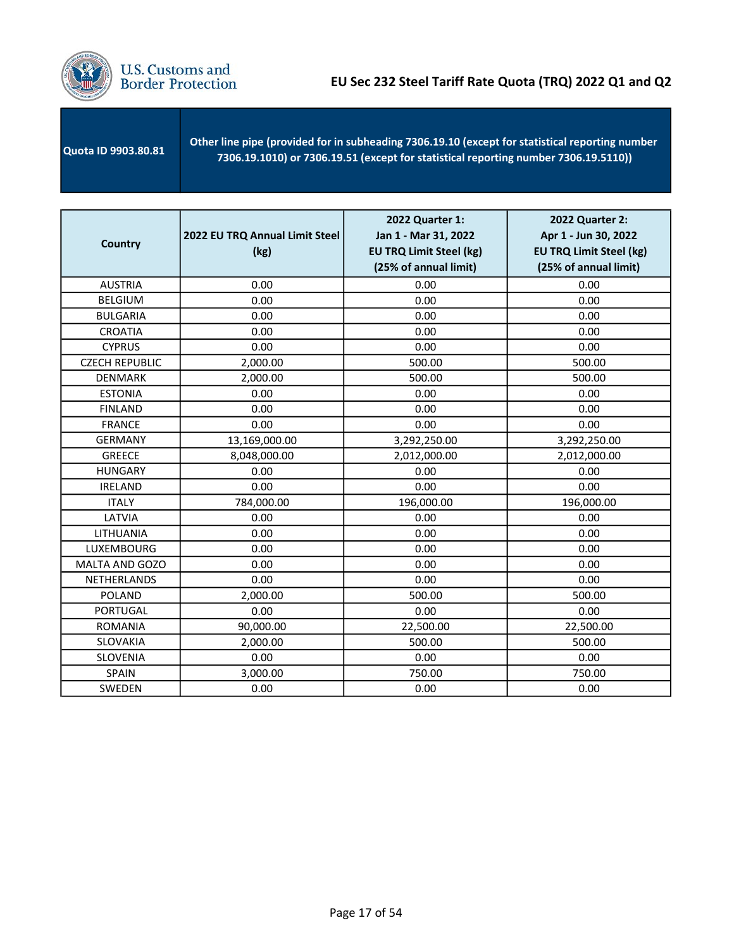

| <b>Quota ID 9903.80.81</b> | Other line pipe (provided for in subheading 7306.19.10 (except for statistical reporting number<br>$(7306.19.1010)$ or 7306.19.51 (except for statistical reporting number 7306.19.5110)) |
|----------------------------|-------------------------------------------------------------------------------------------------------------------------------------------------------------------------------------------|
|                            |                                                                                                                                                                                           |

| <b>Country</b>        | 2022 EU TRQ Annual Limit Steel<br>(kg) | 2022 Quarter 1:<br>Jan 1 - Mar 31, 2022<br><b>EU TRQ Limit Steel (kg)</b><br>(25% of annual limit) | 2022 Quarter 2:<br>Apr 1 - Jun 30, 2022<br><b>EU TRQ Limit Steel (kg)</b><br>(25% of annual limit) |
|-----------------------|----------------------------------------|----------------------------------------------------------------------------------------------------|----------------------------------------------------------------------------------------------------|
| <b>AUSTRIA</b>        | 0.00                                   | 0.00                                                                                               | 0.00                                                                                               |
| <b>BELGIUM</b>        | 0.00                                   | 0.00                                                                                               | 0.00                                                                                               |
| <b>BULGARIA</b>       | 0.00                                   | 0.00                                                                                               | 0.00                                                                                               |
| <b>CROATIA</b>        | 0.00                                   | 0.00                                                                                               | 0.00                                                                                               |
| <b>CYPRUS</b>         | 0.00                                   | 0.00                                                                                               | 0.00                                                                                               |
| <b>CZECH REPUBLIC</b> | 2,000.00                               | 500.00                                                                                             | 500.00                                                                                             |
| <b>DENMARK</b>        | 2,000.00                               | 500.00                                                                                             | 500.00                                                                                             |
| <b>ESTONIA</b>        | 0.00                                   | 0.00                                                                                               | 0.00                                                                                               |
| <b>FINLAND</b>        | 0.00                                   | 0.00                                                                                               | 0.00                                                                                               |
| <b>FRANCE</b>         | 0.00                                   | 0.00                                                                                               | 0.00                                                                                               |
| <b>GERMANY</b>        | 13,169,000.00                          | 3,292,250.00                                                                                       | 3,292,250.00                                                                                       |
| <b>GREECE</b>         | 8,048,000.00                           | 2,012,000.00                                                                                       | 2,012,000.00                                                                                       |
| <b>HUNGARY</b>        | 0.00                                   | 0.00                                                                                               | 0.00                                                                                               |
| <b>IRELAND</b>        | 0.00                                   | 0.00                                                                                               | 0.00                                                                                               |
| <b>ITALY</b>          | 784,000.00                             | 196,000.00                                                                                         | 196,000.00                                                                                         |
| LATVIA                | 0.00                                   | 0.00                                                                                               | 0.00                                                                                               |
| LITHUANIA             | 0.00                                   | 0.00                                                                                               | 0.00                                                                                               |
| LUXEMBOURG            | 0.00                                   | 0.00                                                                                               | 0.00                                                                                               |
| MALTA AND GOZO        | 0.00                                   | 0.00                                                                                               | 0.00                                                                                               |
| <b>NETHERLANDS</b>    | 0.00                                   | 0.00                                                                                               | 0.00                                                                                               |
| <b>POLAND</b>         | 2,000.00                               | 500.00                                                                                             | 500.00                                                                                             |
| <b>PORTUGAL</b>       | 0.00                                   | 0.00                                                                                               | 0.00                                                                                               |
| <b>ROMANIA</b>        | 90,000.00                              | 22,500.00                                                                                          | 22,500.00                                                                                          |
| SLOVAKIA              | 2,000.00                               | 500.00                                                                                             | 500.00                                                                                             |
| <b>SLOVENIA</b>       | 0.00                                   | 0.00                                                                                               | 0.00                                                                                               |
| <b>SPAIN</b>          | 3,000.00                               | 750.00                                                                                             | 750.00                                                                                             |
| SWEDEN                | 0.00                                   | 0.00                                                                                               | 0.00                                                                                               |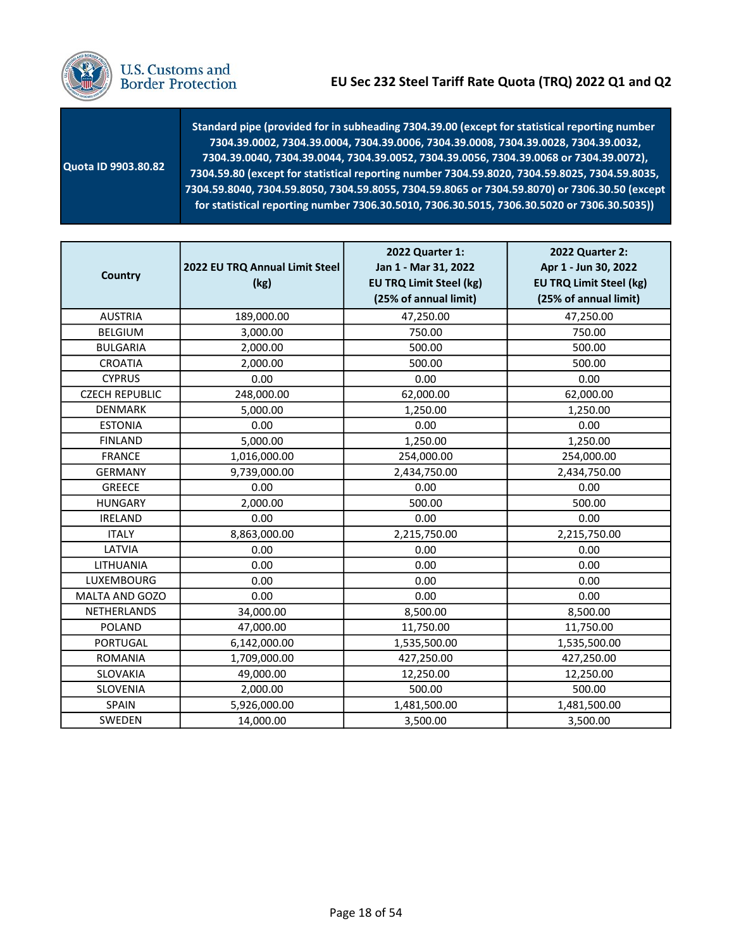

| Quota ID 9903.80.82 | Standard pipe (provided for in subheading 7304.39.00 (except for statistical reporting number<br>7304.39.0002, 7304.39.0004, 7304.39.0006, 7304.39.0008, 7304.39.0028, 7304.39.0032,<br>7304.39.0040, 7304.39.0044, 7304.39.0052, 7304.39.0056, 7304.39.0068 or 7304.39.0072),<br>7304.59.80 (except for statistical reporting number 7304.59.8020, 7304.59.8025, 7304.59.8035,<br>7304.59.8040, 7304.59.8050, 7304.59.8055, 7304.59.8065 or 7304.59.8070) or 7306.30.50 (except<br>for statistical reporting number 7306.30.5010, 7306.30.5015, 7306.30.5020 or 7306.30.5035)) |
|---------------------|---------------------------------------------------------------------------------------------------------------------------------------------------------------------------------------------------------------------------------------------------------------------------------------------------------------------------------------------------------------------------------------------------------------------------------------------------------------------------------------------------------------------------------------------------------------------------------|
|---------------------|---------------------------------------------------------------------------------------------------------------------------------------------------------------------------------------------------------------------------------------------------------------------------------------------------------------------------------------------------------------------------------------------------------------------------------------------------------------------------------------------------------------------------------------------------------------------------------|

| <b>Country</b>        | 2022 EU TRQ Annual Limit Steel<br>(kg) | 2022 Quarter 1:<br>Jan 1 - Mar 31, 2022<br><b>EU TRQ Limit Steel (kg)</b><br>(25% of annual limit) | 2022 Quarter 2:<br>Apr 1 - Jun 30, 2022<br><b>EU TRQ Limit Steel (kg)</b><br>(25% of annual limit) |
|-----------------------|----------------------------------------|----------------------------------------------------------------------------------------------------|----------------------------------------------------------------------------------------------------|
| <b>AUSTRIA</b>        | 189,000.00                             | 47,250.00                                                                                          | 47,250.00                                                                                          |
| <b>BELGIUM</b>        | 3,000.00                               | 750.00                                                                                             | 750.00                                                                                             |
| <b>BULGARIA</b>       | 2,000.00                               | 500.00                                                                                             | 500.00                                                                                             |
| <b>CROATIA</b>        | 2,000.00                               | 500.00                                                                                             | 500.00                                                                                             |
| <b>CYPRUS</b>         | 0.00                                   | 0.00                                                                                               | 0.00                                                                                               |
| <b>CZECH REPUBLIC</b> | 248,000.00                             | 62,000.00                                                                                          | 62,000.00                                                                                          |
| <b>DENMARK</b>        | 5,000.00                               | 1,250.00                                                                                           | 1,250.00                                                                                           |
| <b>ESTONIA</b>        | 0.00                                   | 0.00                                                                                               | 0.00                                                                                               |
| <b>FINLAND</b>        | 5,000.00                               | 1,250.00                                                                                           | 1,250.00                                                                                           |
| <b>FRANCE</b>         | 1,016,000.00                           | 254,000.00                                                                                         | 254,000.00                                                                                         |
| <b>GERMANY</b>        | 9,739,000.00                           | 2,434,750.00                                                                                       | 2,434,750.00                                                                                       |
| <b>GREECE</b>         | 0.00                                   | 0.00                                                                                               | 0.00                                                                                               |
| <b>HUNGARY</b>        | 2,000.00                               | 500.00                                                                                             | 500.00                                                                                             |
| <b>IRELAND</b>        | 0.00                                   | 0.00                                                                                               | 0.00                                                                                               |
| <b>ITALY</b>          | 8,863,000.00                           | 2,215,750.00                                                                                       | 2,215,750.00                                                                                       |
| LATVIA                | 0.00                                   | 0.00                                                                                               | 0.00                                                                                               |
| LITHUANIA             | 0.00                                   | 0.00                                                                                               | 0.00                                                                                               |
| <b>LUXEMBOURG</b>     | 0.00                                   | 0.00                                                                                               | 0.00                                                                                               |
| <b>MALTA AND GOZO</b> | 0.00                                   | 0.00                                                                                               | 0.00                                                                                               |
| NETHERLANDS           | 34,000.00                              | 8,500.00                                                                                           | 8,500.00                                                                                           |
| <b>POLAND</b>         | 47,000.00                              | 11,750.00                                                                                          | 11,750.00                                                                                          |
| <b>PORTUGAL</b>       | 6,142,000.00                           | 1,535,500.00                                                                                       | 1,535,500.00                                                                                       |
| <b>ROMANIA</b>        | 1,709,000.00                           | 427,250.00                                                                                         | 427,250.00                                                                                         |
| <b>SLOVAKIA</b>       | 49,000.00                              | 12,250.00                                                                                          | 12,250.00                                                                                          |
| SLOVENIA              | 2,000.00                               | 500.00                                                                                             | 500.00                                                                                             |
| <b>SPAIN</b>          | 5,926,000.00                           | 1,481,500.00                                                                                       | 1,481,500.00                                                                                       |
| SWEDEN                | 14,000.00                              | 3,500.00                                                                                           | 3,500.00                                                                                           |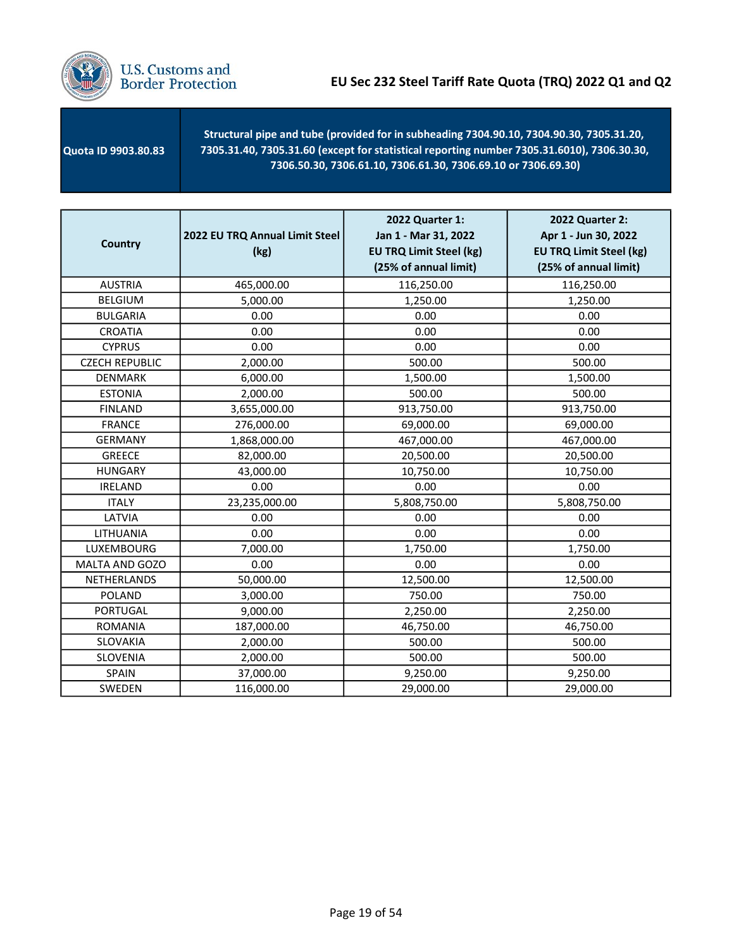

 Quota ID 9903.80.83 Structural pipe and tube (provided for in subheading 7304.90.10, 7304.90.30, 7305.31.20, 7305.31.40, 7305.31.60 (except for statistical reporting number 7305.31.6010), 7306.30.30, 7306.50.30, 7306.61.10, 7306.61.30, 7306.69.10 or 7306.69.30)

| <b>Country</b>        | 2022 EU TRQ Annual Limit Steel<br>(kg) | 2022 Quarter 1:<br>Jan 1 - Mar 31, 2022<br><b>EU TRQ Limit Steel (kg)</b><br>(25% of annual limit) | 2022 Quarter 2:<br>Apr 1 - Jun 30, 2022<br><b>EU TRQ Limit Steel (kg)</b><br>(25% of annual limit) |
|-----------------------|----------------------------------------|----------------------------------------------------------------------------------------------------|----------------------------------------------------------------------------------------------------|
| <b>AUSTRIA</b>        | 465,000.00                             | 116,250.00                                                                                         | 116,250.00                                                                                         |
| <b>BELGIUM</b>        | 5,000.00                               | 1,250.00                                                                                           | 1,250.00                                                                                           |
| <b>BULGARIA</b>       | 0.00                                   | 0.00                                                                                               | 0.00                                                                                               |
| <b>CROATIA</b>        | 0.00                                   | 0.00                                                                                               | 0.00                                                                                               |
| <b>CYPRUS</b>         | 0.00                                   | 0.00                                                                                               | 0.00                                                                                               |
| <b>CZECH REPUBLIC</b> | 2,000.00                               | 500.00                                                                                             | 500.00                                                                                             |
| <b>DENMARK</b>        | 6,000.00                               | 1,500.00                                                                                           | 1,500.00                                                                                           |
| <b>ESTONIA</b>        | 2,000.00                               | 500.00                                                                                             | 500.00                                                                                             |
| <b>FINLAND</b>        | 3,655,000.00                           | 913,750.00                                                                                         | 913,750.00                                                                                         |
| <b>FRANCE</b>         | 276,000.00                             | 69,000.00                                                                                          | 69,000.00                                                                                          |
| <b>GERMANY</b>        | 1,868,000.00                           | 467,000.00                                                                                         | 467,000.00                                                                                         |
| <b>GREECE</b>         | 82,000.00                              | 20,500.00                                                                                          | 20,500.00                                                                                          |
| <b>HUNGARY</b>        | 43,000.00                              | 10,750.00                                                                                          | 10,750.00                                                                                          |
| <b>IRELAND</b>        | 0.00                                   | 0.00                                                                                               | 0.00                                                                                               |
| <b>ITALY</b>          | 23,235,000.00                          | 5,808,750.00                                                                                       | 5,808,750.00                                                                                       |
| LATVIA                | 0.00                                   | 0.00                                                                                               | 0.00                                                                                               |
| LITHUANIA             | 0.00                                   | 0.00                                                                                               | 0.00                                                                                               |
| LUXEMBOURG            | 7,000.00                               | 1,750.00                                                                                           | 1,750.00                                                                                           |
| MALTA AND GOZO        | 0.00                                   | 0.00                                                                                               | 0.00                                                                                               |
| NETHERLANDS           | 50,000.00                              | 12,500.00                                                                                          | 12,500.00                                                                                          |
| <b>POLAND</b>         | 3,000.00                               | 750.00                                                                                             | 750.00                                                                                             |
| <b>PORTUGAL</b>       | 9,000.00                               | 2,250.00                                                                                           | 2,250.00                                                                                           |
| <b>ROMANIA</b>        | 187,000.00                             | 46,750.00                                                                                          | 46,750.00                                                                                          |
| SLOVAKIA              | 2,000.00                               | 500.00                                                                                             | 500.00                                                                                             |
| <b>SLOVENIA</b>       | 2,000.00                               | 500.00                                                                                             | 500.00                                                                                             |
| SPAIN                 | 37,000.00                              | 9,250.00                                                                                           | 9,250.00                                                                                           |
| SWEDEN                | 116,000.00                             | 29,000.00                                                                                          | 29,000.00                                                                                          |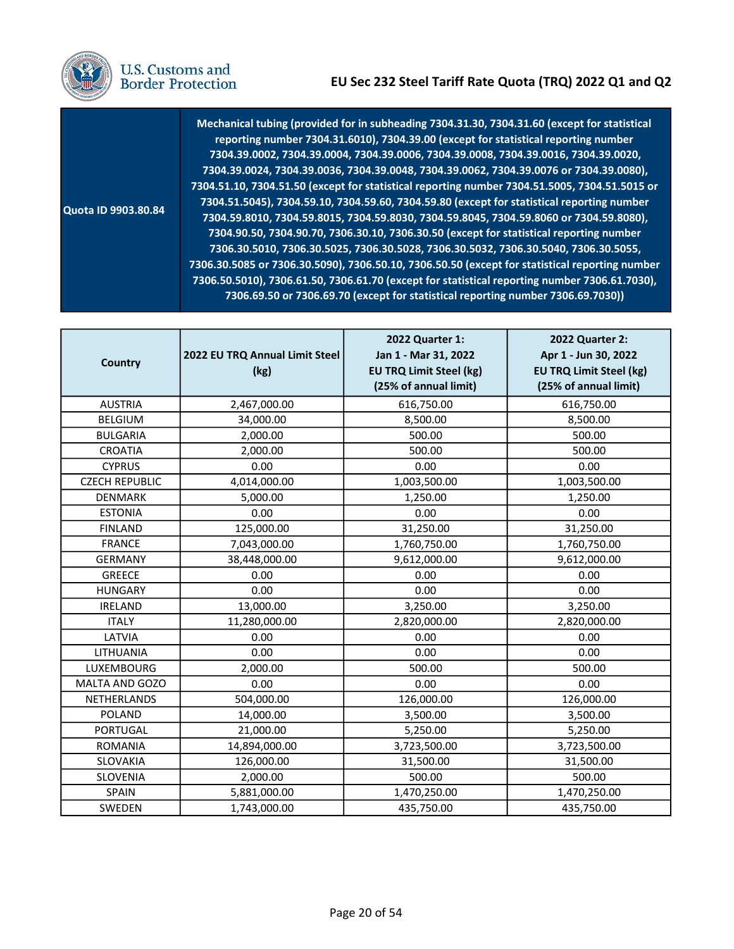

|  | U.S. Customs and<br><b>Border Protection</b> |  |
|--|----------------------------------------------|--|
|--|----------------------------------------------|--|

 Quota ID 9903.80.84 Mechanical tubing (provided for in subheading 7304.31.30, 7304.31.60 (except for statistical reporting number 7304.31.6010), 7304.39.00 (except for statistical reporting number 7304.39.0024, 7304.39.0036, 7304.39.0048, 7304.39.0062, 7304.39.0076 or 7304.39.0080), 7304.51.10, 7304.51.50 (except for statistical reporting number 7304.51.5005, 7304.51.5015 or 7304.51.5045), 7304.59.10, 7304.59.60, 7304.59.80 (except for statistical reporting number 7304.59.8010, 7304.59.8015, 7304.59.8030, 7304.59.8045, 7304.59.8060 or 7304.59.8080), 7304.90.50, 7304.90.70, 7306.30.10, 7306.30.50 (except for statistical reporting number 7306.30.5085 or 7306.30.5090), 7306.50.10, 7306.50.50 (except for statistical reporting number 7306.50.5010), 7306.61.50, 7306.61.70 (except for statistical reporting number 7306.61.7030), 7306.69.50 or 7306.69.70 (except for statistical reporting number 7306.69.7030)) 7304.39.0002, 7304.39.0004, 7304.39.0006, 7304.39.0008, 7304.39.0016, 7304.39.0020, 7306.30.5010, 7306.30.5025, 7306.30.5028, 7306.30.5032, 7306.30.5040, 7306.30.5055,

| <b>Country</b>        | 2022 EU TRQ Annual Limit Steel<br>(kg) | 2022 Quarter 1:<br>Jan 1 - Mar 31, 2022<br><b>EU TRQ Limit Steel (kg)</b><br>(25% of annual limit) | 2022 Quarter 2:<br>Apr 1 - Jun 30, 2022<br><b>EU TRQ Limit Steel (kg)</b><br>(25% of annual limit) |
|-----------------------|----------------------------------------|----------------------------------------------------------------------------------------------------|----------------------------------------------------------------------------------------------------|
| <b>AUSTRIA</b>        | 2,467,000.00                           | 616,750.00                                                                                         | 616,750.00                                                                                         |
| <b>BELGIUM</b>        | 34,000.00                              | 8,500.00                                                                                           | 8,500.00                                                                                           |
| <b>BULGARIA</b>       | 2,000.00                               | 500.00                                                                                             | 500.00                                                                                             |
| CROATIA               | 2,000.00                               | 500.00                                                                                             | 500.00                                                                                             |
| <b>CYPRUS</b>         | 0.00                                   | 0.00                                                                                               | 0.00                                                                                               |
| <b>CZECH REPUBLIC</b> | 4,014,000.00                           | 1,003,500.00                                                                                       | 1,003,500.00                                                                                       |
| <b>DENMARK</b>        | 5,000.00                               | 1,250.00                                                                                           | 1,250.00                                                                                           |
| <b>ESTONIA</b>        | 0.00                                   | 0.00                                                                                               | 0.00                                                                                               |
| <b>FINLAND</b>        | 125,000.00                             | 31,250.00                                                                                          | 31,250.00                                                                                          |
| <b>FRANCE</b>         | 7,043,000.00                           | 1,760,750.00                                                                                       | 1,760,750.00                                                                                       |
| <b>GERMANY</b>        | 38,448,000.00                          | 9,612,000.00                                                                                       | 9,612,000.00                                                                                       |
| <b>GREECE</b>         | 0.00                                   | 0.00                                                                                               | 0.00                                                                                               |
| <b>HUNGARY</b>        | 0.00                                   | 0.00                                                                                               | 0.00                                                                                               |
| <b>IRELAND</b>        | 13,000.00                              | 3,250.00                                                                                           | 3,250.00                                                                                           |
| <b>ITALY</b>          | 11,280,000.00                          | 2,820,000.00                                                                                       | 2,820,000.00                                                                                       |
| LATVIA                | 0.00                                   | 0.00                                                                                               | 0.00                                                                                               |
| LITHUANIA             | 0.00                                   | 0.00                                                                                               | 0.00                                                                                               |
| LUXEMBOURG            | 2,000.00                               | 500.00                                                                                             | 500.00                                                                                             |
| MALTA AND GOZO        | 0.00                                   | 0.00                                                                                               | 0.00                                                                                               |
| NETHERLANDS           | 504,000.00                             | 126,000.00                                                                                         | 126,000.00                                                                                         |
| <b>POLAND</b>         | 14,000.00                              | 3,500.00                                                                                           | 3,500.00                                                                                           |
| <b>PORTUGAL</b>       | 21,000.00                              | 5,250.00                                                                                           | 5,250.00                                                                                           |
| <b>ROMANIA</b>        | 14,894,000.00                          | 3,723,500.00                                                                                       | 3,723,500.00                                                                                       |
| SLOVAKIA              | 126,000.00                             | 31,500.00                                                                                          | 31,500.00                                                                                          |
| SLOVENIA              | 2,000.00                               | 500.00                                                                                             | 500.00                                                                                             |
| SPAIN                 | 5,881,000.00                           | 1,470,250.00                                                                                       | 1,470,250.00                                                                                       |
| SWEDEN                | 1,743,000.00                           | 435,750.00                                                                                         | 435,750.00                                                                                         |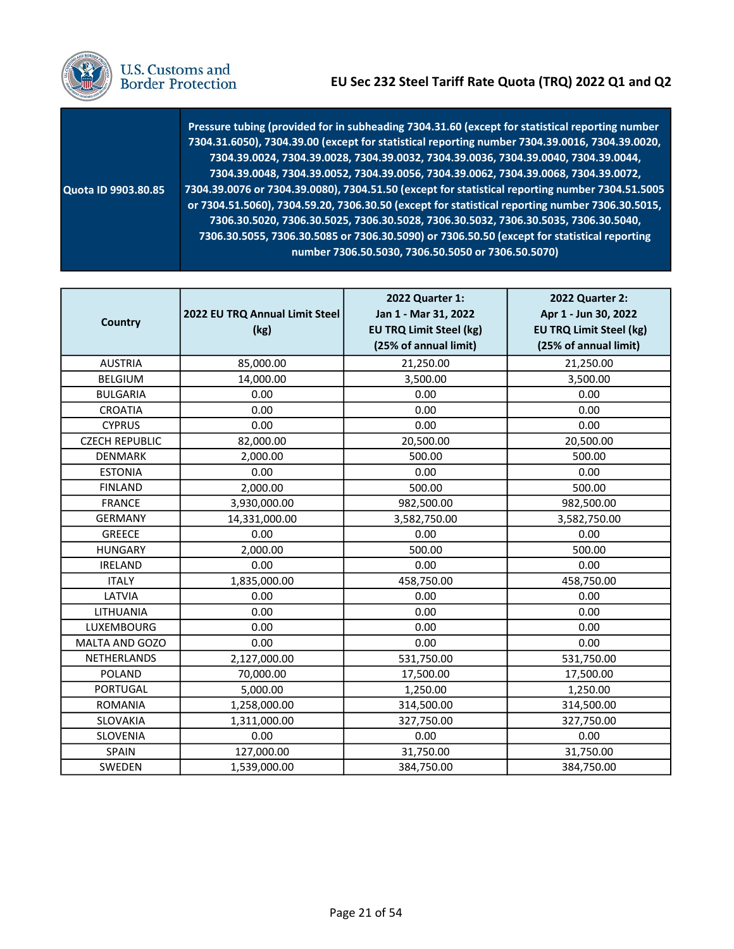

U.S. Customs and<br>Border Protection

|                            | Pressure tubing (provided for in subheading 7304.31.60 (except for statistical reporting number<br>7304.31.6050), 7304.39.00 (except for statistical reporting number 7304.39.0016, 7304.39.0020,<br>7304.39.0024, 7304.39.0028, 7304.39.0032, 7304.39.0036, 7304.39.0040, 7304.39.0044,<br>7304.39.0048, 7304.39.0052, 7304.39.0056, 7304.39.0062, 7304.39.0068, 7304.39.0072, |
|----------------------------|---------------------------------------------------------------------------------------------------------------------------------------------------------------------------------------------------------------------------------------------------------------------------------------------------------------------------------------------------------------------------------|
| <b>Quota ID 9903.80.85</b> | 7304.39.0076 or 7304.39.0080), 7304.51.50 (except for statistical reporting number 7304.51.5005<br>or 7304.51.5060), 7304.59.20, 7306.30.50 (except for statistical reporting number 7306.30.5015,                                                                                                                                                                              |
|                            | 7306.30.5020, 7306.30.5025, 7306.30.5028, 7306.30.5032, 7306.30.5035, 7306.30.5040,<br>7306.30.5055, 7306.30.5085 or 7306.30.5090) or 7306.50.50 (except for statistical reporting<br>number 7306.50.5030, 7306.50.5050 or 7306.50.5070)                                                                                                                                        |

| <b>Country</b>        | 2022 EU TRQ Annual Limit Steel<br>(kg) | 2022 Quarter 1:<br>Jan 1 - Mar 31, 2022<br><b>EU TRQ Limit Steel (kg)</b><br>(25% of annual limit) | 2022 Quarter 2:<br>Apr 1 - Jun 30, 2022<br><b>EU TRQ Limit Steel (kg)</b><br>(25% of annual limit) |
|-----------------------|----------------------------------------|----------------------------------------------------------------------------------------------------|----------------------------------------------------------------------------------------------------|
| <b>AUSTRIA</b>        | 85,000.00                              | 21,250.00                                                                                          | 21,250.00                                                                                          |
| <b>BELGIUM</b>        | 14,000.00                              | 3,500.00                                                                                           | 3,500.00                                                                                           |
| <b>BULGARIA</b>       | 0.00                                   | 0.00                                                                                               | 0.00                                                                                               |
| <b>CROATIA</b>        | 0.00                                   | 0.00                                                                                               | 0.00                                                                                               |
| <b>CYPRUS</b>         | 0.00                                   | 0.00                                                                                               | 0.00                                                                                               |
| <b>CZECH REPUBLIC</b> | 82,000.00                              | 20,500.00                                                                                          | 20,500.00                                                                                          |
| <b>DENMARK</b>        | 2,000.00                               | 500.00                                                                                             | 500.00                                                                                             |
| <b>ESTONIA</b>        | 0.00                                   | 0.00                                                                                               | 0.00                                                                                               |
| <b>FINLAND</b>        | 2,000.00                               | 500.00                                                                                             | 500.00                                                                                             |
| <b>FRANCE</b>         | 3,930,000.00                           | 982,500.00                                                                                         | 982,500.00                                                                                         |
| <b>GERMANY</b>        | 14,331,000.00                          | 3,582,750.00                                                                                       | 3,582,750.00                                                                                       |
| <b>GREECE</b>         | 0.00                                   | 0.00                                                                                               | 0.00                                                                                               |
| <b>HUNGARY</b>        | 2,000.00                               | 500.00                                                                                             | 500.00                                                                                             |
| <b>IRELAND</b>        | 0.00                                   | 0.00                                                                                               | 0.00                                                                                               |
| <b>ITALY</b>          | 1,835,000.00                           | 458,750.00                                                                                         | 458,750.00                                                                                         |
| LATVIA                | 0.00                                   | 0.00                                                                                               | 0.00                                                                                               |
| LITHUANIA             | 0.00                                   | 0.00                                                                                               | 0.00                                                                                               |
| LUXEMBOURG            | 0.00                                   | 0.00                                                                                               | 0.00                                                                                               |
| MALTA AND GOZO        | 0.00                                   | 0.00                                                                                               | 0.00                                                                                               |
| NETHERLANDS           | 2,127,000.00                           | 531,750.00                                                                                         | 531,750.00                                                                                         |
| POLAND                | 70,000.00                              | 17,500.00                                                                                          | 17,500.00                                                                                          |
| <b>PORTUGAL</b>       | 5,000.00                               | 1,250.00                                                                                           | 1,250.00                                                                                           |
| <b>ROMANIA</b>        | 1,258,000.00                           | 314,500.00                                                                                         | 314,500.00                                                                                         |
| SLOVAKIA              | 1,311,000.00                           | 327,750.00                                                                                         | 327,750.00                                                                                         |
| SLOVENIA              | 0.00                                   | 0.00                                                                                               | 0.00                                                                                               |
| SPAIN                 | 127,000.00                             | 31,750.00                                                                                          | 31,750.00                                                                                          |
| SWEDEN                | 1,539,000.00                           | 384,750.00                                                                                         | 384,750.00                                                                                         |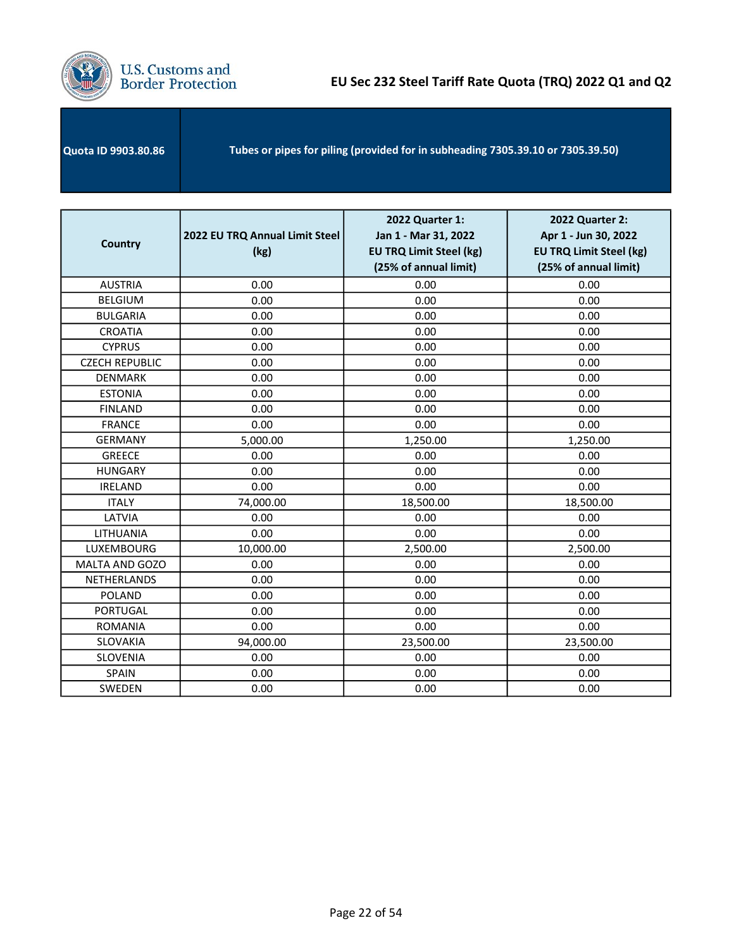

| <b>Country</b>        | 2022 EU TRQ Annual Limit Steel<br>(kg) | 2022 Quarter 1:<br>Jan 1 - Mar 31, 2022<br><b>EU TRQ Limit Steel (kg)</b><br>(25% of annual limit) | 2022 Quarter 2:<br>Apr 1 - Jun 30, 2022<br><b>EU TRQ Limit Steel (kg)</b><br>(25% of annual limit) |
|-----------------------|----------------------------------------|----------------------------------------------------------------------------------------------------|----------------------------------------------------------------------------------------------------|
| <b>AUSTRIA</b>        | 0.00                                   | 0.00                                                                                               | 0.00                                                                                               |
| <b>BELGIUM</b>        | 0.00                                   | 0.00                                                                                               | 0.00                                                                                               |
| <b>BULGARIA</b>       | 0.00                                   | 0.00                                                                                               | 0.00                                                                                               |
| <b>CROATIA</b>        | 0.00                                   | 0.00                                                                                               | 0.00                                                                                               |
| <b>CYPRUS</b>         | 0.00                                   | 0.00                                                                                               | 0.00                                                                                               |
| <b>CZECH REPUBLIC</b> | 0.00                                   | 0.00                                                                                               | 0.00                                                                                               |
| <b>DENMARK</b>        | 0.00                                   | 0.00                                                                                               | 0.00                                                                                               |
| <b>ESTONIA</b>        | 0.00                                   | 0.00                                                                                               | 0.00                                                                                               |
| <b>FINLAND</b>        | 0.00                                   | 0.00                                                                                               | 0.00                                                                                               |
| <b>FRANCE</b>         | 0.00                                   | 0.00                                                                                               | 0.00                                                                                               |
| <b>GERMANY</b>        | 5,000.00                               | 1,250.00                                                                                           | 1,250.00                                                                                           |
| <b>GREECE</b>         | 0.00                                   | 0.00                                                                                               | 0.00                                                                                               |
| <b>HUNGARY</b>        | 0.00                                   | 0.00                                                                                               | 0.00                                                                                               |
| <b>IRELAND</b>        | 0.00                                   | 0.00                                                                                               | 0.00                                                                                               |
| <b>ITALY</b>          | 74,000.00                              | 18,500.00                                                                                          | 18,500.00                                                                                          |
| LATVIA                | 0.00                                   | 0.00                                                                                               | 0.00                                                                                               |
| LITHUANIA             | 0.00                                   | 0.00                                                                                               | 0.00                                                                                               |
| LUXEMBOURG            | 10,000.00                              | 2,500.00                                                                                           | 2,500.00                                                                                           |
| <b>MALTA AND GOZO</b> | 0.00                                   | 0.00                                                                                               | 0.00                                                                                               |
| <b>NETHERLANDS</b>    | 0.00                                   | 0.00                                                                                               | 0.00                                                                                               |
| <b>POLAND</b>         | 0.00                                   | 0.00                                                                                               | 0.00                                                                                               |
| <b>PORTUGAL</b>       | 0.00                                   | 0.00                                                                                               | 0.00                                                                                               |
| <b>ROMANIA</b>        | 0.00                                   | 0.00                                                                                               | 0.00                                                                                               |
| SLOVAKIA              | 94,000.00                              | 23,500.00                                                                                          | 23,500.00                                                                                          |
| SLOVENIA              | 0.00                                   | 0.00                                                                                               | 0.00                                                                                               |
| <b>SPAIN</b>          | 0.00                                   | 0.00                                                                                               | 0.00                                                                                               |
| SWEDEN                | 0.00                                   | 0.00                                                                                               | 0.00                                                                                               |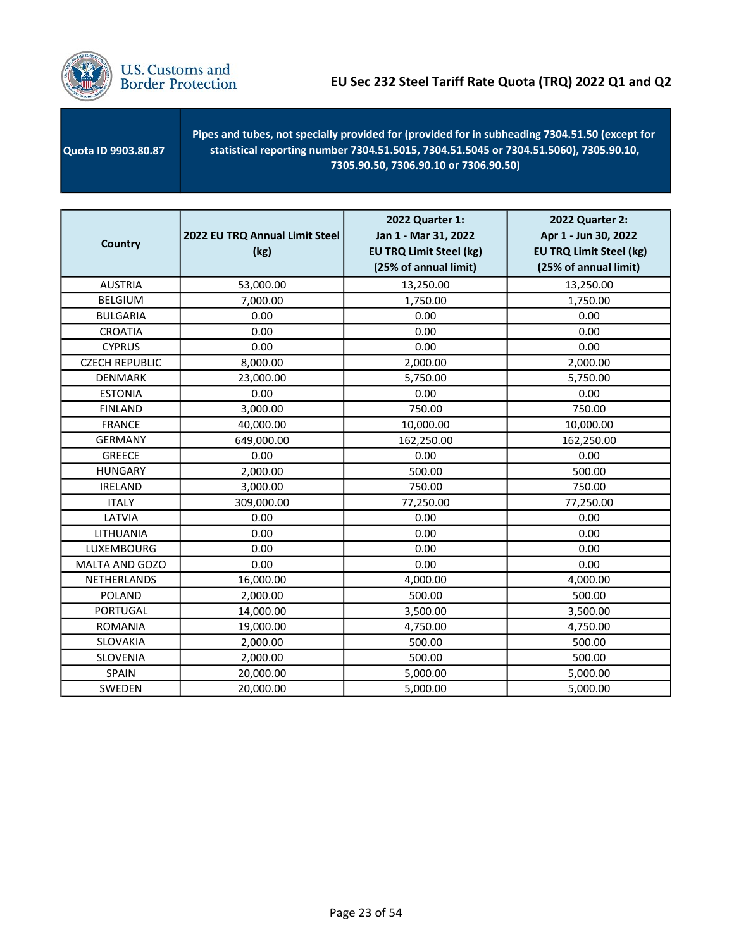

 Quota ID 9903.80.87 Pipes and tubes, not specially provided for (provided for in subheading 7304.51.50 (except for statistical reporting number 7304.51.5015, 7304.51.5045 or 7304.51.5060), 7305.90.10, 7305.90.50, 7306.90.10 or 7306.90.50)

| <b>Country</b>        | 2022 EU TRQ Annual Limit Steel<br>(kg) | 2022 Quarter 1:<br>Jan 1 - Mar 31, 2022<br><b>EU TRQ Limit Steel (kg)</b><br>(25% of annual limit) | <b>2022 Quarter 2:</b><br>Apr 1 - Jun 30, 2022<br><b>EU TRQ Limit Steel (kg)</b><br>(25% of annual limit) |
|-----------------------|----------------------------------------|----------------------------------------------------------------------------------------------------|-----------------------------------------------------------------------------------------------------------|
| <b>AUSTRIA</b>        | 53,000.00                              | 13,250.00                                                                                          | 13,250.00                                                                                                 |
| <b>BELGIUM</b>        | 7,000.00                               | 1,750.00                                                                                           | 1,750.00                                                                                                  |
| <b>BULGARIA</b>       | 0.00                                   | 0.00                                                                                               | 0.00                                                                                                      |
| <b>CROATIA</b>        | 0.00                                   | 0.00                                                                                               | 0.00                                                                                                      |
| <b>CYPRUS</b>         | 0.00                                   | 0.00                                                                                               | 0.00                                                                                                      |
| <b>CZECH REPUBLIC</b> | 8,000.00                               | 2,000.00                                                                                           | 2,000.00                                                                                                  |
| <b>DENMARK</b>        | 23,000.00                              | 5,750.00                                                                                           | 5,750.00                                                                                                  |
| <b>ESTONIA</b>        | 0.00                                   | 0.00                                                                                               | 0.00                                                                                                      |
| <b>FINLAND</b>        | 3,000.00                               | 750.00                                                                                             | 750.00                                                                                                    |
| <b>FRANCE</b>         | 40,000.00                              | 10,000.00                                                                                          | 10,000.00                                                                                                 |
| <b>GERMANY</b>        | 649,000.00                             | 162,250.00                                                                                         | 162,250.00                                                                                                |
| <b>GREECE</b>         | 0.00                                   | 0.00                                                                                               | 0.00                                                                                                      |
| <b>HUNGARY</b>        | 2,000.00                               | 500.00                                                                                             | 500.00                                                                                                    |
| <b>IRELAND</b>        | 3,000.00                               | 750.00                                                                                             | 750.00                                                                                                    |
| <b>ITALY</b>          | 309,000.00                             | 77,250.00                                                                                          | 77,250.00                                                                                                 |
| LATVIA                | 0.00                                   | 0.00                                                                                               | 0.00                                                                                                      |
| LITHUANIA             | 0.00                                   | 0.00                                                                                               | 0.00                                                                                                      |
| LUXEMBOURG            | 0.00                                   | 0.00                                                                                               | 0.00                                                                                                      |
| MALTA AND GOZO        | 0.00                                   | 0.00                                                                                               | 0.00                                                                                                      |
| NETHERLANDS           | 16,000.00                              | 4,000.00                                                                                           | 4,000.00                                                                                                  |
| <b>POLAND</b>         | 2,000.00                               | 500.00                                                                                             | 500.00                                                                                                    |
| <b>PORTUGAL</b>       | 14,000.00                              | 3,500.00                                                                                           | 3,500.00                                                                                                  |
| <b>ROMANIA</b>        | 19,000.00                              | 4,750.00                                                                                           | 4,750.00                                                                                                  |
| SLOVAKIA              | 2,000.00                               | 500.00                                                                                             | 500.00                                                                                                    |
| SLOVENIA              | 2,000.00                               | 500.00                                                                                             | 500.00                                                                                                    |
| <b>SPAIN</b>          | 20,000.00                              | 5,000.00                                                                                           | 5,000.00                                                                                                  |
| SWEDEN                | 20,000.00                              | 5,000.00                                                                                           | 5,000.00                                                                                                  |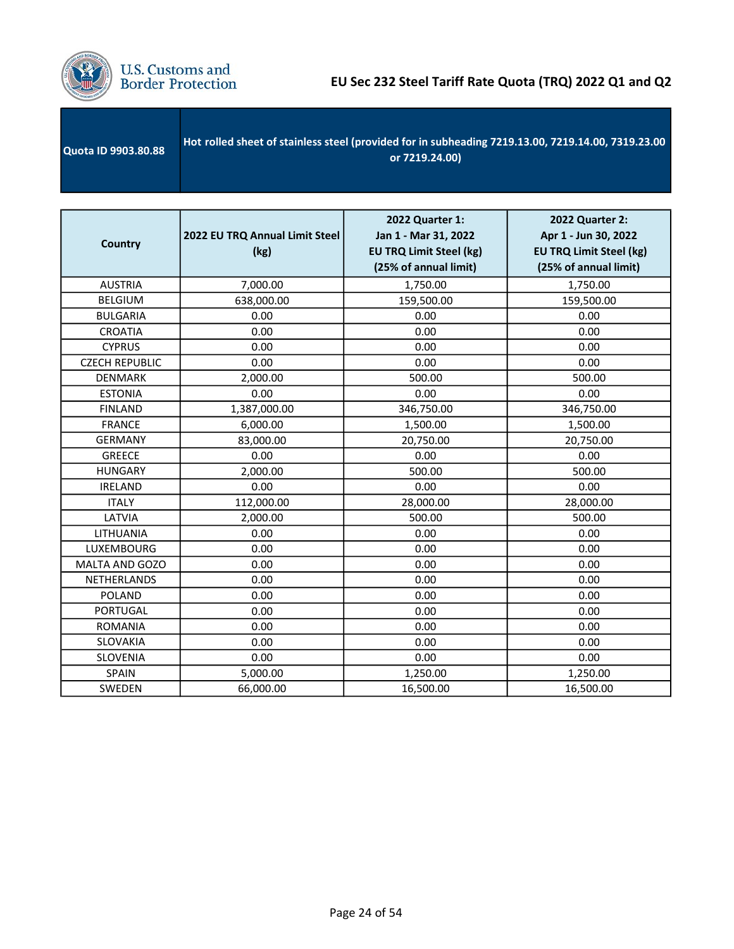

| Quota ID 9903.80.88 | Hot rolled sheet of stainless steel (provided for in subheading 7219.13.00, 7219.14.00, 7319.23.00<br>or 7219.24.00) |
|---------------------|----------------------------------------------------------------------------------------------------------------------|
|                     |                                                                                                                      |

| <b>Country</b>        | 2022 EU TRQ Annual Limit Steel<br>(kg) | 2022 Quarter 1:<br>Jan 1 - Mar 31, 2022<br><b>EU TRQ Limit Steel (kg)</b><br>(25% of annual limit) | 2022 Quarter 2:<br>Apr 1 - Jun 30, 2022<br><b>EU TRQ Limit Steel (kg)</b><br>(25% of annual limit) |
|-----------------------|----------------------------------------|----------------------------------------------------------------------------------------------------|----------------------------------------------------------------------------------------------------|
| <b>AUSTRIA</b>        | 7,000.00                               | 1,750.00                                                                                           | 1,750.00                                                                                           |
| <b>BELGIUM</b>        | 638,000.00                             | 159,500.00                                                                                         | 159,500.00                                                                                         |
| <b>BULGARIA</b>       | 0.00                                   | 0.00                                                                                               | 0.00                                                                                               |
| <b>CROATIA</b>        | 0.00                                   | 0.00                                                                                               | 0.00                                                                                               |
| <b>CYPRUS</b>         | 0.00                                   | 0.00                                                                                               | 0.00                                                                                               |
| <b>CZECH REPUBLIC</b> | 0.00                                   | 0.00                                                                                               | 0.00                                                                                               |
| DENMARK               | 2,000.00                               | 500.00                                                                                             | 500.00                                                                                             |
| <b>ESTONIA</b>        | 0.00                                   | 0.00                                                                                               | 0.00                                                                                               |
| <b>FINLAND</b>        | 1,387,000.00                           | 346,750.00                                                                                         | 346,750.00                                                                                         |
| <b>FRANCE</b>         | 6,000.00                               | 1,500.00                                                                                           | 1,500.00                                                                                           |
| <b>GERMANY</b>        | 83,000.00                              | 20,750.00                                                                                          | 20,750.00                                                                                          |
| <b>GREECE</b>         | 0.00                                   | 0.00                                                                                               | 0.00                                                                                               |
| <b>HUNGARY</b>        | 2,000.00                               | 500.00                                                                                             | 500.00                                                                                             |
| <b>IRELAND</b>        | 0.00                                   | 0.00                                                                                               | 0.00                                                                                               |
| <b>ITALY</b>          | 112,000.00                             | 28,000.00                                                                                          | 28,000.00                                                                                          |
| LATVIA                | 2,000.00                               | 500.00                                                                                             | 500.00                                                                                             |
| LITHUANIA             | 0.00                                   | 0.00                                                                                               | 0.00                                                                                               |
| LUXEMBOURG            | 0.00                                   | 0.00                                                                                               | 0.00                                                                                               |
| MALTA AND GOZO        | 0.00                                   | 0.00                                                                                               | 0.00                                                                                               |
| NETHERLANDS           | 0.00                                   | 0.00                                                                                               | 0.00                                                                                               |
| <b>POLAND</b>         | 0.00                                   | 0.00                                                                                               | 0.00                                                                                               |
| <b>PORTUGAL</b>       | 0.00                                   | 0.00                                                                                               | 0.00                                                                                               |
| <b>ROMANIA</b>        | 0.00                                   | 0.00                                                                                               | 0.00                                                                                               |
| <b>SLOVAKIA</b>       | 0.00                                   | 0.00                                                                                               | 0.00                                                                                               |
| SLOVENIA              | 0.00                                   | 0.00                                                                                               | 0.00                                                                                               |
| SPAIN                 | 5,000.00                               | 1,250.00                                                                                           | 1,250.00                                                                                           |
| SWEDEN                | 66,000.00                              | 16,500.00                                                                                          | 16,500.00                                                                                          |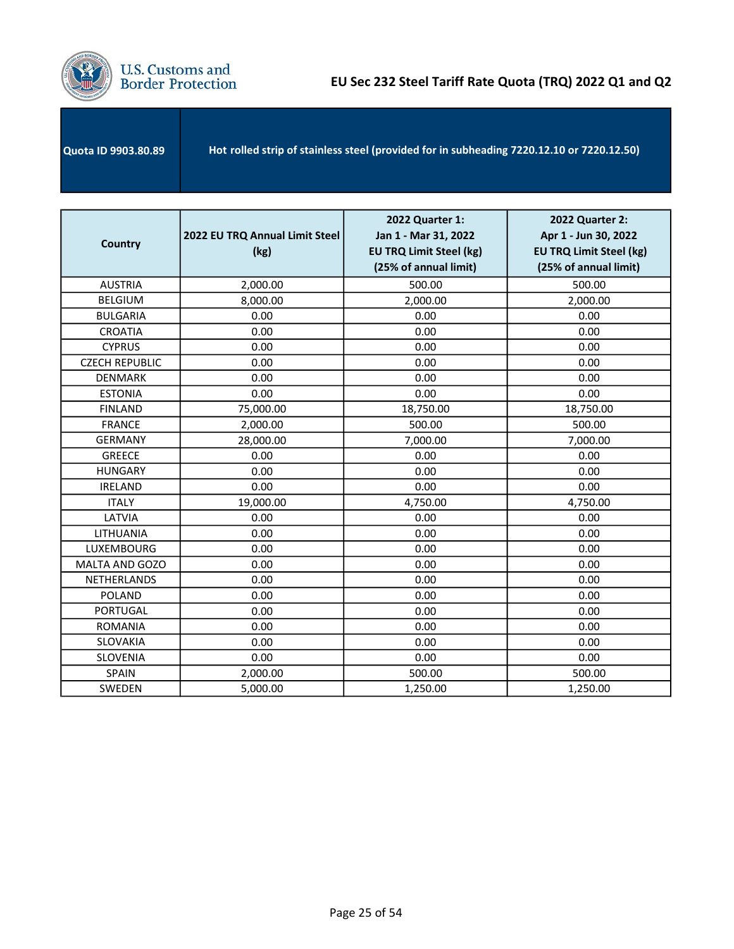

| Hot rolled strip of stainless steel (provided for in subheading 7220.12.10 or 7220.12.50)<br><b>Quota ID 9903.80.89</b> |  |
|-------------------------------------------------------------------------------------------------------------------------|--|
|-------------------------------------------------------------------------------------------------------------------------|--|

| <b>Country</b>        | 2022 EU TRQ Annual Limit Steel<br>(kg) | 2022 Quarter 1:<br>Jan 1 - Mar 31, 2022<br><b>EU TRQ Limit Steel (kg)</b><br>(25% of annual limit) | 2022 Quarter 2:<br>Apr 1 - Jun 30, 2022<br><b>EU TRQ Limit Steel (kg)</b><br>(25% of annual limit) |
|-----------------------|----------------------------------------|----------------------------------------------------------------------------------------------------|----------------------------------------------------------------------------------------------------|
| <b>AUSTRIA</b>        | 2,000.00                               | 500.00                                                                                             | 500.00                                                                                             |
| <b>BELGIUM</b>        | 8,000.00                               | 2,000.00                                                                                           | 2,000.00                                                                                           |
| <b>BULGARIA</b>       | 0.00                                   | 0.00                                                                                               | 0.00                                                                                               |
| <b>CROATIA</b>        | 0.00                                   | 0.00                                                                                               | 0.00                                                                                               |
| <b>CYPRUS</b>         | 0.00                                   | 0.00                                                                                               | 0.00                                                                                               |
| <b>CZECH REPUBLIC</b> | 0.00                                   | 0.00                                                                                               | 0.00                                                                                               |
| <b>DENMARK</b>        | 0.00                                   | 0.00                                                                                               | 0.00                                                                                               |
| <b>ESTONIA</b>        | 0.00                                   | 0.00                                                                                               | 0.00                                                                                               |
| <b>FINLAND</b>        | 75,000.00                              | 18,750.00                                                                                          | 18,750.00                                                                                          |
| <b>FRANCE</b>         | 2,000.00                               | 500.00                                                                                             | 500.00                                                                                             |
| <b>GERMANY</b>        | 28,000.00                              | 7,000.00                                                                                           | 7,000.00                                                                                           |
| <b>GREECE</b>         | 0.00                                   | 0.00                                                                                               | 0.00                                                                                               |
| <b>HUNGARY</b>        | 0.00                                   | 0.00                                                                                               | 0.00                                                                                               |
| <b>IRELAND</b>        | 0.00                                   | 0.00                                                                                               | 0.00                                                                                               |
| <b>ITALY</b>          | 19,000.00                              | 4,750.00                                                                                           | 4,750.00                                                                                           |
| LATVIA                | 0.00                                   | 0.00                                                                                               | 0.00                                                                                               |
| LITHUANIA             | 0.00                                   | 0.00                                                                                               | 0.00                                                                                               |
| LUXEMBOURG            | 0.00                                   | 0.00                                                                                               | 0.00                                                                                               |
| <b>MALTA AND GOZO</b> | 0.00                                   | 0.00                                                                                               | 0.00                                                                                               |
| NETHERLANDS           | 0.00                                   | 0.00                                                                                               | 0.00                                                                                               |
| <b>POLAND</b>         | 0.00                                   | 0.00                                                                                               | 0.00                                                                                               |
| <b>PORTUGAL</b>       | 0.00                                   | 0.00                                                                                               | 0.00                                                                                               |
| <b>ROMANIA</b>        | 0.00                                   | 0.00                                                                                               | 0.00                                                                                               |
| SLOVAKIA              | 0.00                                   | 0.00                                                                                               | 0.00                                                                                               |
| SLOVENIA              | 0.00                                   | 0.00                                                                                               | 0.00                                                                                               |
| <b>SPAIN</b>          | 2,000.00                               | 500.00                                                                                             | 500.00                                                                                             |
| SWEDEN                | 5,000.00                               | 1,250.00                                                                                           | 1,250.00                                                                                           |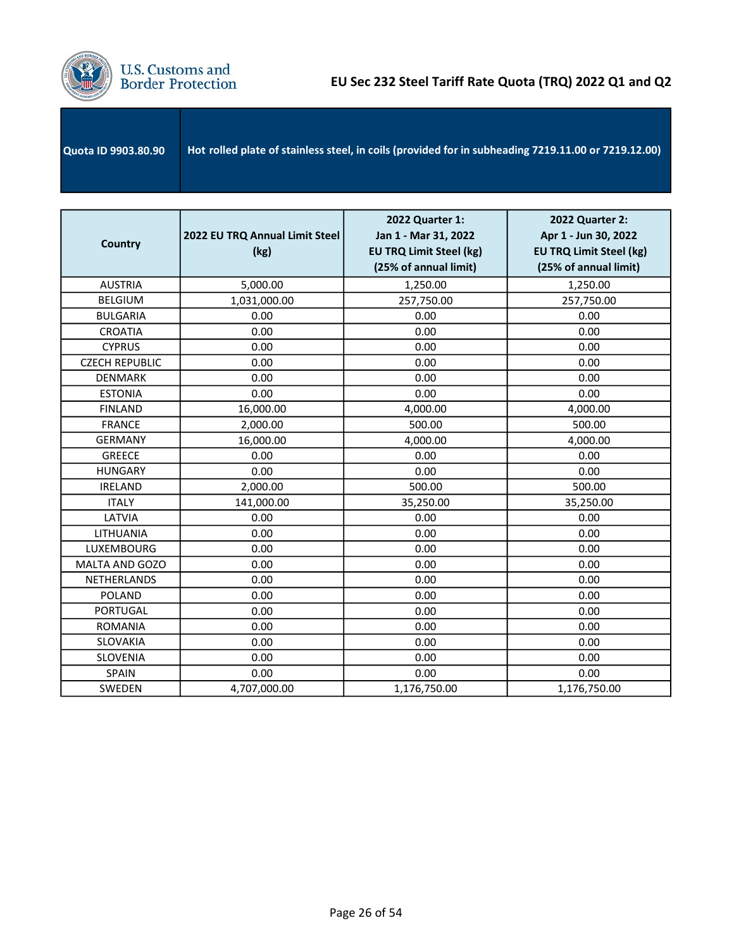

| Quota ID 9903.80.90 | Hot rolled plate of stainless steel, in coils (provided for in subheading 7219.11.00 or 7219.12.00) |
|---------------------|-----------------------------------------------------------------------------------------------------|
|                     |                                                                                                     |

| <b>Country</b>        | 2022 EU TRQ Annual Limit Steel<br>(kg) | 2022 Quarter 1:<br>Jan 1 - Mar 31, 2022<br><b>EU TRQ Limit Steel (kg)</b><br>(25% of annual limit) | <b>2022 Quarter 2:</b><br>Apr 1 - Jun 30, 2022<br><b>EU TRQ Limit Steel (kg)</b><br>(25% of annual limit) |
|-----------------------|----------------------------------------|----------------------------------------------------------------------------------------------------|-----------------------------------------------------------------------------------------------------------|
| <b>AUSTRIA</b>        | 5,000.00                               | 1,250.00                                                                                           | 1,250.00                                                                                                  |
| <b>BELGIUM</b>        | 1,031,000.00                           | 257,750.00                                                                                         | 257,750.00                                                                                                |
| <b>BULGARIA</b>       | 0.00                                   | 0.00                                                                                               | 0.00                                                                                                      |
| <b>CROATIA</b>        | 0.00                                   | 0.00                                                                                               | 0.00                                                                                                      |
| <b>CYPRUS</b>         | 0.00                                   | 0.00                                                                                               | 0.00                                                                                                      |
| <b>CZECH REPUBLIC</b> | 0.00                                   | 0.00                                                                                               | 0.00                                                                                                      |
| <b>DENMARK</b>        | 0.00                                   | 0.00                                                                                               | 0.00                                                                                                      |
| <b>ESTONIA</b>        | 0.00                                   | 0.00                                                                                               | 0.00                                                                                                      |
| <b>FINLAND</b>        | 16,000.00                              | 4,000.00                                                                                           | 4,000.00                                                                                                  |
| <b>FRANCE</b>         | 2,000.00                               | 500.00                                                                                             | 500.00                                                                                                    |
| <b>GERMANY</b>        | 16,000.00                              | 4,000.00                                                                                           | 4,000.00                                                                                                  |
| <b>GREECE</b>         | 0.00                                   | 0.00                                                                                               | 0.00                                                                                                      |
| <b>HUNGARY</b>        | 0.00                                   | 0.00                                                                                               | 0.00                                                                                                      |
| <b>IRELAND</b>        | 2,000.00                               | 500.00                                                                                             | 500.00                                                                                                    |
| <b>ITALY</b>          | 141,000.00                             | 35,250.00                                                                                          | 35,250.00                                                                                                 |
| LATVIA                | 0.00                                   | 0.00                                                                                               | 0.00                                                                                                      |
| LITHUANIA             | 0.00                                   | 0.00                                                                                               | 0.00                                                                                                      |
| LUXEMBOURG            | 0.00                                   | 0.00                                                                                               | 0.00                                                                                                      |
| MALTA AND GOZO        | 0.00                                   | 0.00                                                                                               | 0.00                                                                                                      |
| <b>NETHERLANDS</b>    | 0.00                                   | 0.00                                                                                               | 0.00                                                                                                      |
| <b>POLAND</b>         | 0.00                                   | 0.00                                                                                               | 0.00                                                                                                      |
| <b>PORTUGAL</b>       | 0.00                                   | 0.00                                                                                               | 0.00                                                                                                      |
| <b>ROMANIA</b>        | 0.00                                   | 0.00                                                                                               | 0.00                                                                                                      |
| SLOVAKIA              | 0.00                                   | 0.00                                                                                               | 0.00                                                                                                      |
| SLOVENIA              | 0.00                                   | 0.00                                                                                               | 0.00                                                                                                      |
| <b>SPAIN</b>          | 0.00                                   | 0.00                                                                                               | 0.00                                                                                                      |
| SWEDEN                | 4,707,000.00                           | 1,176,750.00                                                                                       | 1,176,750.00                                                                                              |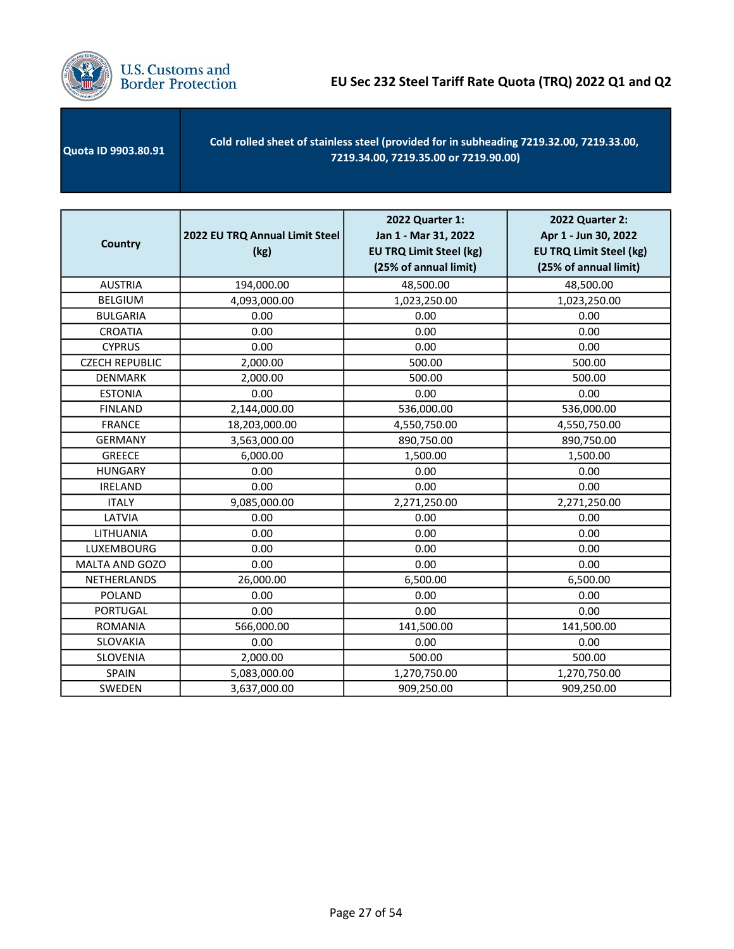

| Quota ID 9903.80.91 | Cold rolled sheet of stainless steel (provided for in subheading 7219.32.00, 7219.33.00,<br>7219.34.00, 7219.35.00 or 7219.90.00) |
|---------------------|-----------------------------------------------------------------------------------------------------------------------------------|
|---------------------|-----------------------------------------------------------------------------------------------------------------------------------|

| <b>Country</b>        | 2022 EU TRQ Annual Limit Steel<br>(kg) | 2022 Quarter 1:<br>Jan 1 - Mar 31, 2022<br><b>EU TRQ Limit Steel (kg)</b><br>(25% of annual limit) | 2022 Quarter 2:<br>Apr 1 - Jun 30, 2022<br><b>EU TRQ Limit Steel (kg)</b><br>(25% of annual limit) |
|-----------------------|----------------------------------------|----------------------------------------------------------------------------------------------------|----------------------------------------------------------------------------------------------------|
| <b>AUSTRIA</b>        | 194,000.00                             | 48,500.00                                                                                          | 48,500.00                                                                                          |
| <b>BELGIUM</b>        | 4,093,000.00                           | 1,023,250.00                                                                                       | 1,023,250.00                                                                                       |
| <b>BULGARIA</b>       | 0.00                                   | 0.00                                                                                               | 0.00                                                                                               |
| <b>CROATIA</b>        | 0.00                                   | 0.00                                                                                               | 0.00                                                                                               |
| <b>CYPRUS</b>         | 0.00                                   | 0.00                                                                                               | 0.00                                                                                               |
| <b>CZECH REPUBLIC</b> | 2,000.00                               | 500.00                                                                                             | 500.00                                                                                             |
| <b>DENMARK</b>        | 2,000.00                               | 500.00                                                                                             | 500.00                                                                                             |
| <b>ESTONIA</b>        | 0.00                                   | 0.00                                                                                               | 0.00                                                                                               |
| <b>FINLAND</b>        | 2,144,000.00                           | 536,000.00                                                                                         | 536,000.00                                                                                         |
| <b>FRANCE</b>         | 18,203,000.00                          | 4,550,750.00                                                                                       | 4,550,750.00                                                                                       |
| <b>GERMANY</b>        | 3,563,000.00                           | 890,750.00                                                                                         | 890,750.00                                                                                         |
| <b>GREECE</b>         | 6,000.00                               | 1,500.00                                                                                           | 1,500.00                                                                                           |
| <b>HUNGARY</b>        | 0.00                                   | 0.00                                                                                               | 0.00                                                                                               |
| <b>IRELAND</b>        | 0.00                                   | 0.00                                                                                               | 0.00                                                                                               |
| <b>ITALY</b>          | 9,085,000.00                           | 2,271,250.00                                                                                       | 2,271,250.00                                                                                       |
| LATVIA                | 0.00                                   | 0.00                                                                                               | 0.00                                                                                               |
| LITHUANIA             | 0.00                                   | 0.00                                                                                               | 0.00                                                                                               |
| LUXEMBOURG            | 0.00                                   | 0.00                                                                                               | 0.00                                                                                               |
| MALTA AND GOZO        | 0.00                                   | 0.00                                                                                               | 0.00                                                                                               |
| NETHERLANDS           | 26,000.00                              | 6,500.00                                                                                           | 6,500.00                                                                                           |
| <b>POLAND</b>         | 0.00                                   | 0.00                                                                                               | 0.00                                                                                               |
| <b>PORTUGAL</b>       | 0.00                                   | 0.00                                                                                               | 0.00                                                                                               |
| <b>ROMANIA</b>        | 566,000.00                             | 141,500.00                                                                                         | 141,500.00                                                                                         |
| SLOVAKIA              | 0.00                                   | 0.00                                                                                               | 0.00                                                                                               |
| <b>SLOVENIA</b>       | 2,000.00                               | 500.00                                                                                             | 500.00                                                                                             |
| SPAIN                 | 5,083,000.00                           | 1,270,750.00                                                                                       | 1,270,750.00                                                                                       |
| SWEDEN                | 3,637,000.00                           | 909,250.00                                                                                         | 909,250.00                                                                                         |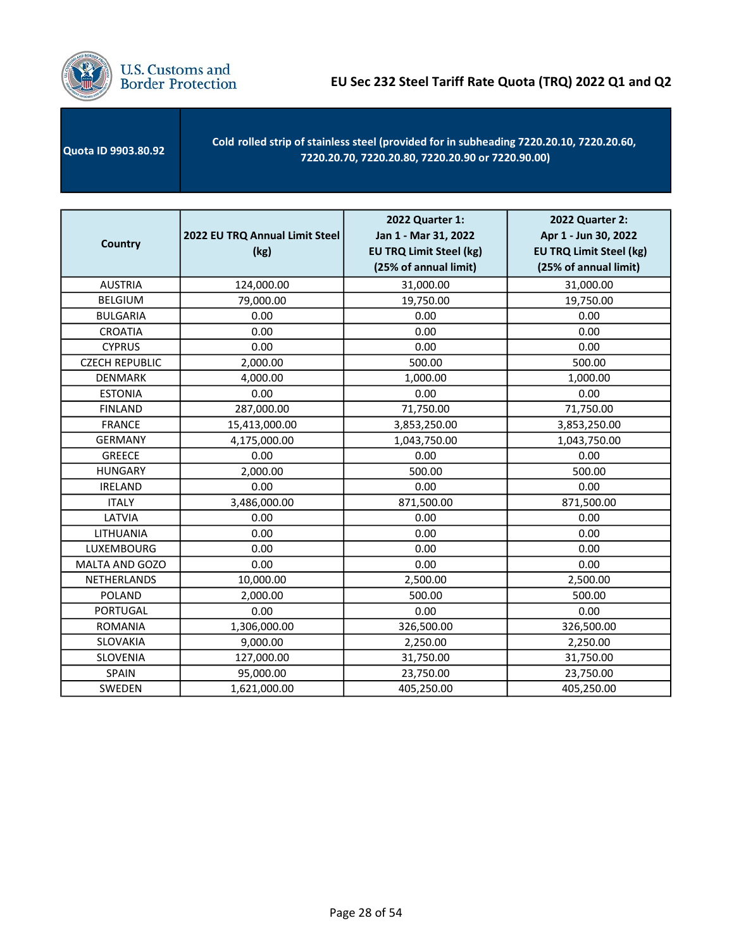

Quota ID 9903.80.92 Cold rolled strip of stainless steel (provided for in subheading 7220.20.10, 7220.20.60, 7220.20.70, 7220.20.80, 7220.20.90 or 7220.90.00)

| <b>Country</b>        | 2022 EU TRQ Annual Limit Steel<br>(kg) | 2022 Quarter 1:<br>Jan 1 - Mar 31, 2022<br><b>EU TRQ Limit Steel (kg)</b><br>(25% of annual limit) | 2022 Quarter 2:<br>Apr 1 - Jun 30, 2022<br><b>EU TRQ Limit Steel (kg)</b><br>(25% of annual limit) |
|-----------------------|----------------------------------------|----------------------------------------------------------------------------------------------------|----------------------------------------------------------------------------------------------------|
| <b>AUSTRIA</b>        | 124,000.00                             | 31,000.00                                                                                          | 31,000.00                                                                                          |
| <b>BELGIUM</b>        | 79,000.00                              | 19,750.00                                                                                          | 19,750.00                                                                                          |
| <b>BULGARIA</b>       | 0.00                                   | 0.00                                                                                               | 0.00                                                                                               |
| <b>CROATIA</b>        | 0.00                                   | 0.00                                                                                               | 0.00                                                                                               |
| <b>CYPRUS</b>         | 0.00                                   | 0.00                                                                                               | 0.00                                                                                               |
| <b>CZECH REPUBLIC</b> | 2,000.00                               | 500.00                                                                                             | 500.00                                                                                             |
| <b>DENMARK</b>        | 4,000.00                               | 1,000.00                                                                                           | 1,000.00                                                                                           |
| <b>ESTONIA</b>        | 0.00                                   | 0.00                                                                                               | 0.00                                                                                               |
| <b>FINLAND</b>        | 287,000.00                             | 71,750.00                                                                                          | 71,750.00                                                                                          |
| <b>FRANCE</b>         | 15,413,000.00                          | 3,853,250.00                                                                                       | 3,853,250.00                                                                                       |
| <b>GERMANY</b>        | 4,175,000.00                           | 1,043,750.00                                                                                       | 1,043,750.00                                                                                       |
| <b>GREECE</b>         | 0.00                                   | 0.00                                                                                               | 0.00                                                                                               |
| <b>HUNGARY</b>        | 2,000.00                               | 500.00                                                                                             | 500.00                                                                                             |
| <b>IRELAND</b>        | 0.00                                   | 0.00                                                                                               | 0.00                                                                                               |
| <b>ITALY</b>          | 3,486,000.00                           | 871,500.00                                                                                         | 871,500.00                                                                                         |
| LATVIA                | 0.00                                   | 0.00                                                                                               | 0.00                                                                                               |
| LITHUANIA             | 0.00                                   | 0.00                                                                                               | 0.00                                                                                               |
| LUXEMBOURG            | 0.00                                   | 0.00                                                                                               | 0.00                                                                                               |
| MALTA AND GOZO        | 0.00                                   | 0.00                                                                                               | 0.00                                                                                               |
| NETHERLANDS           | 10,000.00                              | 2,500.00                                                                                           | 2,500.00                                                                                           |
| <b>POLAND</b>         | 2,000.00                               | 500.00                                                                                             | 500.00                                                                                             |
| <b>PORTUGAL</b>       | 0.00                                   | 0.00                                                                                               | 0.00                                                                                               |
| <b>ROMANIA</b>        | 1,306,000.00                           | 326,500.00                                                                                         | 326,500.00                                                                                         |
| SLOVAKIA              | 9,000.00                               | 2,250.00                                                                                           | 2,250.00                                                                                           |
| SLOVENIA              | 127,000.00                             | 31,750.00                                                                                          | 31,750.00                                                                                          |
| <b>SPAIN</b>          | 95,000.00                              | 23,750.00                                                                                          | 23,750.00                                                                                          |
| <b>SWEDEN</b>         | 1,621,000.00                           | 405,250.00                                                                                         | 405,250.00                                                                                         |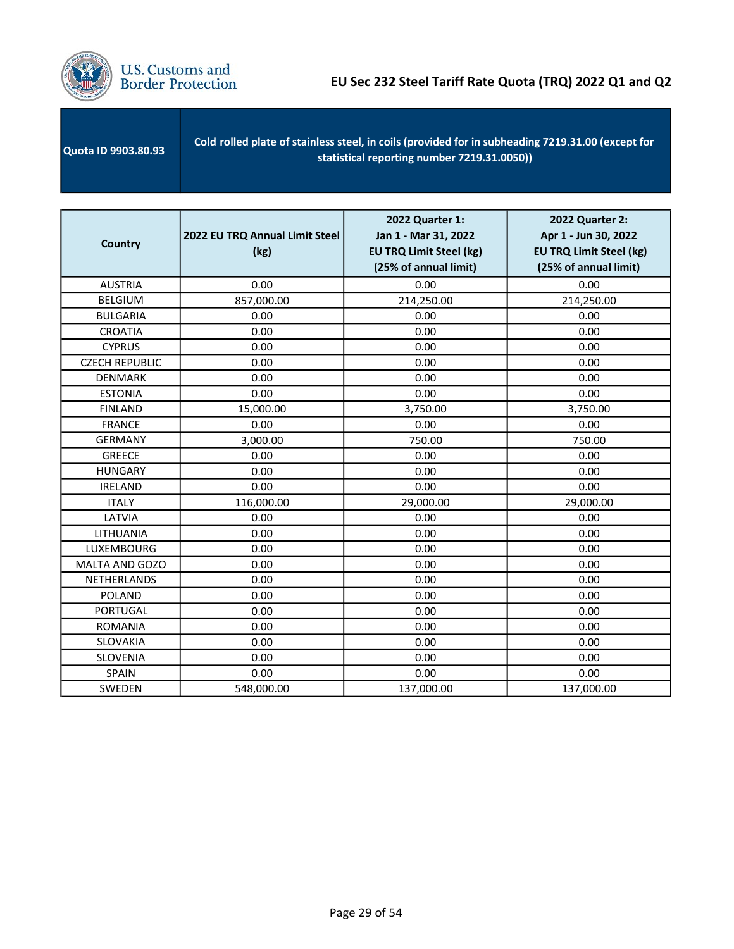

| <b>Quota ID 9903.80.93</b> | Cold rolled plate of stainless steel, in coils (provided for in subheading 7219.31.00 (except for<br>statistical reporting number 7219.31.0050) |
|----------------------------|-------------------------------------------------------------------------------------------------------------------------------------------------|
|                            |                                                                                                                                                 |

| <b>Country</b>        | 2022 EU TRQ Annual Limit Steel<br>(kg) | 2022 Quarter 1:<br>Jan 1 - Mar 31, 2022<br><b>EU TRQ Limit Steel (kg)</b><br>(25% of annual limit) | 2022 Quarter 2:<br>Apr 1 - Jun 30, 2022<br><b>EU TRQ Limit Steel (kg)</b><br>(25% of annual limit) |
|-----------------------|----------------------------------------|----------------------------------------------------------------------------------------------------|----------------------------------------------------------------------------------------------------|
| <b>AUSTRIA</b>        | 0.00                                   | 0.00                                                                                               | 0.00                                                                                               |
| <b>BELGIUM</b>        | 857,000.00                             | 214,250.00                                                                                         | 214,250.00                                                                                         |
| <b>BULGARIA</b>       | 0.00                                   | 0.00                                                                                               | 0.00                                                                                               |
| <b>CROATIA</b>        | 0.00                                   | 0.00                                                                                               | 0.00                                                                                               |
| <b>CYPRUS</b>         | 0.00                                   | 0.00                                                                                               | 0.00                                                                                               |
| <b>CZECH REPUBLIC</b> | 0.00                                   | 0.00                                                                                               | 0.00                                                                                               |
| <b>DENMARK</b>        | 0.00                                   | 0.00                                                                                               | 0.00                                                                                               |
| <b>ESTONIA</b>        | 0.00                                   | 0.00                                                                                               | 0.00                                                                                               |
| <b>FINLAND</b>        | 15,000.00                              | 3,750.00                                                                                           | 3,750.00                                                                                           |
| <b>FRANCE</b>         | 0.00                                   | 0.00                                                                                               | 0.00                                                                                               |
| <b>GERMANY</b>        | 3,000.00                               | 750.00                                                                                             | 750.00                                                                                             |
| <b>GREECE</b>         | 0.00                                   | 0.00                                                                                               | 0.00                                                                                               |
| <b>HUNGARY</b>        | 0.00                                   | 0.00                                                                                               | 0.00                                                                                               |
| <b>IRELAND</b>        | 0.00                                   | 0.00                                                                                               | 0.00                                                                                               |
| <b>ITALY</b>          | 116,000.00                             | 29,000.00                                                                                          | 29,000.00                                                                                          |
| LATVIA                | 0.00                                   | 0.00                                                                                               | 0.00                                                                                               |
| LITHUANIA             | 0.00                                   | 0.00                                                                                               | 0.00                                                                                               |
| <b>LUXEMBOURG</b>     | 0.00                                   | 0.00                                                                                               | 0.00                                                                                               |
| MALTA AND GOZO        | 0.00                                   | 0.00                                                                                               | 0.00                                                                                               |
| NETHERLANDS           | 0.00                                   | 0.00                                                                                               | 0.00                                                                                               |
| <b>POLAND</b>         | 0.00                                   | 0.00                                                                                               | 0.00                                                                                               |
| <b>PORTUGAL</b>       | 0.00                                   | 0.00                                                                                               | 0.00                                                                                               |
| <b>ROMANIA</b>        | 0.00                                   | 0.00                                                                                               | 0.00                                                                                               |
| SLOVAKIA              | 0.00                                   | 0.00                                                                                               | 0.00                                                                                               |
| SLOVENIA              | 0.00                                   | 0.00                                                                                               | 0.00                                                                                               |
| SPAIN                 | 0.00                                   | 0.00                                                                                               | 0.00                                                                                               |
| SWEDEN                | 548,000.00                             | 137,000.00                                                                                         | 137,000.00                                                                                         |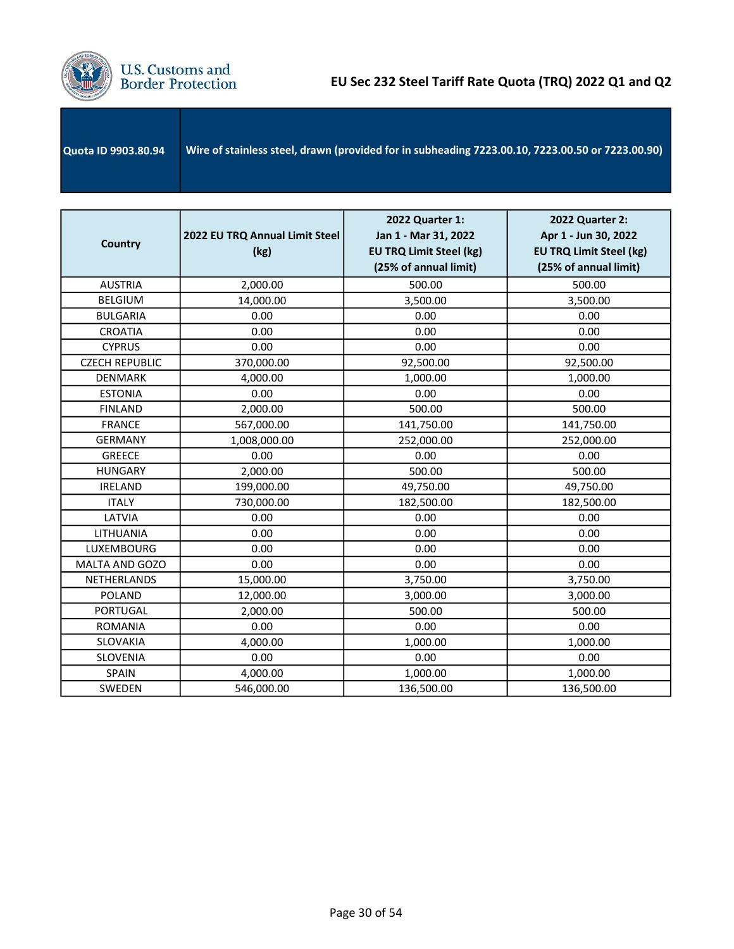

| <b>Quota ID 9903.80.94</b> | Wire of stainless steel, drawn (provided for in subheading 7223.00.10, 7223.00.50 or 7223.00.90) |
|----------------------------|--------------------------------------------------------------------------------------------------|
|                            |                                                                                                  |

| <b>Country</b>        | 2022 EU TRQ Annual Limit Steel<br>(kg) | 2022 Quarter 1:<br>Jan 1 - Mar 31, 2022<br><b>EU TRQ Limit Steel (kg)</b><br>(25% of annual limit) | 2022 Quarter 2:<br>Apr 1 - Jun 30, 2022<br><b>EU TRQ Limit Steel (kg)</b><br>(25% of annual limit) |
|-----------------------|----------------------------------------|----------------------------------------------------------------------------------------------------|----------------------------------------------------------------------------------------------------|
| <b>AUSTRIA</b>        | 2,000.00                               | 500.00                                                                                             | 500.00                                                                                             |
| <b>BELGIUM</b>        | 14,000.00                              | 3,500.00                                                                                           | 3,500.00                                                                                           |
| <b>BULGARIA</b>       | 0.00                                   | 0.00                                                                                               | 0.00                                                                                               |
| <b>CROATIA</b>        | 0.00                                   | 0.00                                                                                               | 0.00                                                                                               |
| <b>CYPRUS</b>         | 0.00                                   | 0.00                                                                                               | 0.00                                                                                               |
| <b>CZECH REPUBLIC</b> | 370,000.00                             | 92,500.00                                                                                          | 92,500.00                                                                                          |
| <b>DENMARK</b>        | 4,000.00                               | 1,000.00                                                                                           | 1,000.00                                                                                           |
| <b>ESTONIA</b>        | 0.00                                   | 0.00                                                                                               | 0.00                                                                                               |
| <b>FINLAND</b>        | 2,000.00                               | 500.00                                                                                             | 500.00                                                                                             |
| <b>FRANCE</b>         | 567,000.00                             | 141,750.00                                                                                         | 141,750.00                                                                                         |
| <b>GERMANY</b>        | 1,008,000.00                           | 252,000.00                                                                                         | 252,000.00                                                                                         |
| <b>GREECE</b>         | 0.00                                   | 0.00                                                                                               | 0.00                                                                                               |
| <b>HUNGARY</b>        | 2,000.00                               | 500.00                                                                                             | 500.00                                                                                             |
| <b>IRELAND</b>        | 199,000.00                             | 49,750.00                                                                                          | 49,750.00                                                                                          |
| <b>ITALY</b>          | 730,000.00                             | 182,500.00                                                                                         | 182,500.00                                                                                         |
| LATVIA                | 0.00                                   | 0.00                                                                                               | 0.00                                                                                               |
| LITHUANIA             | 0.00                                   | 0.00                                                                                               | 0.00                                                                                               |
| LUXEMBOURG            | 0.00                                   | 0.00                                                                                               | 0.00                                                                                               |
| MALTA AND GOZO        | 0.00                                   | 0.00                                                                                               | 0.00                                                                                               |
| NETHERLANDS           | 15,000.00                              | 3,750.00                                                                                           | 3,750.00                                                                                           |
| <b>POLAND</b>         | 12,000.00                              | 3,000.00                                                                                           | 3,000.00                                                                                           |
| <b>PORTUGAL</b>       | 2,000.00                               | 500.00                                                                                             | 500.00                                                                                             |
| <b>ROMANIA</b>        | 0.00                                   | 0.00                                                                                               | 0.00                                                                                               |
| <b>SLOVAKIA</b>       | 4,000.00                               | 1,000.00                                                                                           | 1,000.00                                                                                           |
| SLOVENIA              | 0.00                                   | 0.00                                                                                               | 0.00                                                                                               |
| SPAIN                 | 4,000.00                               | 1,000.00                                                                                           | 1,000.00                                                                                           |
| SWEDEN                | 546,000.00                             | 136,500.00                                                                                         | 136,500.00                                                                                         |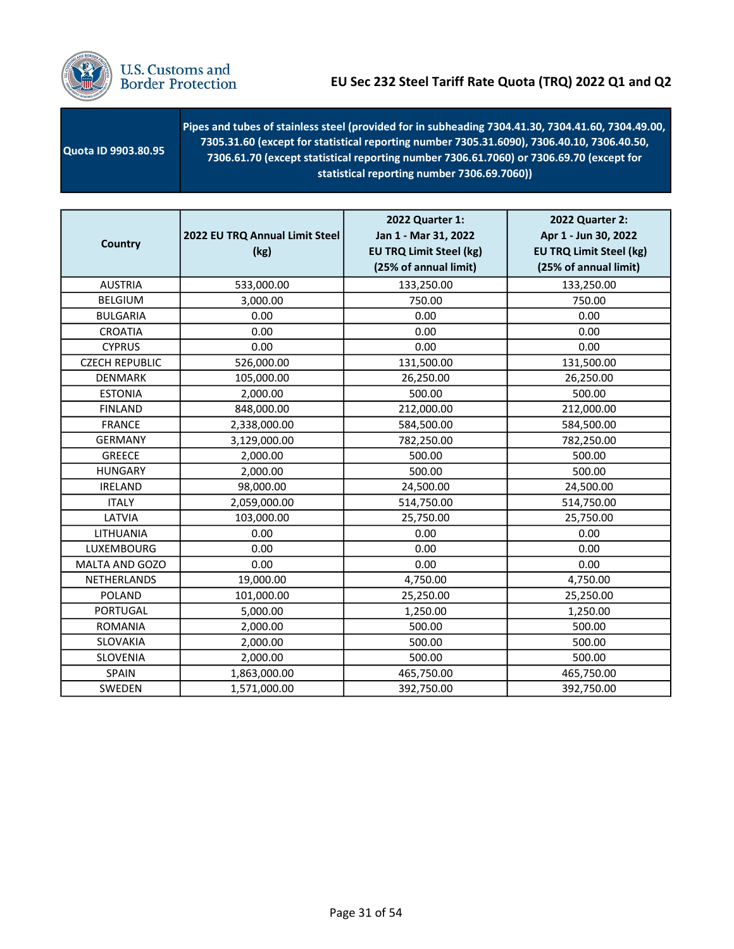

| <b>Quota ID 9903.80.95</b> | Pipes and tubes of stainless steel (provided for in subheading 7304.41.30, 7304.41.60, 7304.49.00,<br>$(7305.31.60$ (except for statistical reporting number 7305.31.6090), 7306.40.10, 7306.40.50,<br>7306.61.70 (except statistical reporting number 7306.61.7060) or 7306.69.70 (except for<br>statistical reporting number 7306.69.7060) |
|----------------------------|----------------------------------------------------------------------------------------------------------------------------------------------------------------------------------------------------------------------------------------------------------------------------------------------------------------------------------------------|
|----------------------------|----------------------------------------------------------------------------------------------------------------------------------------------------------------------------------------------------------------------------------------------------------------------------------------------------------------------------------------------|

| <b>Country</b>        | 2022 EU TRQ Annual Limit Steel<br>(kg) | 2022 Quarter 1:<br>Jan 1 - Mar 31, 2022<br><b>EU TRQ Limit Steel (kg)</b><br>(25% of annual limit) | 2022 Quarter 2:<br>Apr 1 - Jun 30, 2022<br><b>EU TRQ Limit Steel (kg)</b><br>(25% of annual limit) |
|-----------------------|----------------------------------------|----------------------------------------------------------------------------------------------------|----------------------------------------------------------------------------------------------------|
| <b>AUSTRIA</b>        | 533,000.00                             | 133,250.00                                                                                         | 133,250.00                                                                                         |
| <b>BELGIUM</b>        | 3,000.00                               | 750.00                                                                                             | 750.00                                                                                             |
| <b>BULGARIA</b>       | 0.00                                   | 0.00                                                                                               | 0.00                                                                                               |
| <b>CROATIA</b>        | 0.00                                   | 0.00                                                                                               | 0.00                                                                                               |
| <b>CYPRUS</b>         | 0.00                                   | 0.00                                                                                               | 0.00                                                                                               |
| <b>CZECH REPUBLIC</b> | 526,000.00                             | 131,500.00                                                                                         | 131,500.00                                                                                         |
| <b>DENMARK</b>        | 105,000.00                             | 26,250.00                                                                                          | 26,250.00                                                                                          |
| <b>ESTONIA</b>        | 2,000.00                               | 500.00                                                                                             | 500.00                                                                                             |
| <b>FINLAND</b>        | 848,000.00                             | 212,000.00                                                                                         | 212,000.00                                                                                         |
| <b>FRANCE</b>         | 2,338,000.00                           | 584,500.00                                                                                         | 584,500.00                                                                                         |
| <b>GERMANY</b>        | 3,129,000.00                           | 782,250.00                                                                                         | 782,250.00                                                                                         |
| <b>GREECE</b>         | 2,000.00                               | 500.00                                                                                             | 500.00                                                                                             |
| <b>HUNGARY</b>        | 2,000.00                               | 500.00                                                                                             | 500.00                                                                                             |
| <b>IRELAND</b>        | 98,000.00                              | 24,500.00                                                                                          | 24,500.00                                                                                          |
| <b>ITALY</b>          | 2,059,000.00                           | 514,750.00                                                                                         | 514,750.00                                                                                         |
| LATVIA                | 103,000.00                             | 25,750.00                                                                                          | 25,750.00                                                                                          |
| LITHUANIA             | 0.00                                   | 0.00                                                                                               | 0.00                                                                                               |
| LUXEMBOURG            | 0.00                                   | 0.00                                                                                               | 0.00                                                                                               |
| MALTA AND GOZO        | 0.00                                   | 0.00                                                                                               | 0.00                                                                                               |
| NETHERLANDS           | 19,000.00                              | 4,750.00                                                                                           | 4,750.00                                                                                           |
| <b>POLAND</b>         | 101,000.00                             | 25,250.00                                                                                          | 25,250.00                                                                                          |
| <b>PORTUGAL</b>       | 5,000.00                               | 1,250.00                                                                                           | 1,250.00                                                                                           |
| <b>ROMANIA</b>        | 2,000.00                               | 500.00                                                                                             | 500.00                                                                                             |
| SLOVAKIA              | 2,000.00                               | 500.00                                                                                             | 500.00                                                                                             |
| SLOVENIA              | 2,000.00                               | 500.00                                                                                             | 500.00                                                                                             |
| SPAIN                 | 1,863,000.00                           | 465,750.00                                                                                         | 465,750.00                                                                                         |
| SWEDEN                | 1,571,000.00                           | 392,750.00                                                                                         | 392,750.00                                                                                         |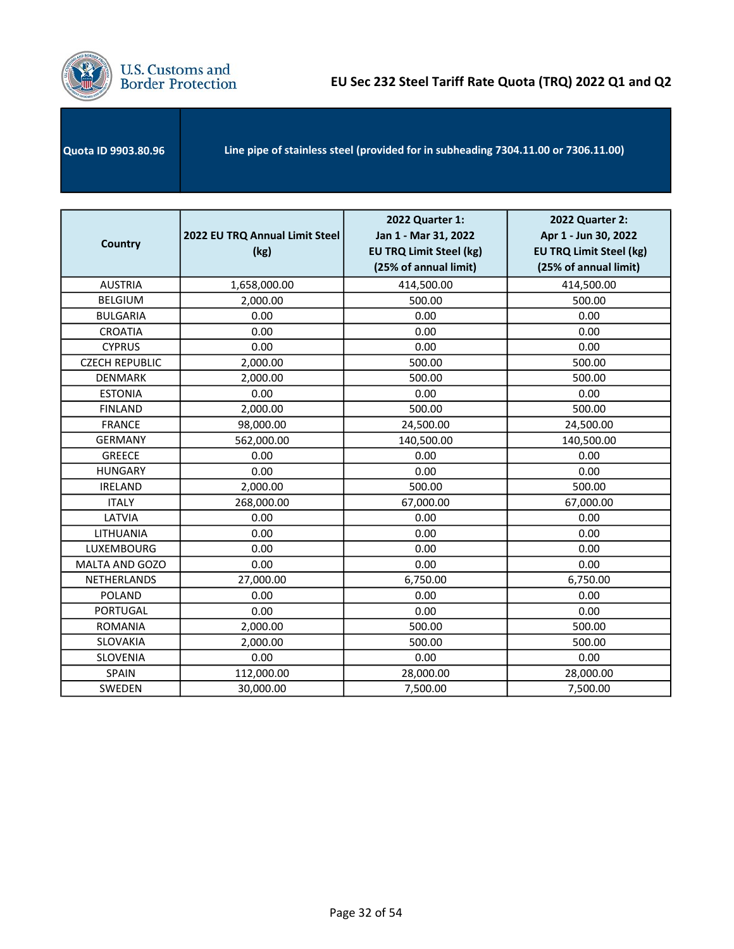

| Line pipe of stainless steel (provided for in subheading 7304.11.00 or 7306.11.00) | <b>Quota ID 9903.80.96</b> |  |
|------------------------------------------------------------------------------------|----------------------------|--|
|------------------------------------------------------------------------------------|----------------------------|--|

| <b>Country</b>        | 2022 EU TRQ Annual Limit Steel<br>(kg) | 2022 Quarter 1:<br>Jan 1 - Mar 31, 2022<br><b>EU TRQ Limit Steel (kg)</b><br>(25% of annual limit) | 2022 Quarter 2:<br>Apr 1 - Jun 30, 2022<br><b>EU TRQ Limit Steel (kg)</b><br>(25% of annual limit) |
|-----------------------|----------------------------------------|----------------------------------------------------------------------------------------------------|----------------------------------------------------------------------------------------------------|
| <b>AUSTRIA</b>        | 1,658,000.00                           | 414,500.00                                                                                         | 414,500.00                                                                                         |
| <b>BELGIUM</b>        | 2,000.00                               | 500.00                                                                                             | 500.00                                                                                             |
| <b>BULGARIA</b>       | 0.00                                   | 0.00                                                                                               | 0.00                                                                                               |
| <b>CROATIA</b>        | 0.00                                   | 0.00                                                                                               | 0.00                                                                                               |
| <b>CYPRUS</b>         | 0.00                                   | 0.00                                                                                               | 0.00                                                                                               |
| <b>CZECH REPUBLIC</b> | 2,000.00                               | 500.00                                                                                             | 500.00                                                                                             |
| <b>DENMARK</b>        | 2,000.00                               | 500.00                                                                                             | 500.00                                                                                             |
| <b>ESTONIA</b>        | 0.00                                   | 0.00                                                                                               | 0.00                                                                                               |
| <b>FINLAND</b>        | 2,000.00                               | 500.00                                                                                             | 500.00                                                                                             |
| <b>FRANCE</b>         | 98,000.00                              | 24,500.00                                                                                          | 24,500.00                                                                                          |
| <b>GERMANY</b>        | 562,000.00                             | 140,500.00                                                                                         | 140,500.00                                                                                         |
| <b>GREECE</b>         | 0.00                                   | 0.00                                                                                               | 0.00                                                                                               |
| <b>HUNGARY</b>        | 0.00                                   | 0.00                                                                                               | 0.00                                                                                               |
| <b>IRELAND</b>        | 2,000.00                               | 500.00                                                                                             | 500.00                                                                                             |
| <b>ITALY</b>          | 268,000.00                             | 67,000.00                                                                                          | 67,000.00                                                                                          |
| LATVIA                | 0.00                                   | 0.00                                                                                               | 0.00                                                                                               |
| LITHUANIA             | 0.00                                   | 0.00                                                                                               | 0.00                                                                                               |
| LUXEMBOURG            | 0.00                                   | 0.00                                                                                               | 0.00                                                                                               |
| MALTA AND GOZO        | 0.00                                   | 0.00                                                                                               | 0.00                                                                                               |
| NETHERLANDS           | 27,000.00                              | 6,750.00                                                                                           | 6,750.00                                                                                           |
| <b>POLAND</b>         | 0.00                                   | 0.00                                                                                               | 0.00                                                                                               |
| <b>PORTUGAL</b>       | 0.00                                   | 0.00                                                                                               | 0.00                                                                                               |
| <b>ROMANIA</b>        | 2,000.00                               | 500.00                                                                                             | 500.00                                                                                             |
| <b>SLOVAKIA</b>       | 2,000.00                               | 500.00                                                                                             | 500.00                                                                                             |
| <b>SLOVENIA</b>       | 0.00                                   | 0.00                                                                                               | 0.00                                                                                               |
| SPAIN                 | 112,000.00                             | 28,000.00                                                                                          | 28,000.00                                                                                          |
| SWEDEN                | 30,000.00                              | 7,500.00                                                                                           | 7,500.00                                                                                           |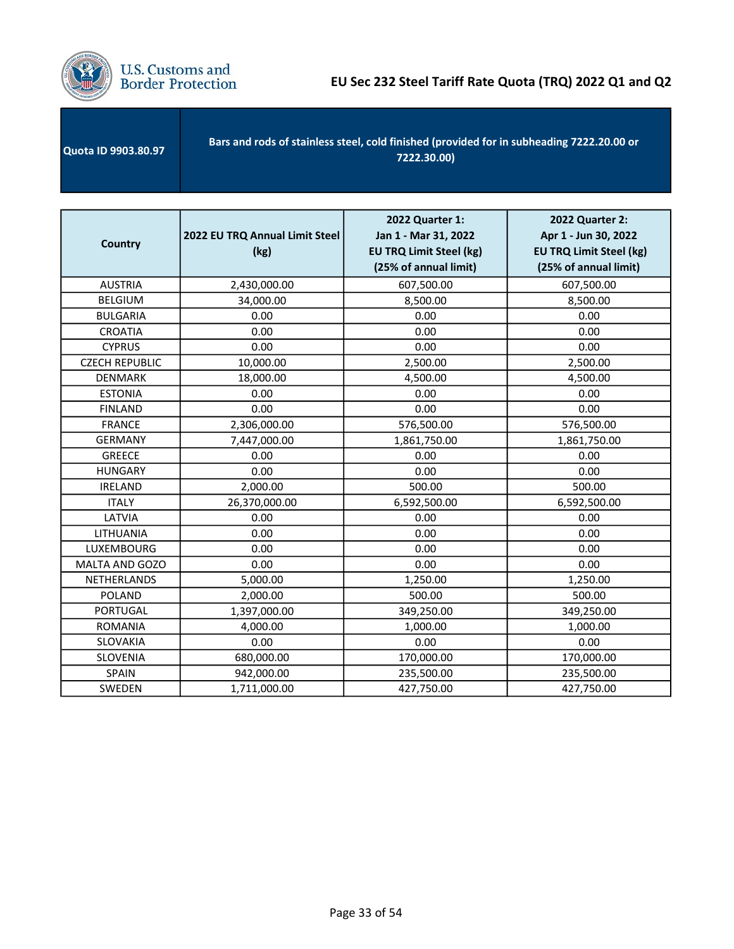

| <b>Quota ID 9903.80.97</b> | Bars and rods of stainless steel, cold finished (provided for in subheading 7222.20.00 or<br>7222.30.00) |
|----------------------------|----------------------------------------------------------------------------------------------------------|
|----------------------------|----------------------------------------------------------------------------------------------------------|

| <b>Country</b>        | 2022 EU TRQ Annual Limit Steel<br>(kg) | 2022 Quarter 1:<br>Jan 1 - Mar 31, 2022<br><b>EU TRQ Limit Steel (kg)</b><br>(25% of annual limit) | <b>2022 Quarter 2:</b><br>Apr 1 - Jun 30, 2022<br><b>EU TRQ Limit Steel (kg)</b><br>(25% of annual limit) |
|-----------------------|----------------------------------------|----------------------------------------------------------------------------------------------------|-----------------------------------------------------------------------------------------------------------|
| <b>AUSTRIA</b>        | 2,430,000.00                           | 607,500.00                                                                                         | 607,500.00                                                                                                |
| <b>BELGIUM</b>        | 34,000.00                              | 8,500.00                                                                                           | 8,500.00                                                                                                  |
| <b>BULGARIA</b>       | 0.00                                   | 0.00                                                                                               | 0.00                                                                                                      |
| <b>CROATIA</b>        | 0.00                                   | 0.00                                                                                               | 0.00                                                                                                      |
| <b>CYPRUS</b>         | 0.00                                   | 0.00                                                                                               | 0.00                                                                                                      |
| <b>CZECH REPUBLIC</b> | 10,000.00                              | 2,500.00                                                                                           | 2,500.00                                                                                                  |
| <b>DENMARK</b>        | 18,000.00                              | 4,500.00                                                                                           | 4,500.00                                                                                                  |
| <b>ESTONIA</b>        | 0.00                                   | 0.00                                                                                               | 0.00                                                                                                      |
| <b>FINLAND</b>        | 0.00                                   | 0.00                                                                                               | 0.00                                                                                                      |
| <b>FRANCE</b>         | 2,306,000.00                           | 576,500.00                                                                                         | 576,500.00                                                                                                |
| <b>GERMANY</b>        | 7,447,000.00                           | 1,861,750.00                                                                                       | 1,861,750.00                                                                                              |
| <b>GREECE</b>         | 0.00                                   | 0.00                                                                                               | 0.00                                                                                                      |
| <b>HUNGARY</b>        | 0.00                                   | 0.00                                                                                               | 0.00                                                                                                      |
| <b>IRELAND</b>        | 2,000.00                               | 500.00                                                                                             | 500.00                                                                                                    |
| <b>ITALY</b>          | 26,370,000.00                          | 6,592,500.00                                                                                       | 6,592,500.00                                                                                              |
| LATVIA                | 0.00                                   | 0.00                                                                                               | 0.00                                                                                                      |
| LITHUANIA             | 0.00                                   | 0.00                                                                                               | 0.00                                                                                                      |
| LUXEMBOURG            | 0.00                                   | 0.00                                                                                               | 0.00                                                                                                      |
| MALTA AND GOZO        | 0.00                                   | 0.00                                                                                               | 0.00                                                                                                      |
| NETHERLANDS           | 5,000.00                               | 1,250.00                                                                                           | 1,250.00                                                                                                  |
| <b>POLAND</b>         | 2,000.00                               | 500.00                                                                                             | 500.00                                                                                                    |
| <b>PORTUGAL</b>       | 1,397,000.00                           | 349,250.00                                                                                         | 349,250.00                                                                                                |
| <b>ROMANIA</b>        | 4,000.00                               | 1,000.00                                                                                           | 1,000.00                                                                                                  |
| SLOVAKIA              | 0.00                                   | 0.00                                                                                               | 0.00                                                                                                      |
| <b>SLOVENIA</b>       | 680,000.00                             | 170,000.00                                                                                         | 170,000.00                                                                                                |
| <b>SPAIN</b>          | 942,000.00                             | 235,500.00                                                                                         | 235,500.00                                                                                                |
| SWEDEN                | 1,711,000.00                           | 427,750.00                                                                                         | 427,750.00                                                                                                |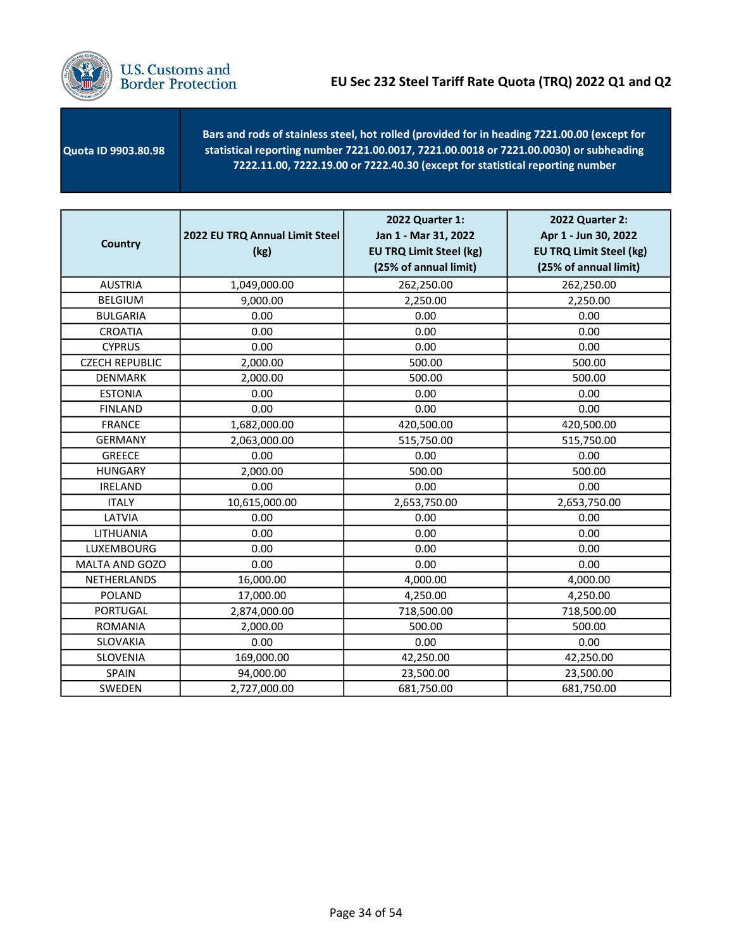

 Quota ID 9903.80.98 - Bars and rods of stainless steel, hot rolled (provided for in heading 7221.00.00 (except for statistical reporting number 7221.00.0017, 7221.00.0018 or 7221.00.0030) or subheading 7222.11.00, 7222.19.00 or 7222.40.30 (except for statistical reporting number

| <b>Country</b>        | 2022 EU TRQ Annual Limit Steel<br>(kg) | 2022 Quarter 1:<br>Jan 1 - Mar 31, 2022<br><b>EU TRQ Limit Steel (kg)</b><br>(25% of annual limit) | 2022 Quarter 2:<br>Apr 1 - Jun 30, 2022<br><b>EU TRQ Limit Steel (kg)</b><br>(25% of annual limit) |
|-----------------------|----------------------------------------|----------------------------------------------------------------------------------------------------|----------------------------------------------------------------------------------------------------|
| <b>AUSTRIA</b>        | 1,049,000.00                           | 262,250.00                                                                                         | 262,250.00                                                                                         |
| <b>BELGIUM</b>        | 9,000.00                               | 2,250.00                                                                                           | 2,250.00                                                                                           |
| <b>BULGARIA</b>       | 0.00                                   | 0.00                                                                                               | 0.00                                                                                               |
| <b>CROATIA</b>        | 0.00                                   | 0.00                                                                                               | 0.00                                                                                               |
| <b>CYPRUS</b>         | 0.00                                   | 0.00                                                                                               | 0.00                                                                                               |
| <b>CZECH REPUBLIC</b> | 2,000.00                               | 500.00                                                                                             | 500.00                                                                                             |
| <b>DENMARK</b>        | 2,000.00                               | 500.00                                                                                             | 500.00                                                                                             |
| <b>ESTONIA</b>        | 0.00                                   | 0.00                                                                                               | 0.00                                                                                               |
| <b>FINLAND</b>        | 0.00                                   | 0.00                                                                                               | 0.00                                                                                               |
| <b>FRANCE</b>         | 1,682,000.00                           | 420,500.00                                                                                         | 420,500.00                                                                                         |
| <b>GERMANY</b>        | 2,063,000.00                           | 515,750.00                                                                                         | 515,750.00                                                                                         |
| <b>GREECE</b>         | 0.00                                   | 0.00                                                                                               | 0.00                                                                                               |
| <b>HUNGARY</b>        | 2,000.00                               | 500.00                                                                                             | 500.00                                                                                             |
| <b>IRELAND</b>        | 0.00                                   | 0.00                                                                                               | 0.00                                                                                               |
| <b>ITALY</b>          | 10,615,000.00                          | 2,653,750.00                                                                                       | 2,653,750.00                                                                                       |
| LATVIA                | 0.00                                   | 0.00                                                                                               | 0.00                                                                                               |
| LITHUANIA             | 0.00                                   | 0.00                                                                                               | 0.00                                                                                               |
| LUXEMBOURG            | 0.00                                   | 0.00                                                                                               | 0.00                                                                                               |
| MALTA AND GOZO        | 0.00                                   | 0.00                                                                                               | 0.00                                                                                               |
| NETHERLANDS           | 16,000.00                              | 4,000.00                                                                                           | 4,000.00                                                                                           |
| <b>POLAND</b>         | 17,000.00                              | 4,250.00                                                                                           | 4,250.00                                                                                           |
| <b>PORTUGAL</b>       | 2,874,000.00                           | 718,500.00                                                                                         | 718,500.00                                                                                         |
| <b>ROMANIA</b>        | 2,000.00                               | 500.00                                                                                             | 500.00                                                                                             |
| SLOVAKIA              | 0.00                                   | 0.00                                                                                               | 0.00                                                                                               |
| SLOVENIA              | 169,000.00                             | 42,250.00                                                                                          | 42,250.00                                                                                          |
| SPAIN                 | 94,000.00                              | 23,500.00                                                                                          | 23,500.00                                                                                          |
| SWEDEN                | 2,727,000.00                           | 681,750.00                                                                                         | 681,750.00                                                                                         |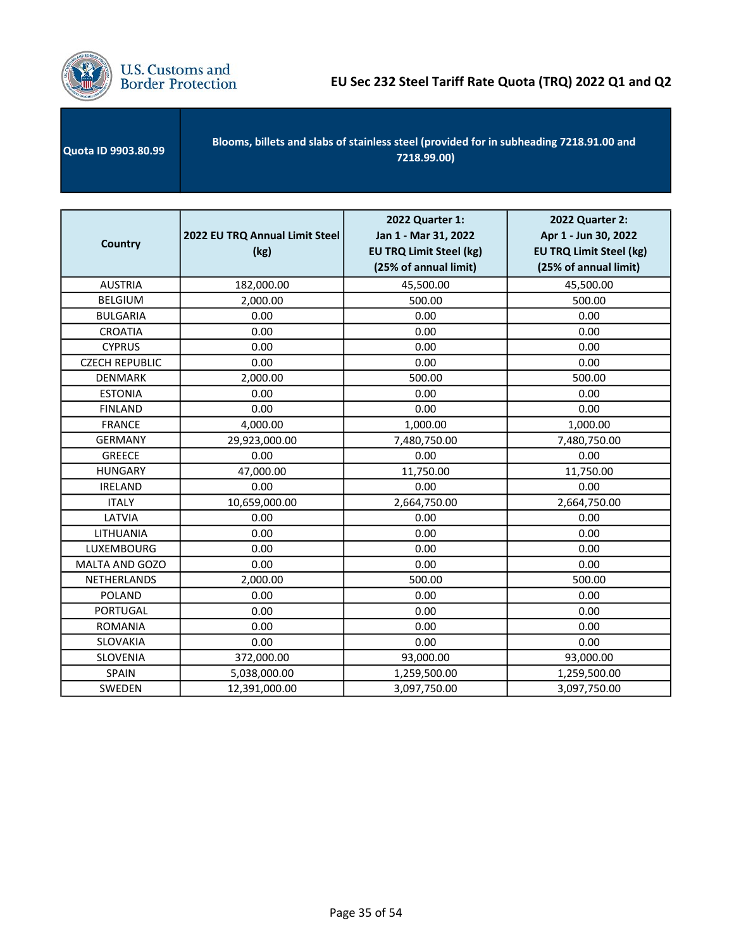

| <b>Quota ID 9903.80.99</b> | Blooms, billets and slabs of stainless steel (provided for in subheading 7218.91.00 and<br>7218.99.00) |
|----------------------------|--------------------------------------------------------------------------------------------------------|
|----------------------------|--------------------------------------------------------------------------------------------------------|

| <b>Country</b>        | 2022 EU TRQ Annual Limit Steel<br>(kg) | 2022 Quarter 1:<br>Jan 1 - Mar 31, 2022<br><b>EU TRQ Limit Steel (kg)</b><br>(25% of annual limit) | 2022 Quarter 2:<br>Apr 1 - Jun 30, 2022<br><b>EU TRQ Limit Steel (kg)</b><br>(25% of annual limit) |
|-----------------------|----------------------------------------|----------------------------------------------------------------------------------------------------|----------------------------------------------------------------------------------------------------|
| <b>AUSTRIA</b>        | 182,000.00                             | 45,500.00                                                                                          | 45,500.00                                                                                          |
| <b>BELGIUM</b>        | 2,000.00                               | 500.00                                                                                             | 500.00                                                                                             |
| <b>BULGARIA</b>       | 0.00                                   | 0.00                                                                                               | 0.00                                                                                               |
| <b>CROATIA</b>        | 0.00                                   | 0.00                                                                                               | 0.00                                                                                               |
| <b>CYPRUS</b>         | 0.00                                   | 0.00                                                                                               | 0.00                                                                                               |
| <b>CZECH REPUBLIC</b> | 0.00                                   | 0.00                                                                                               | 0.00                                                                                               |
| <b>DENMARK</b>        | 2,000.00                               | 500.00                                                                                             | 500.00                                                                                             |
| <b>ESTONIA</b>        | 0.00                                   | 0.00                                                                                               | 0.00                                                                                               |
| <b>FINLAND</b>        | 0.00                                   | 0.00                                                                                               | 0.00                                                                                               |
| <b>FRANCE</b>         | 4,000.00                               | 1,000.00                                                                                           | 1,000.00                                                                                           |
| <b>GERMANY</b>        | 29,923,000.00                          | 7,480,750.00                                                                                       | 7,480,750.00                                                                                       |
| <b>GREECE</b>         | 0.00                                   | 0.00                                                                                               | 0.00                                                                                               |
| <b>HUNGARY</b>        | 47,000.00                              | 11,750.00                                                                                          | 11,750.00                                                                                          |
| <b>IRELAND</b>        | 0.00                                   | 0.00                                                                                               | 0.00                                                                                               |
| <b>ITALY</b>          | 10,659,000.00                          | 2,664,750.00                                                                                       | 2,664,750.00                                                                                       |
| LATVIA                | 0.00                                   | 0.00                                                                                               | 0.00                                                                                               |
| LITHUANIA             | 0.00                                   | 0.00                                                                                               | 0.00                                                                                               |
| LUXEMBOURG            | 0.00                                   | 0.00                                                                                               | 0.00                                                                                               |
| MALTA AND GOZO        | 0.00                                   | 0.00                                                                                               | 0.00                                                                                               |
| NETHERLANDS           | 2,000.00                               | 500.00                                                                                             | 500.00                                                                                             |
| <b>POLAND</b>         | 0.00                                   | 0.00                                                                                               | 0.00                                                                                               |
| <b>PORTUGAL</b>       | 0.00                                   | 0.00                                                                                               | 0.00                                                                                               |
| <b>ROMANIA</b>        | 0.00                                   | 0.00                                                                                               | 0.00                                                                                               |
| SLOVAKIA              | 0.00                                   | 0.00                                                                                               | 0.00                                                                                               |
| SLOVENIA              | 372,000.00                             | 93,000.00                                                                                          | 93,000.00                                                                                          |
| SPAIN                 | 5,038,000.00                           | 1,259,500.00                                                                                       | 1,259,500.00                                                                                       |
| SWEDEN                | 12,391,000.00                          | 3,097,750.00                                                                                       | 3,097,750.00                                                                                       |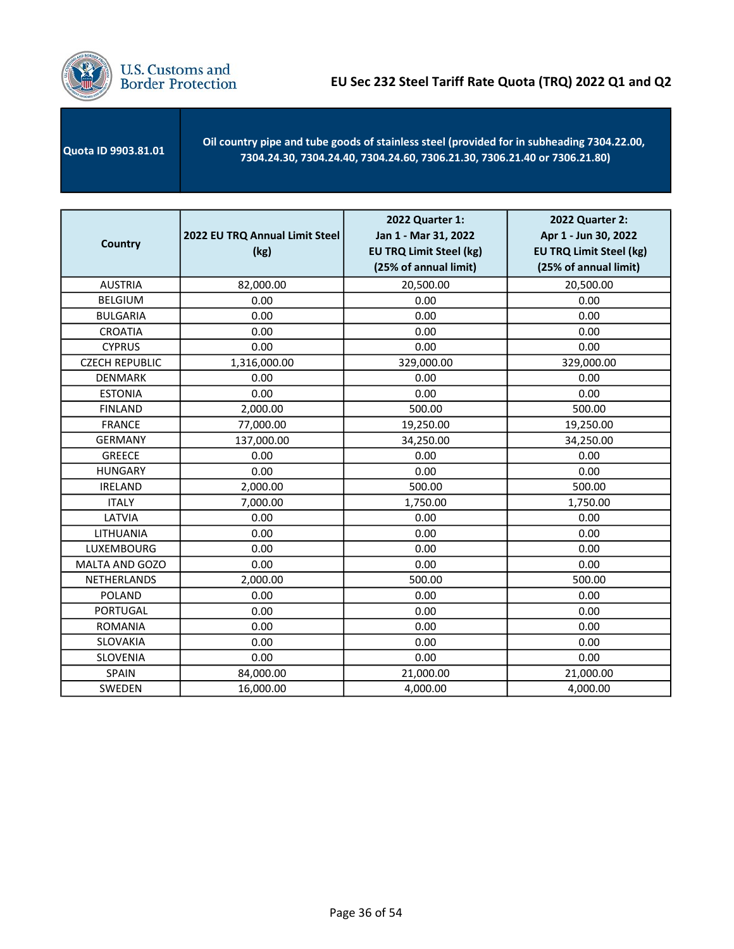

 Quota ID 9903.81.01 Oil country pipe and tube goods of stainless steel (provided for in subheading 7304.22.00, 7304.24.30, 7304.24.40, 7304.24.60, 7306.21.30, 7306.21.40 or 7306.21.80)

| <b>Country</b>        | 2022 EU TRQ Annual Limit Steel<br>(kg) | 2022 Quarter 1:<br>Jan 1 - Mar 31, 2022<br><b>EU TRQ Limit Steel (kg)</b><br>(25% of annual limit) | 2022 Quarter 2:<br>Apr 1 - Jun 30, 2022<br><b>EU TRQ Limit Steel (kg)</b><br>(25% of annual limit) |
|-----------------------|----------------------------------------|----------------------------------------------------------------------------------------------------|----------------------------------------------------------------------------------------------------|
| <b>AUSTRIA</b>        | 82,000.00                              | 20,500.00                                                                                          | 20,500.00                                                                                          |
| <b>BELGIUM</b>        | 0.00                                   | 0.00                                                                                               | 0.00                                                                                               |
| <b>BULGARIA</b>       | 0.00                                   | 0.00                                                                                               | 0.00                                                                                               |
| <b>CROATIA</b>        | 0.00                                   | 0.00                                                                                               | 0.00                                                                                               |
| <b>CYPRUS</b>         | 0.00                                   | 0.00                                                                                               | 0.00                                                                                               |
| <b>CZECH REPUBLIC</b> | 1,316,000.00                           | 329,000.00                                                                                         | 329,000.00                                                                                         |
| <b>DENMARK</b>        | 0.00                                   | 0.00                                                                                               | 0.00                                                                                               |
| <b>ESTONIA</b>        | 0.00                                   | 0.00                                                                                               | 0.00                                                                                               |
| <b>FINLAND</b>        | 2,000.00                               | 500.00                                                                                             | 500.00                                                                                             |
| <b>FRANCE</b>         | 77,000.00                              | 19,250.00                                                                                          | 19,250.00                                                                                          |
| <b>GERMANY</b>        | 137,000.00                             | 34,250.00                                                                                          | 34,250.00                                                                                          |
| <b>GREECE</b>         | 0.00                                   | 0.00                                                                                               | 0.00                                                                                               |
| <b>HUNGARY</b>        | 0.00                                   | 0.00                                                                                               | 0.00                                                                                               |
| <b>IRELAND</b>        | 2,000.00                               | 500.00                                                                                             | 500.00                                                                                             |
| <b>ITALY</b>          | 7,000.00                               | 1,750.00                                                                                           | 1,750.00                                                                                           |
| LATVIA                | 0.00                                   | 0.00                                                                                               | 0.00                                                                                               |
| LITHUANIA             | 0.00                                   | 0.00                                                                                               | 0.00                                                                                               |
| LUXEMBOURG            | 0.00                                   | 0.00                                                                                               | 0.00                                                                                               |
| MALTA AND GOZO        | 0.00                                   | 0.00                                                                                               | 0.00                                                                                               |
| NETHERLANDS           | 2,000.00                               | 500.00                                                                                             | 500.00                                                                                             |
| <b>POLAND</b>         | 0.00                                   | 0.00                                                                                               | 0.00                                                                                               |
| <b>PORTUGAL</b>       | 0.00                                   | 0.00                                                                                               | 0.00                                                                                               |
| <b>ROMANIA</b>        | 0.00                                   | 0.00                                                                                               | 0.00                                                                                               |
| SLOVAKIA              | 0.00                                   | 0.00                                                                                               | 0.00                                                                                               |
| SLOVENIA              | 0.00                                   | 0.00                                                                                               | 0.00                                                                                               |
| SPAIN                 | 84,000.00                              | 21,000.00                                                                                          | 21,000.00                                                                                          |
| SWEDEN                | 16,000.00                              | 4,000.00                                                                                           | 4,000.00                                                                                           |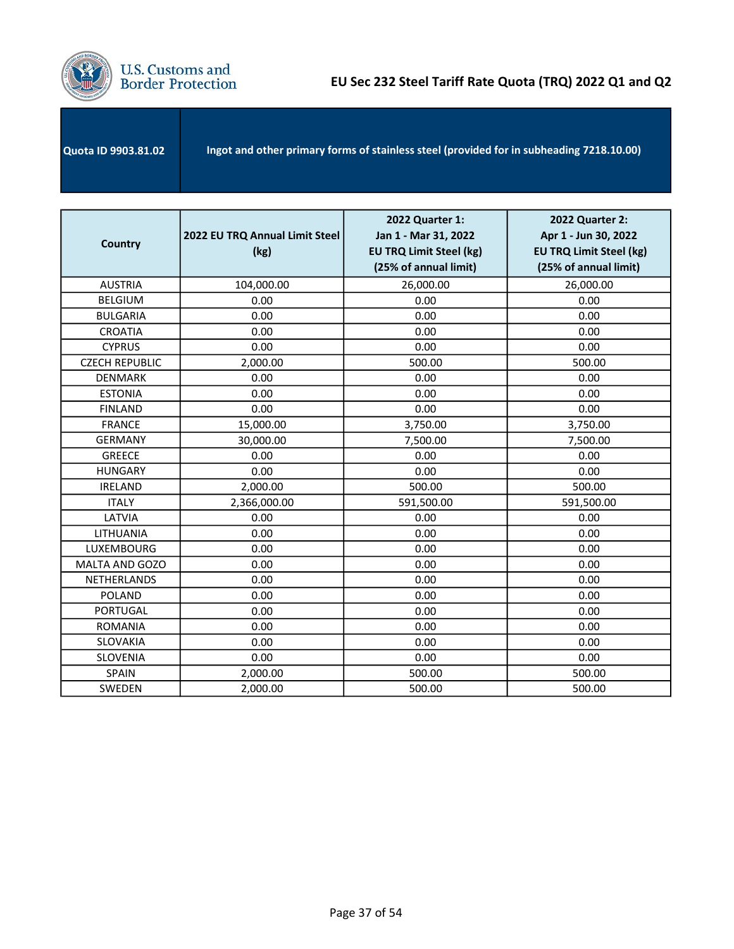

| <b>Quota ID 9903.81.02</b> | Ingot and other primary forms of stainless steel (provided for in subheading 7218.10.00) |
|----------------------------|------------------------------------------------------------------------------------------|
|                            |                                                                                          |

| <b>Country</b>        | 2022 EU TRQ Annual Limit Steel<br>(kg) | 2022 Quarter 1:<br>Jan 1 - Mar 31, 2022<br><b>EU TRQ Limit Steel (kg)</b><br>(25% of annual limit) | 2022 Quarter 2:<br>Apr 1 - Jun 30, 2022<br><b>EU TRQ Limit Steel (kg)</b><br>(25% of annual limit) |
|-----------------------|----------------------------------------|----------------------------------------------------------------------------------------------------|----------------------------------------------------------------------------------------------------|
| <b>AUSTRIA</b>        | 104,000.00                             | 26,000.00                                                                                          | 26,000.00                                                                                          |
| <b>BELGIUM</b>        | 0.00                                   | 0.00                                                                                               | 0.00                                                                                               |
| <b>BULGARIA</b>       | 0.00                                   | 0.00                                                                                               | 0.00                                                                                               |
| <b>CROATIA</b>        | 0.00                                   | 0.00                                                                                               | 0.00                                                                                               |
| <b>CYPRUS</b>         | 0.00                                   | 0.00                                                                                               | 0.00                                                                                               |
| <b>CZECH REPUBLIC</b> | 2,000.00                               | 500.00                                                                                             | 500.00                                                                                             |
| <b>DENMARK</b>        | 0.00                                   | 0.00                                                                                               | 0.00                                                                                               |
| <b>ESTONIA</b>        | 0.00                                   | 0.00                                                                                               | 0.00                                                                                               |
| <b>FINLAND</b>        | 0.00                                   | 0.00                                                                                               | 0.00                                                                                               |
| <b>FRANCE</b>         | 15,000.00                              | 3,750.00                                                                                           | 3,750.00                                                                                           |
| <b>GERMANY</b>        | 30,000.00                              | 7,500.00                                                                                           | 7,500.00                                                                                           |
| <b>GREECE</b>         | 0.00                                   | 0.00                                                                                               | 0.00                                                                                               |
| <b>HUNGARY</b>        | 0.00                                   | 0.00                                                                                               | 0.00                                                                                               |
| <b>IRELAND</b>        | 2,000.00                               | 500.00                                                                                             | 500.00                                                                                             |
| <b>ITALY</b>          | 2,366,000.00                           | 591,500.00                                                                                         | 591,500.00                                                                                         |
| LATVIA                | 0.00                                   | 0.00                                                                                               | 0.00                                                                                               |
| LITHUANIA             | 0.00                                   | 0.00                                                                                               | 0.00                                                                                               |
| <b>LUXEMBOURG</b>     | 0.00                                   | 0.00                                                                                               | 0.00                                                                                               |
| MALTA AND GOZO        | 0.00                                   | 0.00                                                                                               | 0.00                                                                                               |
| NETHERLANDS           | 0.00                                   | 0.00                                                                                               | 0.00                                                                                               |
| <b>POLAND</b>         | 0.00                                   | 0.00                                                                                               | 0.00                                                                                               |
| <b>PORTUGAL</b>       | 0.00                                   | 0.00                                                                                               | 0.00                                                                                               |
| <b>ROMANIA</b>        | 0.00                                   | 0.00                                                                                               | 0.00                                                                                               |
| SLOVAKIA              | 0.00                                   | 0.00                                                                                               | 0.00                                                                                               |
| SLOVENIA              | 0.00                                   | 0.00                                                                                               | 0.00                                                                                               |
| <b>SPAIN</b>          | 2,000.00                               | 500.00                                                                                             | 500.00                                                                                             |
| SWEDEN                | 2,000.00                               | 500.00                                                                                             | 500.00                                                                                             |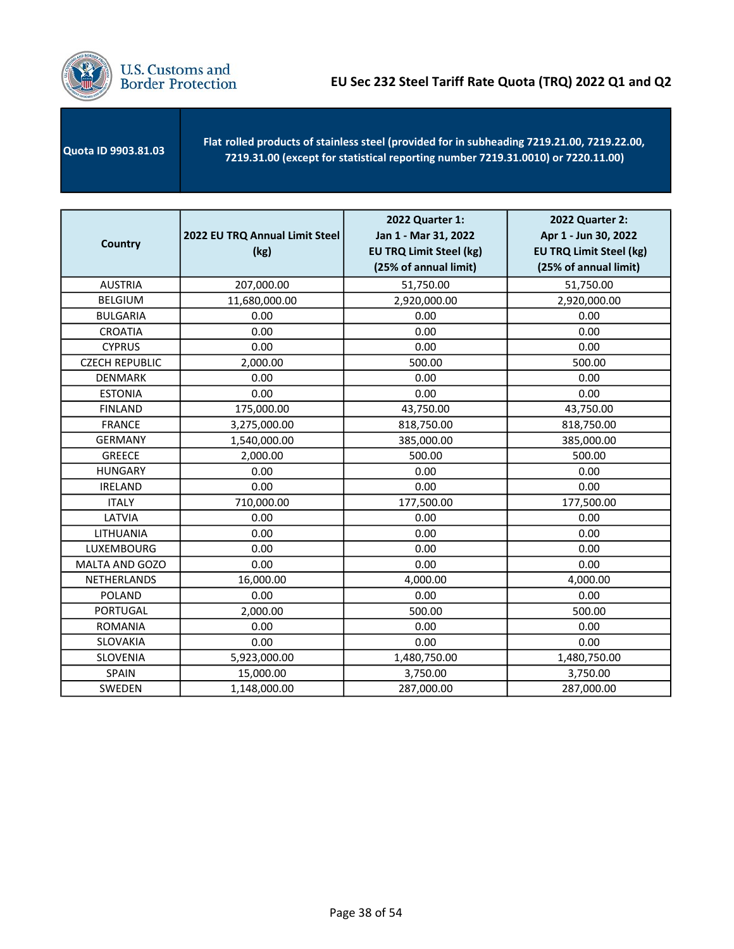

 Quota ID 9903.81.03 - Flat rolled products of stainless steel (provided for in subheading 7219.21.00, 7219.22.00, 7219.31.00 (except for statistical reporting number 7219.31.0010) or 7220.11.00)

| <b>Country</b>        | 2022 EU TRQ Annual Limit Steel<br>(kg) | 2022 Quarter 1:<br>Jan 1 - Mar 31, 2022<br><b>EU TRQ Limit Steel (kg)</b><br>(25% of annual limit) | 2022 Quarter 2:<br>Apr 1 - Jun 30, 2022<br><b>EU TRQ Limit Steel (kg)</b><br>(25% of annual limit) |
|-----------------------|----------------------------------------|----------------------------------------------------------------------------------------------------|----------------------------------------------------------------------------------------------------|
| <b>AUSTRIA</b>        | 207,000.00                             | 51,750.00                                                                                          | 51,750.00                                                                                          |
| <b>BELGIUM</b>        | 11,680,000.00                          | 2,920,000.00                                                                                       | 2,920,000.00                                                                                       |
| <b>BULGARIA</b>       | 0.00                                   | 0.00                                                                                               | 0.00                                                                                               |
| <b>CROATIA</b>        | 0.00                                   | 0.00                                                                                               | 0.00                                                                                               |
| <b>CYPRUS</b>         | 0.00                                   | 0.00                                                                                               | 0.00                                                                                               |
| <b>CZECH REPUBLIC</b> | 2,000.00                               | 500.00                                                                                             | 500.00                                                                                             |
| <b>DENMARK</b>        | 0.00                                   | 0.00                                                                                               | 0.00                                                                                               |
| <b>ESTONIA</b>        | 0.00                                   | 0.00                                                                                               | 0.00                                                                                               |
| <b>FINLAND</b>        | 175,000.00                             | 43,750.00                                                                                          | 43,750.00                                                                                          |
| <b>FRANCE</b>         | 3,275,000.00                           | 818,750.00                                                                                         | 818,750.00                                                                                         |
| <b>GERMANY</b>        | 1,540,000.00                           | 385,000.00                                                                                         | 385,000.00                                                                                         |
| <b>GREECE</b>         | 2,000.00                               | 500.00                                                                                             | 500.00                                                                                             |
| <b>HUNGARY</b>        | 0.00                                   | 0.00                                                                                               | 0.00                                                                                               |
| <b>IRELAND</b>        | 0.00                                   | 0.00                                                                                               | 0.00                                                                                               |
| <b>ITALY</b>          | 710,000.00                             | 177,500.00                                                                                         | 177,500.00                                                                                         |
| LATVIA                | 0.00                                   | 0.00                                                                                               | 0.00                                                                                               |
| LITHUANIA             | 0.00                                   | 0.00                                                                                               | 0.00                                                                                               |
| LUXEMBOURG            | 0.00                                   | 0.00                                                                                               | 0.00                                                                                               |
| MALTA AND GOZO        | 0.00                                   | 0.00                                                                                               | 0.00                                                                                               |
| <b>NETHERLANDS</b>    | 16,000.00                              | 4,000.00                                                                                           | 4,000.00                                                                                           |
| <b>POLAND</b>         | 0.00                                   | 0.00                                                                                               | 0.00                                                                                               |
| PORTUGAL              | 2,000.00                               | 500.00                                                                                             | 500.00                                                                                             |
| <b>ROMANIA</b>        | 0.00                                   | 0.00                                                                                               | 0.00                                                                                               |
| SLOVAKIA              | 0.00                                   | 0.00                                                                                               | 0.00                                                                                               |
| SLOVENIA              | 5,923,000.00                           | 1,480,750.00                                                                                       | 1,480,750.00                                                                                       |
| SPAIN                 | 15,000.00                              | 3,750.00                                                                                           | 3,750.00                                                                                           |
| <b>SWEDEN</b>         | 1,148,000.00                           | 287,000.00                                                                                         | 287,000.00                                                                                         |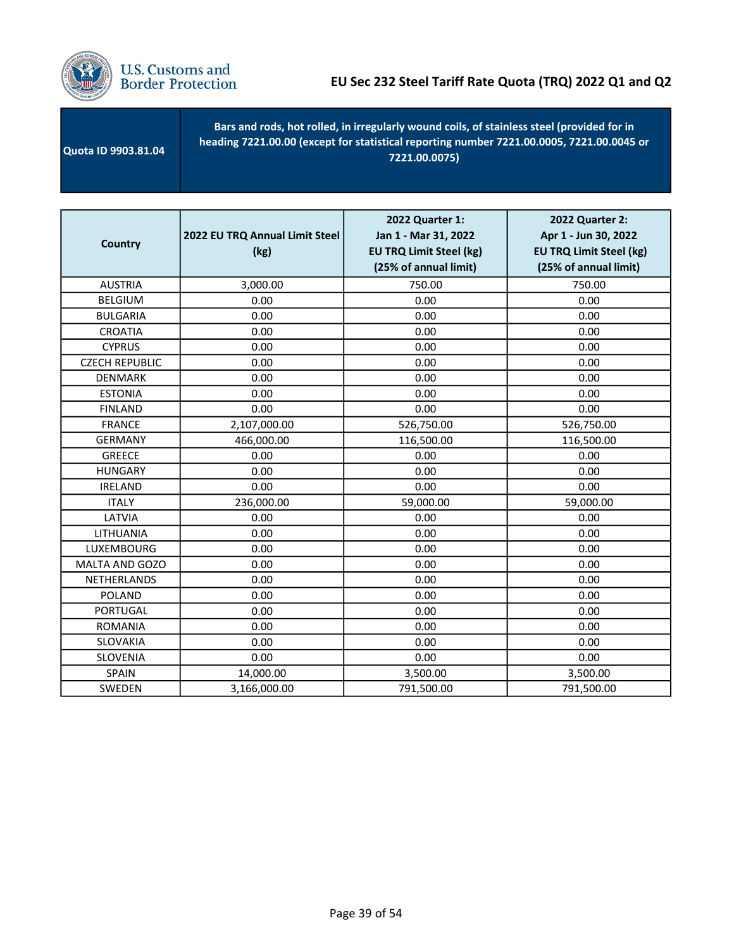

| <b>Quota ID 9903.81.04</b> | Bars and rods, hot rolled, in irregularly wound coils, of stainless steel (provided for in<br>heading 7221.00.00 (except for statistical reporting number 7221.00.0005, 7221.00.0045 or<br>7221.00.0075) |
|----------------------------|----------------------------------------------------------------------------------------------------------------------------------------------------------------------------------------------------------|
|                            |                                                                                                                                                                                                          |

| <b>Country</b>        | 2022 EU TRQ Annual Limit Steel<br>(kg) | 2022 Quarter 1:<br>Jan 1 - Mar 31, 2022<br><b>EU TRQ Limit Steel (kg)</b><br>(25% of annual limit) | 2022 Quarter 2:<br>Apr 1 - Jun 30, 2022<br><b>EU TRQ Limit Steel (kg)</b><br>(25% of annual limit) |
|-----------------------|----------------------------------------|----------------------------------------------------------------------------------------------------|----------------------------------------------------------------------------------------------------|
| <b>AUSTRIA</b>        | 3,000.00                               | 750.00                                                                                             | 750.00                                                                                             |
| <b>BELGIUM</b>        | 0.00                                   | 0.00                                                                                               | 0.00                                                                                               |
| <b>BULGARIA</b>       | 0.00                                   | 0.00                                                                                               | 0.00                                                                                               |
| <b>CROATIA</b>        | 0.00                                   | 0.00                                                                                               | 0.00                                                                                               |
| <b>CYPRUS</b>         | 0.00                                   | 0.00                                                                                               | 0.00                                                                                               |
| <b>CZECH REPUBLIC</b> | 0.00                                   | 0.00                                                                                               | 0.00                                                                                               |
| <b>DENMARK</b>        | 0.00                                   | 0.00                                                                                               | 0.00                                                                                               |
| <b>ESTONIA</b>        | 0.00                                   | 0.00                                                                                               | 0.00                                                                                               |
| <b>FINLAND</b>        | 0.00                                   | 0.00                                                                                               | 0.00                                                                                               |
| <b>FRANCE</b>         | 2,107,000.00                           | 526,750.00                                                                                         | 526,750.00                                                                                         |
| <b>GERMANY</b>        | 466,000.00                             | 116,500.00                                                                                         | 116,500.00                                                                                         |
| <b>GREECE</b>         | 0.00                                   | 0.00                                                                                               | 0.00                                                                                               |
| <b>HUNGARY</b>        | 0.00                                   | 0.00                                                                                               | 0.00                                                                                               |
| <b>IRELAND</b>        | 0.00                                   | 0.00                                                                                               | 0.00                                                                                               |
| <b>ITALY</b>          | 236,000.00                             | 59,000.00                                                                                          | 59,000.00                                                                                          |
| LATVIA                | 0.00                                   | 0.00                                                                                               | 0.00                                                                                               |
| LITHUANIA             | 0.00                                   | 0.00                                                                                               | 0.00                                                                                               |
| LUXEMBOURG            | 0.00                                   | 0.00                                                                                               | 0.00                                                                                               |
| MALTA AND GOZO        | 0.00                                   | 0.00                                                                                               | 0.00                                                                                               |
| NETHERLANDS           | 0.00                                   | 0.00                                                                                               | 0.00                                                                                               |
| <b>POLAND</b>         | 0.00                                   | 0.00                                                                                               | 0.00                                                                                               |
| <b>PORTUGAL</b>       | 0.00                                   | 0.00                                                                                               | 0.00                                                                                               |
| <b>ROMANIA</b>        | 0.00                                   | 0.00                                                                                               | 0.00                                                                                               |
| SLOVAKIA              | 0.00                                   | 0.00                                                                                               | 0.00                                                                                               |
| SLOVENIA              | 0.00                                   | 0.00                                                                                               | 0.00                                                                                               |
| SPAIN                 | 14,000.00                              | 3,500.00                                                                                           | 3,500.00                                                                                           |
| SWEDEN                | 3,166,000.00                           | 791,500.00                                                                                         | 791,500.00                                                                                         |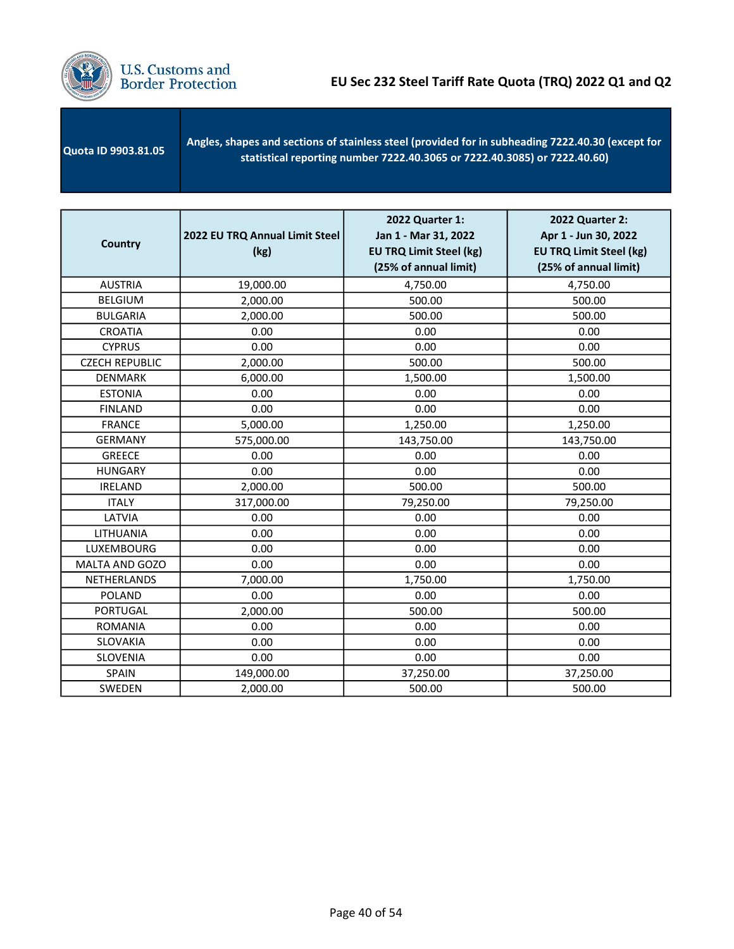

| <b>Quota ID 9903.81.05</b> | Angles, shapes and sections of stainless steel (provided for in subheading 7222.40.30 (except for<br>statistical reporting number 7222.40.3065 or 7222.40.3085) or 7222.40.60) |
|----------------------------|--------------------------------------------------------------------------------------------------------------------------------------------------------------------------------|
|                            |                                                                                                                                                                                |

| <b>Country</b>        | 2022 EU TRQ Annual Limit Steel<br>(kg) | 2022 Quarter 1:<br>Jan 1 - Mar 31, 2022<br><b>EU TRQ Limit Steel (kg)</b><br>(25% of annual limit) | 2022 Quarter 2:<br>Apr 1 - Jun 30, 2022<br><b>EU TRQ Limit Steel (kg)</b><br>(25% of annual limit) |
|-----------------------|----------------------------------------|----------------------------------------------------------------------------------------------------|----------------------------------------------------------------------------------------------------|
| <b>AUSTRIA</b>        | 19,000.00                              | 4,750.00                                                                                           | 4,750.00                                                                                           |
| <b>BELGIUM</b>        | 2,000.00                               | 500.00                                                                                             | 500.00                                                                                             |
| <b>BULGARIA</b>       | 2,000.00                               | 500.00                                                                                             | 500.00                                                                                             |
| <b>CROATIA</b>        | 0.00                                   | 0.00                                                                                               | 0.00                                                                                               |
| <b>CYPRUS</b>         | 0.00                                   | 0.00                                                                                               | 0.00                                                                                               |
| <b>CZECH REPUBLIC</b> | 2,000.00                               | 500.00                                                                                             | 500.00                                                                                             |
| <b>DENMARK</b>        | 6,000.00                               | 1,500.00                                                                                           | 1,500.00                                                                                           |
| <b>ESTONIA</b>        | 0.00                                   | 0.00                                                                                               | 0.00                                                                                               |
| <b>FINLAND</b>        | 0.00                                   | 0.00                                                                                               | 0.00                                                                                               |
| <b>FRANCE</b>         | 5,000.00                               | 1,250.00                                                                                           | 1,250.00                                                                                           |
| <b>GERMANY</b>        | 575,000.00                             | 143,750.00                                                                                         | 143,750.00                                                                                         |
| <b>GREECE</b>         | 0.00                                   | 0.00                                                                                               | 0.00                                                                                               |
| <b>HUNGARY</b>        | 0.00                                   | 0.00                                                                                               | 0.00                                                                                               |
| <b>IRELAND</b>        | 2,000.00                               | 500.00                                                                                             | 500.00                                                                                             |
| <b>ITALY</b>          | 317,000.00                             | 79,250.00                                                                                          | 79,250.00                                                                                          |
| LATVIA                | 0.00                                   | 0.00                                                                                               | 0.00                                                                                               |
| LITHUANIA             | 0.00                                   | 0.00                                                                                               | 0.00                                                                                               |
| LUXEMBOURG            | 0.00                                   | 0.00                                                                                               | 0.00                                                                                               |
| MALTA AND GOZO        | 0.00                                   | 0.00                                                                                               | 0.00                                                                                               |
| NETHERLANDS           | 7,000.00                               | 1,750.00                                                                                           | 1,750.00                                                                                           |
| <b>POLAND</b>         | 0.00                                   | 0.00                                                                                               | 0.00                                                                                               |
| <b>PORTUGAL</b>       | 2,000.00                               | 500.00                                                                                             | 500.00                                                                                             |
| <b>ROMANIA</b>        | 0.00                                   | 0.00                                                                                               | 0.00                                                                                               |
| SLOVAKIA              | 0.00                                   | 0.00                                                                                               | 0.00                                                                                               |
| <b>SLOVENIA</b>       | 0.00                                   | 0.00                                                                                               | 0.00                                                                                               |
| SPAIN                 | 149,000.00                             | 37,250.00                                                                                          | 37,250.00                                                                                          |
| SWEDEN                | 2,000.00                               | 500.00                                                                                             | 500.00                                                                                             |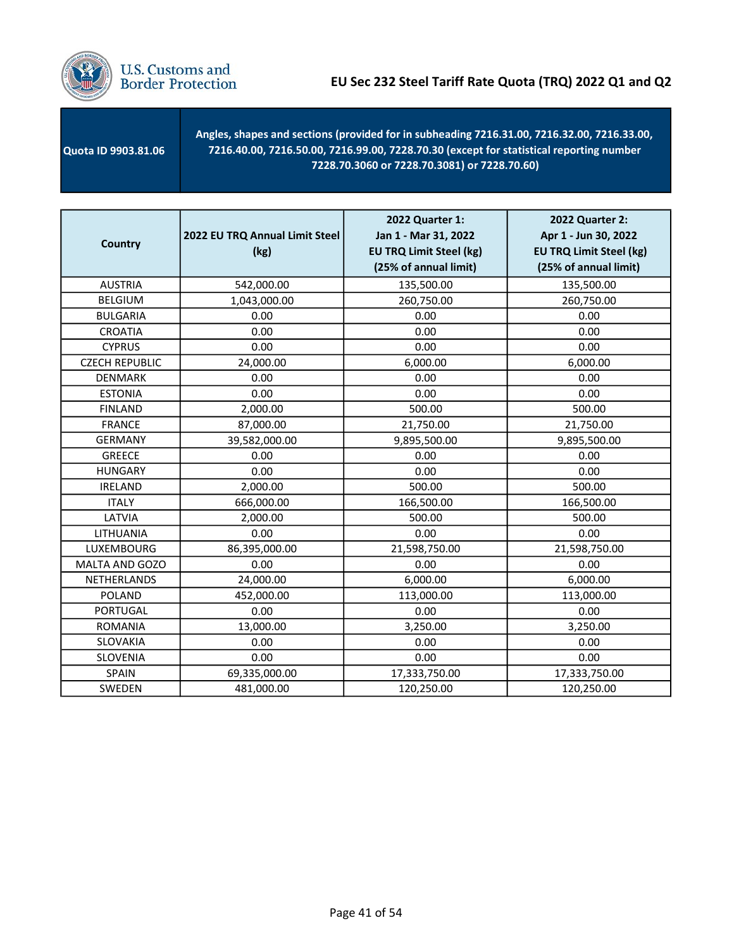

 Quota ID 9903.81.06 Angles, shapes and sections (provided for in subheading 7216.31.00, 7216.32.00, 7216.33.00, 7216.40.00, 7216.50.00, 7216.99.00, 7228.70.30 (except for statistical reporting number 7228.70.3060 or 7228.70.3081) or 7228.70.60)

| <b>Country</b>        | 2022 EU TRQ Annual Limit Steel<br>(kg) | 2022 Quarter 1:<br>Jan 1 - Mar 31, 2022<br><b>EU TRQ Limit Steel (kg)</b><br>(25% of annual limit) | <b>2022 Quarter 2:</b><br>Apr 1 - Jun 30, 2022<br><b>EU TRQ Limit Steel (kg)</b><br>(25% of annual limit) |
|-----------------------|----------------------------------------|----------------------------------------------------------------------------------------------------|-----------------------------------------------------------------------------------------------------------|
| <b>AUSTRIA</b>        | 542,000.00                             | 135,500.00                                                                                         | 135,500.00                                                                                                |
| <b>BELGIUM</b>        | 1,043,000.00                           | 260,750.00                                                                                         | 260,750.00                                                                                                |
| <b>BULGARIA</b>       | 0.00                                   | 0.00                                                                                               | 0.00                                                                                                      |
| <b>CROATIA</b>        | 0.00                                   | 0.00                                                                                               | 0.00                                                                                                      |
| <b>CYPRUS</b>         | 0.00                                   | 0.00                                                                                               | 0.00                                                                                                      |
| <b>CZECH REPUBLIC</b> | 24,000.00                              | 6,000.00                                                                                           | 6,000.00                                                                                                  |
| <b>DENMARK</b>        | 0.00                                   | 0.00                                                                                               | 0.00                                                                                                      |
| <b>ESTONIA</b>        | 0.00                                   | 0.00                                                                                               | 0.00                                                                                                      |
| <b>FINLAND</b>        | 2,000.00                               | 500.00                                                                                             | 500.00                                                                                                    |
| <b>FRANCE</b>         | 87,000.00                              | 21,750.00                                                                                          | 21,750.00                                                                                                 |
| <b>GERMANY</b>        | 39,582,000.00                          | 9,895,500.00                                                                                       | 9,895,500.00                                                                                              |
| <b>GREECE</b>         | 0.00                                   | 0.00                                                                                               | 0.00                                                                                                      |
| <b>HUNGARY</b>        | 0.00                                   | 0.00                                                                                               | 0.00                                                                                                      |
| <b>IRELAND</b>        | 2,000.00                               | 500.00                                                                                             | 500.00                                                                                                    |
| <b>ITALY</b>          | 666,000.00                             | 166,500.00                                                                                         | 166,500.00                                                                                                |
| LATVIA                | 2,000.00                               | 500.00                                                                                             | 500.00                                                                                                    |
| LITHUANIA             | 0.00                                   | 0.00                                                                                               | 0.00                                                                                                      |
| LUXEMBOURG            | 86,395,000.00                          | 21,598,750.00                                                                                      | 21,598,750.00                                                                                             |
| MALTA AND GOZO        | 0.00                                   | 0.00                                                                                               | 0.00                                                                                                      |
| <b>NETHERLANDS</b>    | 24,000.00                              | 6,000.00                                                                                           | 6,000.00                                                                                                  |
| <b>POLAND</b>         | 452,000.00                             | 113,000.00                                                                                         | 113,000.00                                                                                                |
| <b>PORTUGAL</b>       | 0.00                                   | 0.00                                                                                               | 0.00                                                                                                      |
| <b>ROMANIA</b>        | 13,000.00                              | 3,250.00                                                                                           | 3,250.00                                                                                                  |
| SLOVAKIA              | 0.00                                   | 0.00                                                                                               | 0.00                                                                                                      |
| SLOVENIA              | 0.00                                   | 0.00                                                                                               | 0.00                                                                                                      |
| <b>SPAIN</b>          | 69,335,000.00                          | 17,333,750.00                                                                                      | 17,333,750.00                                                                                             |
| SWEDEN                | 481,000.00                             | 120,250.00                                                                                         | 120,250.00                                                                                                |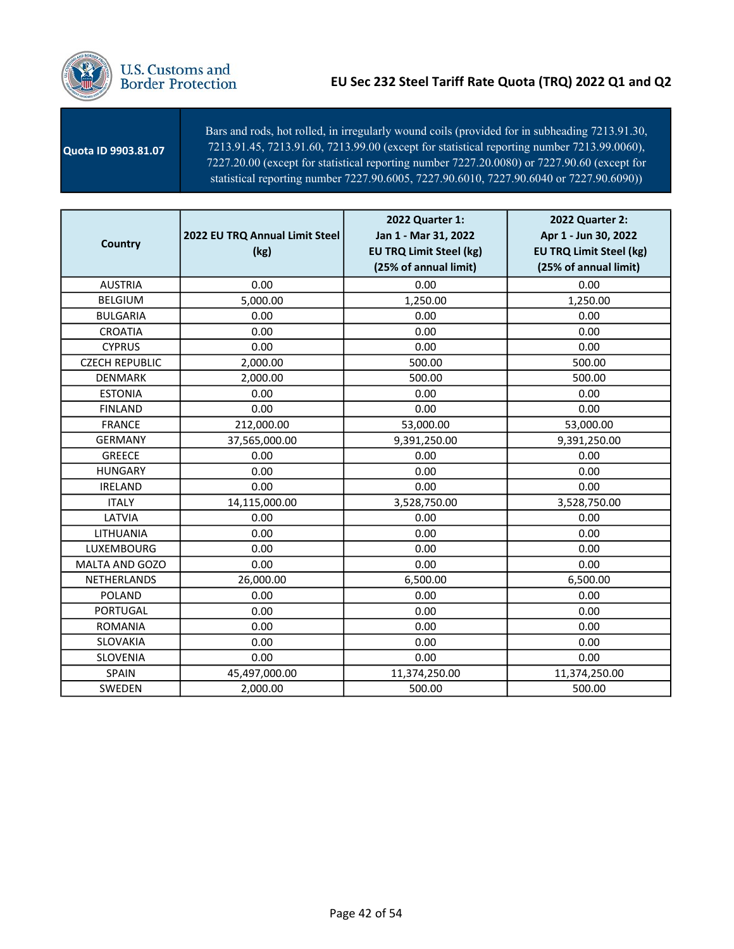

 Quota ID 9903.81.0**7** - 7213.91.45, 7213.91.60, 7213.99.00 (except for statistical reporting number 7213.99.0060), 7227.20.00 (except for statistical reporting number 7227.20.0080) or 7227.90.60 (except for Bars and rods, hot rolled, in irregularly wound coils (provided for in subheading 7213.91.30, statistical reporting number 7227.90.6005, 7227.90.6010, 7227.90.6040 or 7227.90.6090))

| <b>Country</b>        | 2022 EU TRQ Annual Limit Steel<br>(kg) | 2022 Quarter 1:<br>Jan 1 - Mar 31, 2022<br><b>EU TRQ Limit Steel (kg)</b><br>(25% of annual limit) | 2022 Quarter 2:<br>Apr 1 - Jun 30, 2022<br><b>EU TRQ Limit Steel (kg)</b><br>(25% of annual limit) |
|-----------------------|----------------------------------------|----------------------------------------------------------------------------------------------------|----------------------------------------------------------------------------------------------------|
| <b>AUSTRIA</b>        | 0.00                                   | 0.00                                                                                               | 0.00                                                                                               |
| <b>BELGIUM</b>        | 5,000.00                               | 1,250.00                                                                                           | 1,250.00                                                                                           |
| <b>BULGARIA</b>       | 0.00                                   | 0.00                                                                                               | 0.00                                                                                               |
| <b>CROATIA</b>        | 0.00                                   | 0.00                                                                                               | 0.00                                                                                               |
| <b>CYPRUS</b>         | 0.00                                   | 0.00                                                                                               | 0.00                                                                                               |
| <b>CZECH REPUBLIC</b> | 2,000.00                               | 500.00                                                                                             | 500.00                                                                                             |
| <b>DENMARK</b>        | 2,000.00                               | 500.00                                                                                             | 500.00                                                                                             |
| <b>ESTONIA</b>        | 0.00                                   | 0.00                                                                                               | 0.00                                                                                               |
| <b>FINLAND</b>        | 0.00                                   | 0.00                                                                                               | 0.00                                                                                               |
| <b>FRANCE</b>         | 212,000.00                             | 53,000.00                                                                                          | 53,000.00                                                                                          |
| <b>GERMANY</b>        | 37,565,000.00                          | 9,391,250.00                                                                                       | 9,391,250.00                                                                                       |
| <b>GREECE</b>         | 0.00                                   | 0.00                                                                                               | 0.00                                                                                               |
| <b>HUNGARY</b>        | 0.00                                   | 0.00                                                                                               | 0.00                                                                                               |
| <b>IRELAND</b>        | 0.00                                   | 0.00                                                                                               | 0.00                                                                                               |
| <b>ITALY</b>          | 14,115,000.00                          | 3,528,750.00                                                                                       | 3,528,750.00                                                                                       |
| LATVIA                | 0.00                                   | 0.00                                                                                               | 0.00                                                                                               |
| LITHUANIA             | 0.00                                   | 0.00                                                                                               | 0.00                                                                                               |
| <b>LUXEMBOURG</b>     | 0.00                                   | 0.00                                                                                               | 0.00                                                                                               |
| MALTA AND GOZO        | 0.00                                   | 0.00                                                                                               | 0.00                                                                                               |
| <b>NETHERLANDS</b>    | 26,000.00                              | 6,500.00                                                                                           | 6,500.00                                                                                           |
| <b>POLAND</b>         | 0.00                                   | 0.00                                                                                               | 0.00                                                                                               |
| <b>PORTUGAL</b>       | 0.00                                   | 0.00                                                                                               | 0.00                                                                                               |
| <b>ROMANIA</b>        | 0.00                                   | 0.00                                                                                               | 0.00                                                                                               |
| SLOVAKIA              | 0.00                                   | 0.00                                                                                               | 0.00                                                                                               |
| SLOVENIA              | 0.00                                   | 0.00                                                                                               | 0.00                                                                                               |
| <b>SPAIN</b>          | 45,497,000.00                          | 11,374,250.00                                                                                      | 11,374,250.00                                                                                      |
| SWEDEN                | 2,000.00                               | 500.00                                                                                             | 500.00                                                                                             |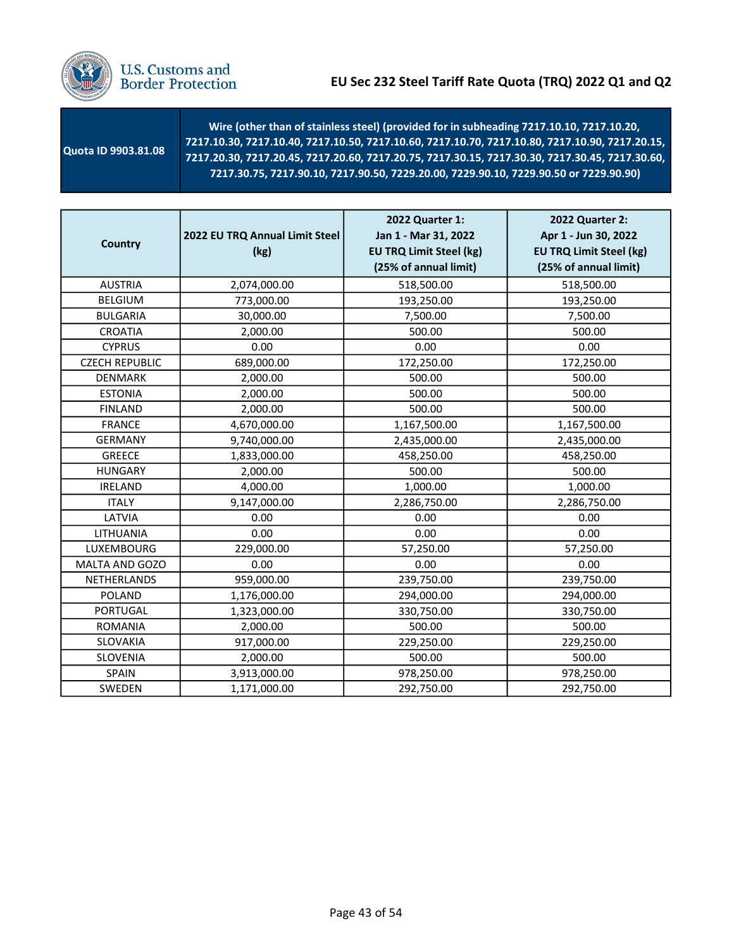

# U.S. Customs and<br>Border Protection

| 7217.30.75, 7217.90.10, 7217.90.50, 7229.20.00, 7229.90.10, 7229.90.50 or 7229.90.90) | Quota ID 9903.81.08 | Wire (other than of stainless steel) (provided for in subheading 7217.10.10, 7217.10.20,<br>7217.10.30, 7217.10.40, 7217.10.50, 7217.10.60, 7217.10.70, 7217.10.80, 7217.10.90, 7217.20.15,<br>7217.20.30, 7217.20.45, 7217.20.60, 7217.20.75, 7217.30.15, 7217.30.30, 7217.30.45, 7217.30.60, |
|---------------------------------------------------------------------------------------|---------------------|------------------------------------------------------------------------------------------------------------------------------------------------------------------------------------------------------------------------------------------------------------------------------------------------|
|---------------------------------------------------------------------------------------|---------------------|------------------------------------------------------------------------------------------------------------------------------------------------------------------------------------------------------------------------------------------------------------------------------------------------|

| <b>Country</b>        | 2022 EU TRQ Annual Limit Steel<br>(kg) | 2022 Quarter 1:<br>Jan 1 - Mar 31, 2022<br><b>EU TRQ Limit Steel (kg)</b><br>(25% of annual limit) | 2022 Quarter 2:<br>Apr 1 - Jun 30, 2022<br><b>EU TRQ Limit Steel (kg)</b><br>(25% of annual limit) |
|-----------------------|----------------------------------------|----------------------------------------------------------------------------------------------------|----------------------------------------------------------------------------------------------------|
| <b>AUSTRIA</b>        | 2,074,000.00                           | 518,500.00                                                                                         | 518,500.00                                                                                         |
| <b>BELGIUM</b>        | 773,000.00                             | 193,250.00                                                                                         | 193,250.00                                                                                         |
| <b>BULGARIA</b>       | 30,000.00                              | 7,500.00                                                                                           | 7,500.00                                                                                           |
| <b>CROATIA</b>        | 2,000.00                               | 500.00                                                                                             | 500.00                                                                                             |
| <b>CYPRUS</b>         | 0.00                                   | 0.00                                                                                               | 0.00                                                                                               |
| <b>CZECH REPUBLIC</b> | 689,000.00                             | 172,250.00                                                                                         | 172,250.00                                                                                         |
| <b>DENMARK</b>        | 2,000.00                               | 500.00                                                                                             | 500.00                                                                                             |
| <b>ESTONIA</b>        | 2,000.00                               | 500.00                                                                                             | 500.00                                                                                             |
| <b>FINLAND</b>        | 2,000.00                               | 500.00                                                                                             | 500.00                                                                                             |
| <b>FRANCE</b>         | 4,670,000.00                           | 1,167,500.00                                                                                       | 1,167,500.00                                                                                       |
| <b>GERMANY</b>        | 9,740,000.00                           | 2,435,000.00                                                                                       | 2,435,000.00                                                                                       |
| <b>GREECE</b>         | 1,833,000.00                           | 458,250.00                                                                                         | 458,250.00                                                                                         |
| <b>HUNGARY</b>        | 2,000.00                               | 500.00                                                                                             | 500.00                                                                                             |
| <b>IRELAND</b>        | 4,000.00                               | 1,000.00                                                                                           | 1,000.00                                                                                           |
| <b>ITALY</b>          | 9,147,000.00                           | 2,286,750.00                                                                                       | 2,286,750.00                                                                                       |
| LATVIA                | 0.00                                   | 0.00                                                                                               | 0.00                                                                                               |
| LITHUANIA             | 0.00                                   | 0.00                                                                                               | 0.00                                                                                               |
| LUXEMBOURG            | 229,000.00                             | 57,250.00                                                                                          | 57,250.00                                                                                          |
| MALTA AND GOZO        | 0.00                                   | 0.00                                                                                               | 0.00                                                                                               |
| NETHERLANDS           | 959,000.00                             | 239,750.00                                                                                         | 239,750.00                                                                                         |
| POLAND                | 1,176,000.00                           | 294,000.00                                                                                         | 294,000.00                                                                                         |
| <b>PORTUGAL</b>       | 1,323,000.00                           | 330,750.00                                                                                         | 330,750.00                                                                                         |
| <b>ROMANIA</b>        | 2,000.00                               | 500.00                                                                                             | 500.00                                                                                             |
| SLOVAKIA              | 917,000.00                             | 229,250.00                                                                                         | 229,250.00                                                                                         |
| SLOVENIA              | 2,000.00                               | 500.00                                                                                             | 500.00                                                                                             |
| SPAIN                 | 3,913,000.00                           | 978,250.00                                                                                         | 978,250.00                                                                                         |
| SWEDEN                | 1,171,000.00                           | 292,750.00                                                                                         | 292,750.00                                                                                         |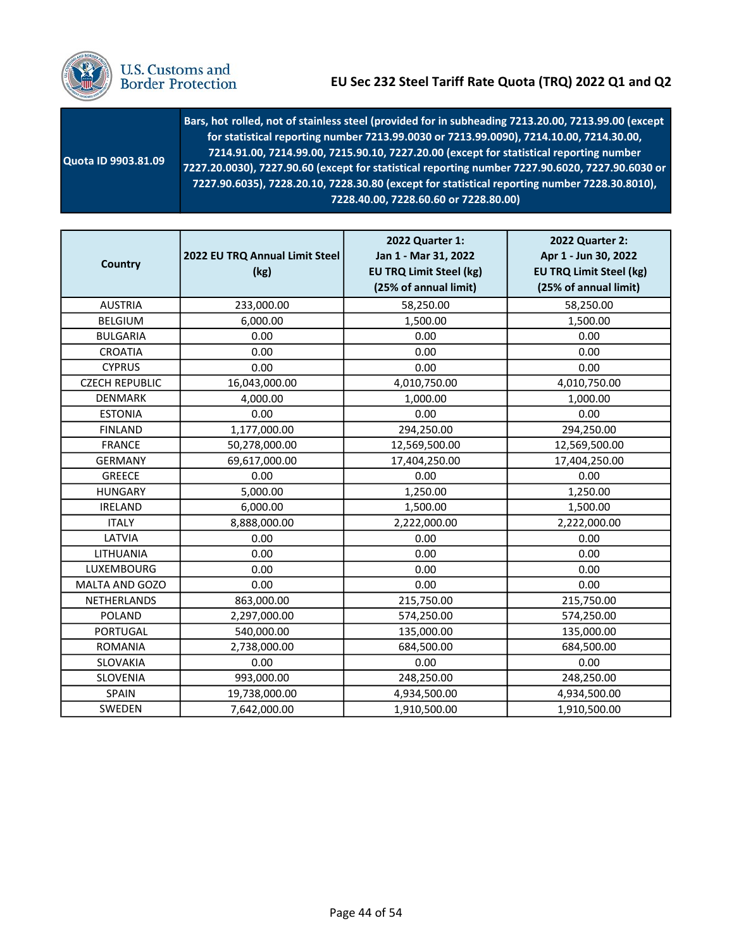

| Quota ID 9903.81.09 | Bars, hot rolled, not of stainless steel (provided for in subheading 7213.20.00, 7213.99.00 (except<br>for statistical reporting number 7213.99.0030 or 7213.99.0090), 7214.10.00, 7214.30.00,<br>7214.91.00, 7214.99.00, 7215.90.10, 7227.20.00 (except for statistical reporting number<br>7227.20.0030), 7227.90.60 (except for statistical reporting number 7227.90.6020, 7227.90.6030 or<br>7227.90.6035), 7228.20.10, 7228.30.80 (except for statistical reporting number 7228.30.8010),<br>7228.40.00, 7228.60.60 or 7228.80.00) |
|---------------------|-----------------------------------------------------------------------------------------------------------------------------------------------------------------------------------------------------------------------------------------------------------------------------------------------------------------------------------------------------------------------------------------------------------------------------------------------------------------------------------------------------------------------------------------|
|---------------------|-----------------------------------------------------------------------------------------------------------------------------------------------------------------------------------------------------------------------------------------------------------------------------------------------------------------------------------------------------------------------------------------------------------------------------------------------------------------------------------------------------------------------------------------|

| <b>Country</b>        | 2022 EU TRQ Annual Limit Steel<br>(kg) | 2022 Quarter 1:<br>Jan 1 - Mar 31, 2022<br><b>EU TRQ Limit Steel (kg)</b><br>(25% of annual limit) | 2022 Quarter 2:<br>Apr 1 - Jun 30, 2022<br><b>EU TRQ Limit Steel (kg)</b><br>(25% of annual limit) |
|-----------------------|----------------------------------------|----------------------------------------------------------------------------------------------------|----------------------------------------------------------------------------------------------------|
| <b>AUSTRIA</b>        | 233,000.00                             | 58,250.00                                                                                          | 58,250.00                                                                                          |
| <b>BELGIUM</b>        | 6,000.00                               | 1,500.00                                                                                           | 1,500.00                                                                                           |
| <b>BULGARIA</b>       | 0.00                                   | 0.00                                                                                               | 0.00                                                                                               |
| <b>CROATIA</b>        | 0.00                                   | 0.00                                                                                               | 0.00                                                                                               |
| <b>CYPRUS</b>         | 0.00                                   | 0.00                                                                                               | 0.00                                                                                               |
| <b>CZECH REPUBLIC</b> | 16,043,000.00                          | 4,010,750.00                                                                                       | 4,010,750.00                                                                                       |
| <b>DENMARK</b>        | 4,000.00                               | 1,000.00                                                                                           | 1,000.00                                                                                           |
| <b>ESTONIA</b>        | 0.00                                   | 0.00                                                                                               | 0.00                                                                                               |
| <b>FINLAND</b>        | 1,177,000.00                           | 294,250.00                                                                                         | 294,250.00                                                                                         |
| <b>FRANCE</b>         | 50,278,000.00                          | 12,569,500.00                                                                                      | 12,569,500.00                                                                                      |
| <b>GERMANY</b>        | 69,617,000.00                          | 17,404,250.00                                                                                      | 17,404,250.00                                                                                      |
| <b>GREECE</b>         | 0.00                                   | 0.00                                                                                               | 0.00                                                                                               |
| <b>HUNGARY</b>        | 5,000.00                               | 1,250.00                                                                                           | 1,250.00                                                                                           |
| <b>IRELAND</b>        | 6,000.00                               | 1,500.00                                                                                           | 1,500.00                                                                                           |
| <b>ITALY</b>          | 8,888,000.00                           | 2,222,000.00                                                                                       | 2,222,000.00                                                                                       |
| LATVIA                | 0.00                                   | 0.00                                                                                               | 0.00                                                                                               |
| LITHUANIA             | 0.00                                   | 0.00                                                                                               | 0.00                                                                                               |
| LUXEMBOURG            | 0.00                                   | 0.00                                                                                               | 0.00                                                                                               |
| MALTA AND GOZO        | 0.00                                   | 0.00                                                                                               | 0.00                                                                                               |
| NETHERLANDS           | 863,000.00                             | 215,750.00                                                                                         | 215,750.00                                                                                         |
| POLAND                | 2,297,000.00                           | 574,250.00                                                                                         | 574,250.00                                                                                         |
| <b>PORTUGAL</b>       | 540,000.00                             | 135,000.00                                                                                         | 135,000.00                                                                                         |
| <b>ROMANIA</b>        | 2,738,000.00                           | 684,500.00                                                                                         | 684,500.00                                                                                         |
| SLOVAKIA              | 0.00                                   | 0.00                                                                                               | 0.00                                                                                               |
| SLOVENIA              | 993,000.00                             | 248,250.00                                                                                         | 248,250.00                                                                                         |
| <b>SPAIN</b>          | 19,738,000.00                          | 4,934,500.00                                                                                       | 4,934,500.00                                                                                       |
| SWEDEN                | 7,642,000.00                           | 1,910,500.00                                                                                       | 1,910,500.00                                                                                       |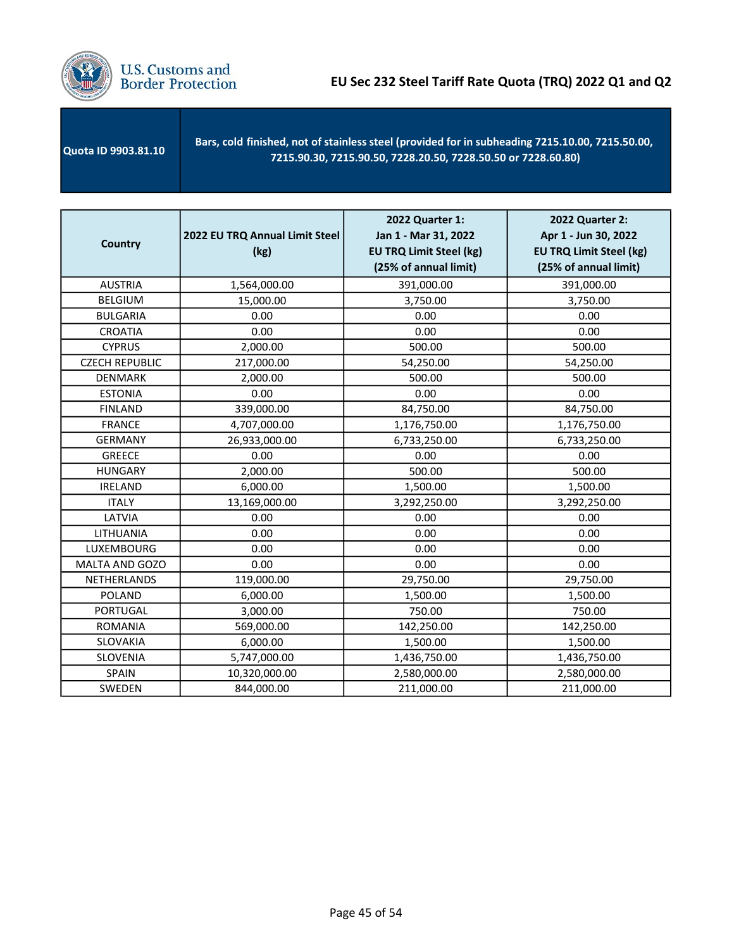

| <b>Quota ID 9903.81.10</b> | Bars, cold finished, not of stainless steel (provided for in subheading 7215.10.00, 7215.50.00,<br>7215.90.30, 7215.90.50, 7228.20.50, 7228.50.50 or 7228.60.80) |
|----------------------------|------------------------------------------------------------------------------------------------------------------------------------------------------------------|
|                            |                                                                                                                                                                  |

| <b>Country</b>        | 2022 EU TRQ Annual Limit Steel<br>(kg) | 2022 Quarter 1:<br>Jan 1 - Mar 31, 2022<br><b>EU TRQ Limit Steel (kg)</b><br>(25% of annual limit) | 2022 Quarter 2:<br>Apr 1 - Jun 30, 2022<br><b>EU TRQ Limit Steel (kg)</b><br>(25% of annual limit) |
|-----------------------|----------------------------------------|----------------------------------------------------------------------------------------------------|----------------------------------------------------------------------------------------------------|
| <b>AUSTRIA</b>        | 1,564,000.00                           | 391,000.00                                                                                         | 391,000.00                                                                                         |
| <b>BELGIUM</b>        | 15,000.00                              | 3,750.00                                                                                           | 3,750.00                                                                                           |
| <b>BULGARIA</b>       | 0.00                                   | 0.00                                                                                               | 0.00                                                                                               |
| <b>CROATIA</b>        | 0.00                                   | 0.00                                                                                               | 0.00                                                                                               |
| <b>CYPRUS</b>         | 2,000.00                               | 500.00                                                                                             | 500.00                                                                                             |
| <b>CZECH REPUBLIC</b> | 217,000.00                             | 54,250.00                                                                                          | 54,250.00                                                                                          |
| <b>DENMARK</b>        | 2,000.00                               | 500.00                                                                                             | 500.00                                                                                             |
| <b>ESTONIA</b>        | 0.00                                   | 0.00                                                                                               | 0.00                                                                                               |
| <b>FINLAND</b>        | 339,000.00                             | 84,750.00                                                                                          | 84,750.00                                                                                          |
| <b>FRANCE</b>         | 4,707,000.00                           | 1,176,750.00                                                                                       | 1,176,750.00                                                                                       |
| <b>GERMANY</b>        | 26,933,000.00                          | 6,733,250.00                                                                                       | 6,733,250.00                                                                                       |
| <b>GREECE</b>         | 0.00                                   | 0.00                                                                                               | 0.00                                                                                               |
| <b>HUNGARY</b>        | 2,000.00                               | 500.00                                                                                             | 500.00                                                                                             |
| <b>IRELAND</b>        | 6,000.00                               | 1,500.00                                                                                           | 1,500.00                                                                                           |
| <b>ITALY</b>          | 13,169,000.00                          | 3,292,250.00                                                                                       | 3,292,250.00                                                                                       |
| LATVIA                | 0.00                                   | 0.00                                                                                               | 0.00                                                                                               |
| LITHUANIA             | 0.00                                   | 0.00                                                                                               | 0.00                                                                                               |
| <b>LUXEMBOURG</b>     | 0.00                                   | 0.00                                                                                               | 0.00                                                                                               |
| MALTA AND GOZO        | 0.00                                   | 0.00                                                                                               | 0.00                                                                                               |
| NETHERLANDS           | 119,000.00                             | 29,750.00                                                                                          | 29,750.00                                                                                          |
| <b>POLAND</b>         | 6,000.00                               | 1,500.00                                                                                           | 1,500.00                                                                                           |
| <b>PORTUGAL</b>       | 3,000.00                               | 750.00                                                                                             | 750.00                                                                                             |
| <b>ROMANIA</b>        | 569,000.00                             | 142,250.00                                                                                         | 142,250.00                                                                                         |
| SLOVAKIA              | 6,000.00                               | 1,500.00                                                                                           | 1,500.00                                                                                           |
| SLOVENIA              | 5,747,000.00                           | 1,436,750.00                                                                                       | 1,436,750.00                                                                                       |
| SPAIN                 | 10,320,000.00                          | 2,580,000.00                                                                                       | 2,580,000.00                                                                                       |
| SWEDEN                | 844,000.00                             | 211,000.00                                                                                         | 211,000.00                                                                                         |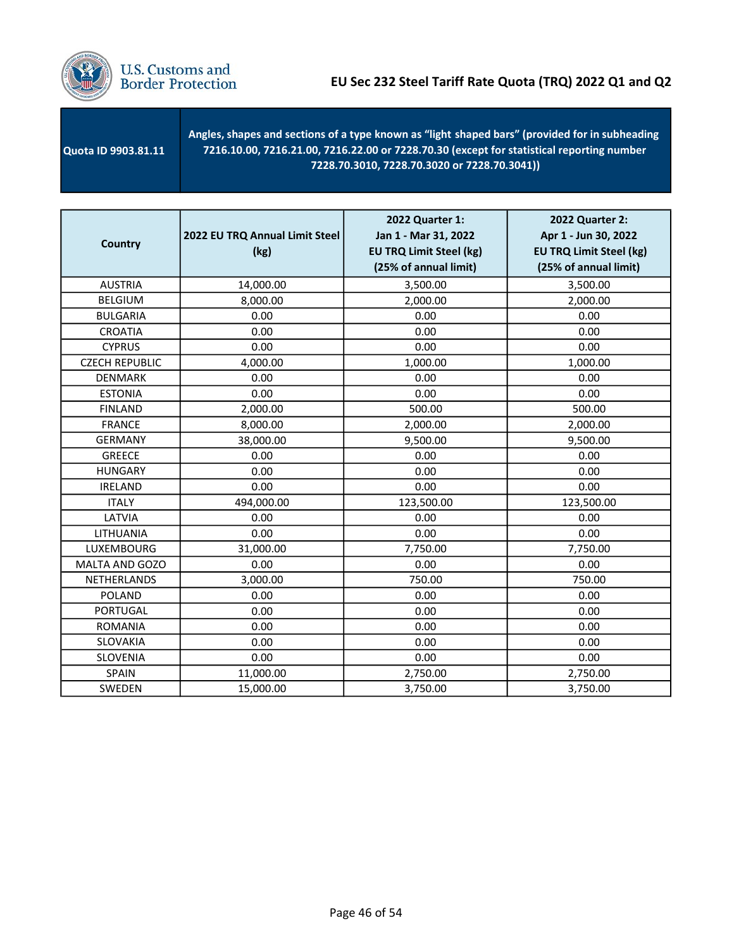

 Quota ID 9903.81.11 - Angles, shapes and sections of a type known as "light shaped bars" (provided for in subheading 7216.10.00, 7216.21.00, 7216.22.00 or 7228.70.30 (except for statistical reporting number 7228.70.3010, 7228.70.3020 or 7228.70.3041))

| <b>Country</b>        | 2022 EU TRQ Annual Limit Steel<br>(kg) | 2022 Quarter 1:<br>Jan 1 - Mar 31, 2022<br><b>EU TRQ Limit Steel (kg)</b><br>(25% of annual limit) | 2022 Quarter 2:<br>Apr 1 - Jun 30, 2022<br><b>EU TRQ Limit Steel (kg)</b><br>(25% of annual limit) |
|-----------------------|----------------------------------------|----------------------------------------------------------------------------------------------------|----------------------------------------------------------------------------------------------------|
| <b>AUSTRIA</b>        | 14,000.00                              | 3,500.00                                                                                           | 3,500.00                                                                                           |
| <b>BELGIUM</b>        | 8,000.00                               | 2,000.00                                                                                           | 2,000.00                                                                                           |
| <b>BULGARIA</b>       | 0.00                                   | 0.00                                                                                               | 0.00                                                                                               |
| <b>CROATIA</b>        | 0.00                                   | 0.00                                                                                               | 0.00                                                                                               |
| <b>CYPRUS</b>         | 0.00                                   | 0.00                                                                                               | 0.00                                                                                               |
| <b>CZECH REPUBLIC</b> | 4,000.00                               | 1,000.00                                                                                           | 1,000.00                                                                                           |
| <b>DENMARK</b>        | 0.00                                   | 0.00                                                                                               | 0.00                                                                                               |
| <b>ESTONIA</b>        | 0.00                                   | 0.00                                                                                               | 0.00                                                                                               |
| <b>FINLAND</b>        | 2,000.00                               | 500.00                                                                                             | 500.00                                                                                             |
| <b>FRANCE</b>         | 8,000.00                               | 2,000.00                                                                                           | 2,000.00                                                                                           |
| <b>GERMANY</b>        | 38,000.00                              | 9,500.00                                                                                           | 9,500.00                                                                                           |
| <b>GREECE</b>         | 0.00                                   | 0.00                                                                                               | 0.00                                                                                               |
| <b>HUNGARY</b>        | 0.00                                   | 0.00                                                                                               | 0.00                                                                                               |
| <b>IRELAND</b>        | 0.00                                   | 0.00                                                                                               | 0.00                                                                                               |
| <b>ITALY</b>          | 494,000.00                             | 123,500.00                                                                                         | 123,500.00                                                                                         |
| LATVIA                | 0.00                                   | 0.00                                                                                               | 0.00                                                                                               |
| LITHUANIA             | 0.00                                   | 0.00                                                                                               | 0.00                                                                                               |
| LUXEMBOURG            | 31,000.00                              | 7,750.00                                                                                           | 7,750.00                                                                                           |
| MALTA AND GOZO        | 0.00                                   | 0.00                                                                                               | 0.00                                                                                               |
| <b>NETHERLANDS</b>    | 3,000.00                               | 750.00                                                                                             | 750.00                                                                                             |
| <b>POLAND</b>         | 0.00                                   | 0.00                                                                                               | 0.00                                                                                               |
| <b>PORTUGAL</b>       | 0.00                                   | 0.00                                                                                               | 0.00                                                                                               |
| <b>ROMANIA</b>        | 0.00                                   | 0.00                                                                                               | 0.00                                                                                               |
| SLOVAKIA              | 0.00                                   | 0.00                                                                                               | 0.00                                                                                               |
| SLOVENIA              | 0.00                                   | 0.00                                                                                               | 0.00                                                                                               |
| SPAIN                 | 11,000.00                              | 2,750.00                                                                                           | 2,750.00                                                                                           |
| SWEDEN                | 15,000.00                              | 3,750.00                                                                                           | 3,750.00                                                                                           |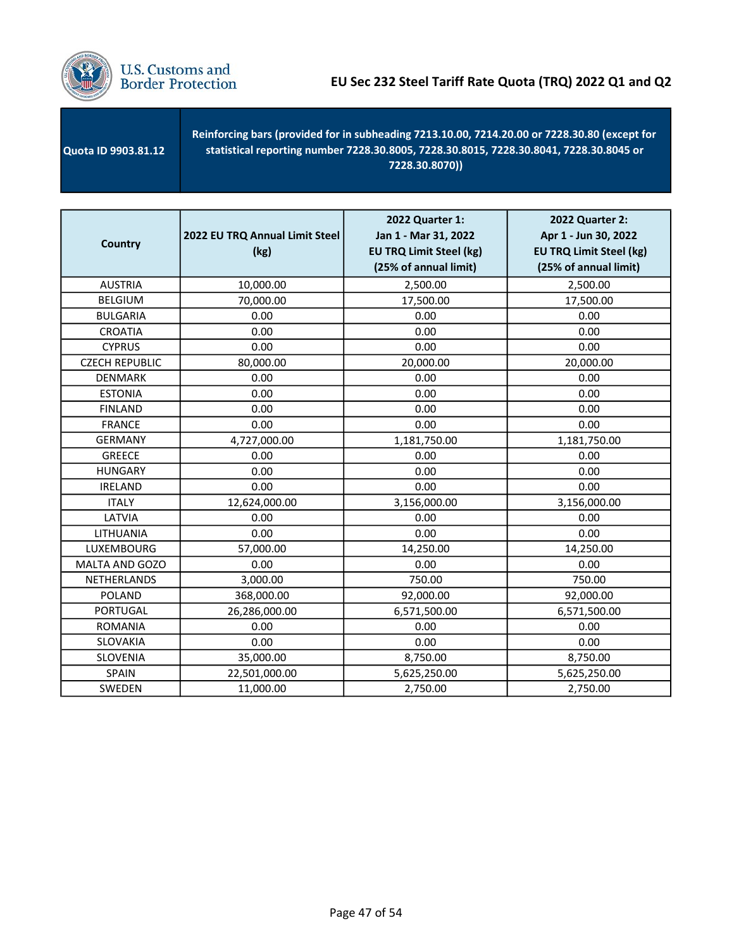

| <b>Quota ID 9903.81.12</b> | Reinforcing bars (provided for in subheading 7213.10.00, 7214.20.00 or 7228.30.80 (except for<br>statistical reporting number 7228.30.8005, 7228.30.8015, 7228.30.8041, 7228.30.8045 or<br>7228.30.8070)) |
|----------------------------|-----------------------------------------------------------------------------------------------------------------------------------------------------------------------------------------------------------|
|----------------------------|-----------------------------------------------------------------------------------------------------------------------------------------------------------------------------------------------------------|

| Country               | 2022 EU TRQ Annual Limit Steel<br>(kg) | 2022 Quarter 1:<br>Jan 1 - Mar 31, 2022<br><b>EU TRQ Limit Steel (kg)</b><br>(25% of annual limit) | 2022 Quarter 2:<br>Apr 1 - Jun 30, 2022<br><b>EU TRQ Limit Steel (kg)</b><br>(25% of annual limit) |
|-----------------------|----------------------------------------|----------------------------------------------------------------------------------------------------|----------------------------------------------------------------------------------------------------|
| <b>AUSTRIA</b>        | 10,000.00                              | 2,500.00                                                                                           | 2,500.00                                                                                           |
| <b>BELGIUM</b>        | 70,000.00                              | 17,500.00                                                                                          | 17,500.00                                                                                          |
| <b>BULGARIA</b>       | 0.00                                   | 0.00                                                                                               | 0.00                                                                                               |
| <b>CROATIA</b>        | 0.00                                   | 0.00                                                                                               | 0.00                                                                                               |
| <b>CYPRUS</b>         | 0.00                                   | 0.00                                                                                               | 0.00                                                                                               |
| <b>CZECH REPUBLIC</b> | 80,000.00                              | 20,000.00                                                                                          | 20,000.00                                                                                          |
| <b>DENMARK</b>        | 0.00                                   | 0.00                                                                                               | 0.00                                                                                               |
| <b>ESTONIA</b>        | 0.00                                   | 0.00                                                                                               | 0.00                                                                                               |
| <b>FINLAND</b>        | 0.00                                   | 0.00                                                                                               | 0.00                                                                                               |
| <b>FRANCE</b>         | 0.00                                   | 0.00                                                                                               | 0.00                                                                                               |
| <b>GERMANY</b>        | 4,727,000.00                           | 1,181,750.00                                                                                       | 1,181,750.00                                                                                       |
| <b>GREECE</b>         | 0.00                                   | 0.00                                                                                               | 0.00                                                                                               |
| <b>HUNGARY</b>        | 0.00                                   | 0.00                                                                                               | 0.00                                                                                               |
| <b>IRELAND</b>        | 0.00                                   | 0.00                                                                                               | 0.00                                                                                               |
| <b>ITALY</b>          | 12,624,000.00                          | 3,156,000.00                                                                                       | 3,156,000.00                                                                                       |
| LATVIA                | 0.00                                   | 0.00                                                                                               | 0.00                                                                                               |
| LITHUANIA             | 0.00                                   | 0.00                                                                                               | 0.00                                                                                               |
| LUXEMBOURG            | 57,000.00                              | 14,250.00                                                                                          | 14,250.00                                                                                          |
| MALTA AND GOZO        | 0.00                                   | 0.00                                                                                               | 0.00                                                                                               |
| NETHERLANDS           | 3,000.00                               | 750.00                                                                                             | 750.00                                                                                             |
| <b>POLAND</b>         | 368,000.00                             | 92,000.00                                                                                          | 92,000.00                                                                                          |
| <b>PORTUGAL</b>       | 26,286,000.00                          | 6,571,500.00                                                                                       | 6,571,500.00                                                                                       |
| <b>ROMANIA</b>        | 0.00                                   | 0.00                                                                                               | 0.00                                                                                               |
| SLOVAKIA              | 0.00                                   | 0.00                                                                                               | 0.00                                                                                               |
| SLOVENIA              | 35,000.00                              | 8,750.00                                                                                           | 8,750.00                                                                                           |
| <b>SPAIN</b>          | 22,501,000.00                          | 5,625,250.00                                                                                       | 5,625,250.00                                                                                       |
| SWEDEN                | 11,000.00                              | 2,750.00                                                                                           | 2,750.00                                                                                           |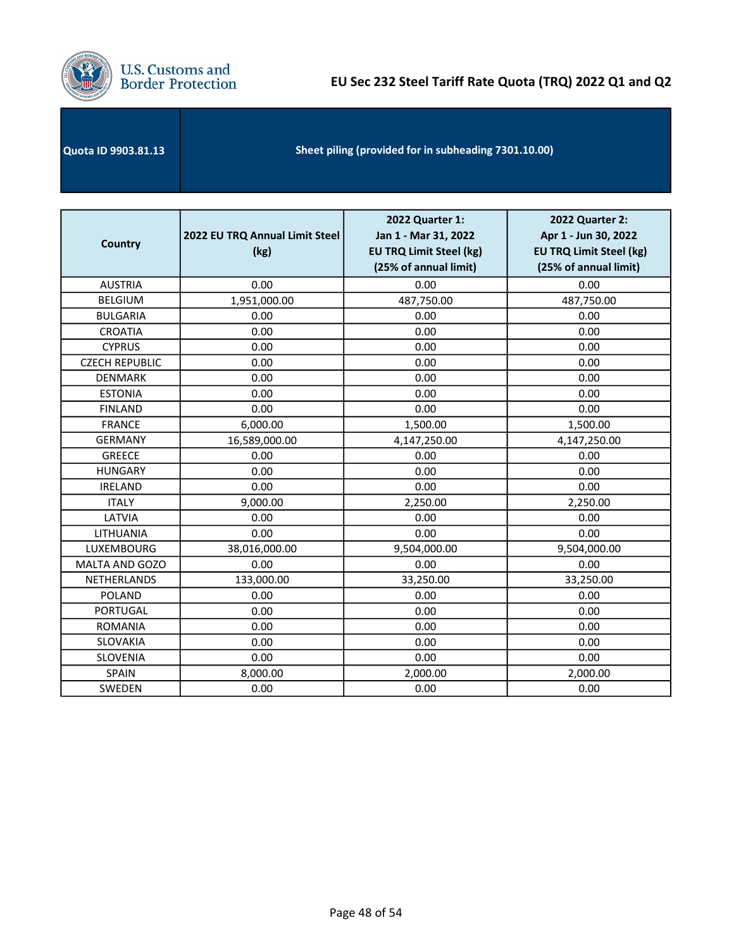

| Quota ID 9903.81.13 | Sheet piling (provided for in subheading 7301.10.00) |
|---------------------|------------------------------------------------------|
|---------------------|------------------------------------------------------|

| <b>Country</b>        | 2022 EU TRQ Annual Limit Steel<br>(kg) | 2022 Quarter 1:<br>Jan 1 - Mar 31, 2022<br><b>EU TRQ Limit Steel (kg)</b><br>(25% of annual limit) | 2022 Quarter 2:<br>Apr 1 - Jun 30, 2022<br><b>EU TRQ Limit Steel (kg)</b><br>(25% of annual limit) |
|-----------------------|----------------------------------------|----------------------------------------------------------------------------------------------------|----------------------------------------------------------------------------------------------------|
| <b>AUSTRIA</b>        | 0.00                                   | 0.00                                                                                               | 0.00                                                                                               |
| <b>BELGIUM</b>        | 1,951,000.00                           | 487,750.00                                                                                         | 487,750.00                                                                                         |
| <b>BULGARIA</b>       | 0.00                                   | 0.00                                                                                               | 0.00                                                                                               |
| <b>CROATIA</b>        | 0.00                                   | 0.00                                                                                               | 0.00                                                                                               |
| <b>CYPRUS</b>         | 0.00                                   | 0.00                                                                                               | 0.00                                                                                               |
| <b>CZECH REPUBLIC</b> | 0.00                                   | 0.00                                                                                               | 0.00                                                                                               |
| <b>DENMARK</b>        | 0.00                                   | 0.00                                                                                               | 0.00                                                                                               |
| <b>ESTONIA</b>        | 0.00                                   | 0.00                                                                                               | 0.00                                                                                               |
| <b>FINLAND</b>        | 0.00                                   | 0.00                                                                                               | 0.00                                                                                               |
| <b>FRANCE</b>         | 6,000.00                               | 1,500.00                                                                                           | 1,500.00                                                                                           |
| <b>GERMANY</b>        | 16,589,000.00                          | 4,147,250.00                                                                                       | 4,147,250.00                                                                                       |
| <b>GREECE</b>         | 0.00                                   | 0.00                                                                                               | 0.00                                                                                               |
| <b>HUNGARY</b>        | 0.00                                   | 0.00                                                                                               | 0.00                                                                                               |
| <b>IRELAND</b>        | 0.00                                   | 0.00                                                                                               | 0.00                                                                                               |
| <b>ITALY</b>          | 9,000.00                               | 2,250.00                                                                                           | 2,250.00                                                                                           |
| LATVIA                | 0.00                                   | 0.00                                                                                               | 0.00                                                                                               |
| LITHUANIA             | 0.00                                   | 0.00                                                                                               | 0.00                                                                                               |
| LUXEMBOURG            | 38,016,000.00                          | 9,504,000.00                                                                                       | 9,504,000.00                                                                                       |
| <b>MALTA AND GOZO</b> | 0.00                                   | 0.00                                                                                               | 0.00                                                                                               |
| NETHERLANDS           | 133,000.00                             | 33,250.00                                                                                          | 33,250.00                                                                                          |
| <b>POLAND</b>         | 0.00                                   | 0.00                                                                                               | 0.00                                                                                               |
| <b>PORTUGAL</b>       | 0.00                                   | 0.00                                                                                               | 0.00                                                                                               |
| <b>ROMANIA</b>        | 0.00                                   | 0.00                                                                                               | 0.00                                                                                               |
| SLOVAKIA              | 0.00                                   | 0.00                                                                                               | 0.00                                                                                               |
| SLOVENIA              | 0.00                                   | 0.00                                                                                               | 0.00                                                                                               |
| <b>SPAIN</b>          | 8,000.00                               | 2,000.00                                                                                           | 2,000.00                                                                                           |
| SWEDEN                | 0.00                                   | 0.00                                                                                               | 0.00                                                                                               |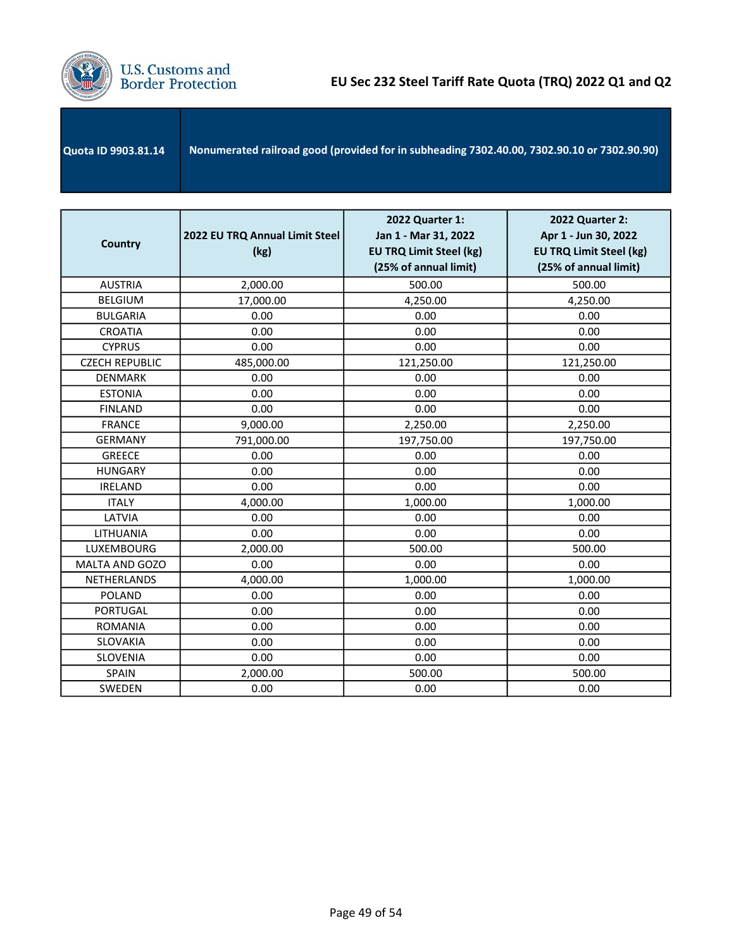

| <b>Quota ID 9903.81.14</b> | Nonumerated railroad good (provided for in subheading 7302.40.00, 7302.90.10 or 7302.90.90) |
|----------------------------|---------------------------------------------------------------------------------------------|
|                            |                                                                                             |

| <b>Country</b>        | 2022 EU TRQ Annual Limit Steel<br>(kg) | <b>2022 Quarter 1:</b><br>Jan 1 - Mar 31, 2022<br><b>EU TRQ Limit Steel (kg)</b><br>(25% of annual limit) | <b>2022 Quarter 2:</b><br>Apr 1 - Jun 30, 2022<br><b>EU TRQ Limit Steel (kg)</b><br>(25% of annual limit) |
|-----------------------|----------------------------------------|-----------------------------------------------------------------------------------------------------------|-----------------------------------------------------------------------------------------------------------|
| <b>AUSTRIA</b>        | 2,000.00                               | 500.00                                                                                                    | 500.00                                                                                                    |
| <b>BELGIUM</b>        | 17,000.00                              | 4,250.00                                                                                                  | 4,250.00                                                                                                  |
| <b>BULGARIA</b>       | 0.00                                   | 0.00                                                                                                      | 0.00                                                                                                      |
| <b>CROATIA</b>        | 0.00                                   | 0.00                                                                                                      | 0.00                                                                                                      |
| <b>CYPRUS</b>         | 0.00                                   | 0.00                                                                                                      | 0.00                                                                                                      |
| <b>CZECH REPUBLIC</b> | 485,000.00                             | 121,250.00                                                                                                | 121,250.00                                                                                                |
| <b>DENMARK</b>        | 0.00                                   | 0.00                                                                                                      | 0.00                                                                                                      |
| <b>ESTONIA</b>        | 0.00                                   | 0.00                                                                                                      | 0.00                                                                                                      |
| <b>FINLAND</b>        | 0.00                                   | 0.00                                                                                                      | 0.00                                                                                                      |
| <b>FRANCE</b>         | 9,000.00                               | 2,250.00                                                                                                  | 2,250.00                                                                                                  |
| <b>GERMANY</b>        | 791,000.00                             | 197,750.00                                                                                                | 197,750.00                                                                                                |
| <b>GREECE</b>         | 0.00                                   | 0.00                                                                                                      | 0.00                                                                                                      |
| <b>HUNGARY</b>        | 0.00                                   | 0.00                                                                                                      | 0.00                                                                                                      |
| <b>IRELAND</b>        | 0.00                                   | 0.00                                                                                                      | 0.00                                                                                                      |
| <b>ITALY</b>          | 4,000.00                               | 1,000.00                                                                                                  | 1,000.00                                                                                                  |
| LATVIA                | 0.00                                   | 0.00                                                                                                      | 0.00                                                                                                      |
| LITHUANIA             | 0.00                                   | 0.00                                                                                                      | 0.00                                                                                                      |
| LUXEMBOURG            | 2,000.00                               | 500.00                                                                                                    | 500.00                                                                                                    |
| <b>MALTA AND GOZO</b> | 0.00                                   | 0.00                                                                                                      | 0.00                                                                                                      |
| NETHERLANDS           | 4,000.00                               | 1,000.00                                                                                                  | 1,000.00                                                                                                  |
| <b>POLAND</b>         | 0.00                                   | 0.00                                                                                                      | 0.00                                                                                                      |
| PORTUGAL              | 0.00                                   | 0.00                                                                                                      | 0.00                                                                                                      |
| <b>ROMANIA</b>        | 0.00                                   | 0.00                                                                                                      | 0.00                                                                                                      |
| SLOVAKIA              | 0.00                                   | 0.00                                                                                                      | 0.00                                                                                                      |
| SLOVENIA              | 0.00                                   | 0.00                                                                                                      | 0.00                                                                                                      |
| <b>SPAIN</b>          | 2,000.00                               | 500.00                                                                                                    | 500.00                                                                                                    |
| SWEDEN                | 0.00                                   | 0.00                                                                                                      | 0.00                                                                                                      |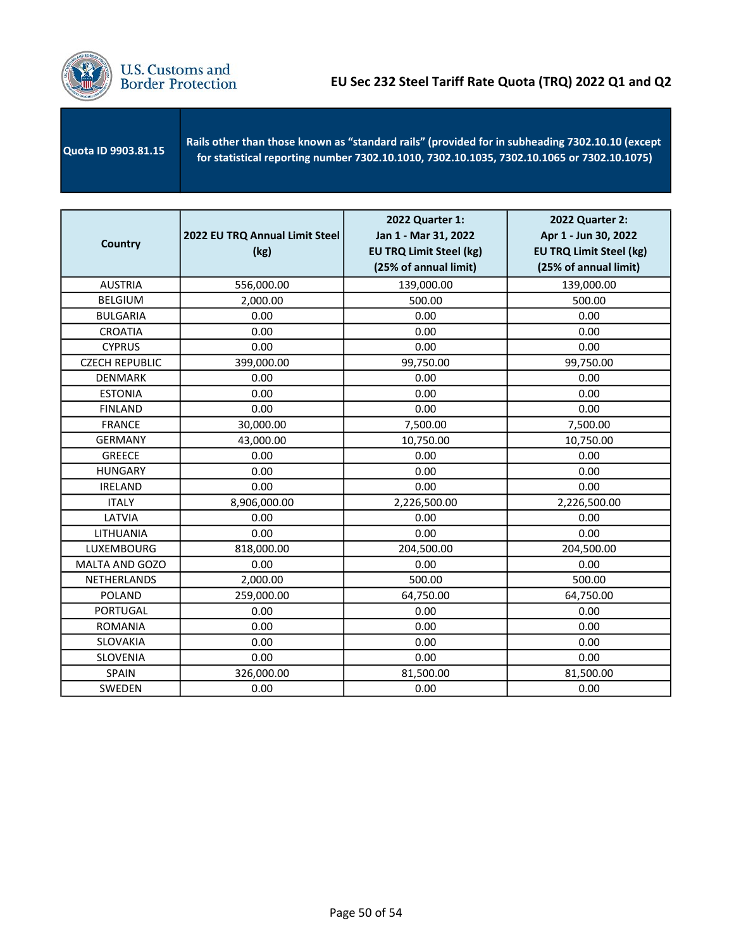

| Rails other than those known as "standard rails" (provided for in subheading 7302.10.10 (except<br>Quota ID 9903.81.15<br>for statistical reporting number 7302.10.1010, 7302.10.1035, 7302.10.1065 or 7302.10.1075) |
|----------------------------------------------------------------------------------------------------------------------------------------------------------------------------------------------------------------------|
|----------------------------------------------------------------------------------------------------------------------------------------------------------------------------------------------------------------------|

| <b>Country</b>        | 2022 EU TRQ Annual Limit Steel<br>(kg) | 2022 Quarter 1:<br>Jan 1 - Mar 31, 2022<br><b>EU TRQ Limit Steel (kg)</b><br>(25% of annual limit) | 2022 Quarter 2:<br>Apr 1 - Jun 30, 2022<br><b>EU TRQ Limit Steel (kg)</b><br>(25% of annual limit) |
|-----------------------|----------------------------------------|----------------------------------------------------------------------------------------------------|----------------------------------------------------------------------------------------------------|
| <b>AUSTRIA</b>        | 556,000.00                             | 139,000.00                                                                                         | 139,000.00                                                                                         |
| <b>BELGIUM</b>        | 2,000.00                               | 500.00                                                                                             | 500.00                                                                                             |
| <b>BULGARIA</b>       | 0.00                                   | 0.00                                                                                               | 0.00                                                                                               |
| <b>CROATIA</b>        | 0.00                                   | 0.00                                                                                               | 0.00                                                                                               |
| <b>CYPRUS</b>         | 0.00                                   | 0.00                                                                                               | 0.00                                                                                               |
| <b>CZECH REPUBLIC</b> | 399,000.00                             | 99,750.00                                                                                          | 99,750.00                                                                                          |
| <b>DENMARK</b>        | 0.00                                   | 0.00                                                                                               | 0.00                                                                                               |
| <b>ESTONIA</b>        | 0.00                                   | 0.00                                                                                               | 0.00                                                                                               |
| <b>FINLAND</b>        | 0.00                                   | 0.00                                                                                               | 0.00                                                                                               |
| <b>FRANCE</b>         | 30,000.00                              | 7,500.00                                                                                           | 7,500.00                                                                                           |
| <b>GERMANY</b>        | 43,000.00                              | 10,750.00                                                                                          | 10,750.00                                                                                          |
| <b>GREECE</b>         | 0.00                                   | 0.00                                                                                               | 0.00                                                                                               |
| <b>HUNGARY</b>        | 0.00                                   | 0.00                                                                                               | 0.00                                                                                               |
| <b>IRELAND</b>        | 0.00                                   | 0.00                                                                                               | 0.00                                                                                               |
| <b>ITALY</b>          | 8,906,000.00                           | 2,226,500.00                                                                                       | 2,226,500.00                                                                                       |
| LATVIA                | 0.00                                   | 0.00                                                                                               | 0.00                                                                                               |
| LITHUANIA             | 0.00                                   | 0.00                                                                                               | 0.00                                                                                               |
| <b>LUXEMBOURG</b>     | 818,000.00                             | 204,500.00                                                                                         | 204,500.00                                                                                         |
| MALTA AND GOZO        | 0.00                                   | 0.00                                                                                               | 0.00                                                                                               |
| NETHERLANDS           | 2,000.00                               | 500.00                                                                                             | 500.00                                                                                             |
| <b>POLAND</b>         | 259,000.00                             | 64,750.00                                                                                          | 64,750.00                                                                                          |
| <b>PORTUGAL</b>       | 0.00                                   | 0.00                                                                                               | 0.00                                                                                               |
| <b>ROMANIA</b>        | 0.00                                   | 0.00                                                                                               | 0.00                                                                                               |
| SLOVAKIA              | 0.00                                   | 0.00                                                                                               | 0.00                                                                                               |
| SLOVENIA              | 0.00                                   | 0.00                                                                                               | 0.00                                                                                               |
| <b>SPAIN</b>          | 326,000.00                             | 81,500.00                                                                                          | 81,500.00                                                                                          |
| SWEDEN                | 0.00                                   | 0.00                                                                                               | 0.00                                                                                               |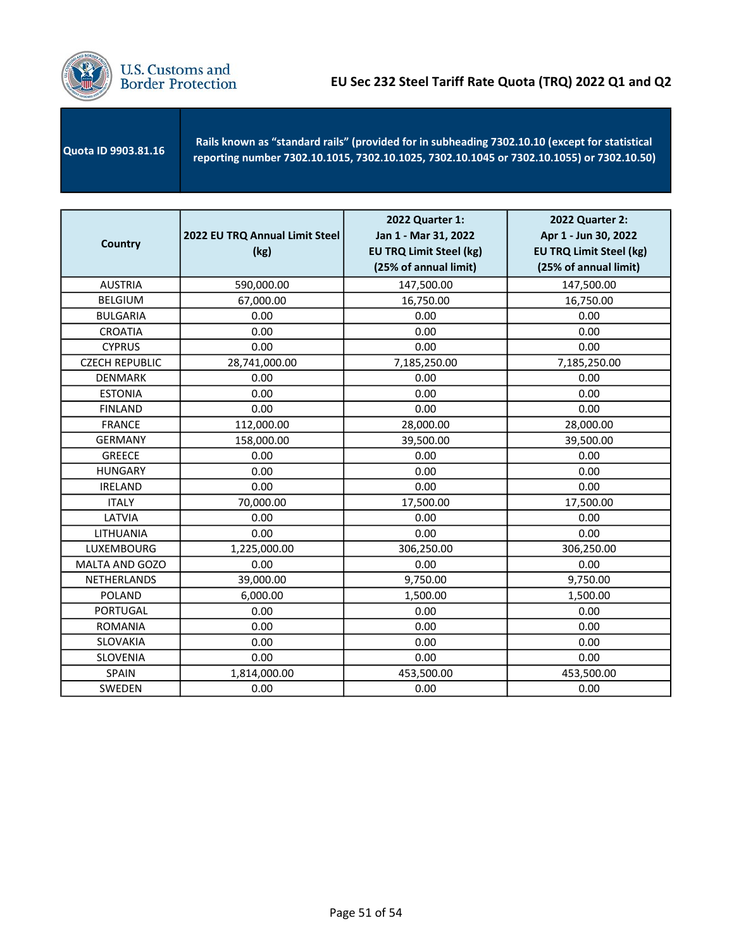

 Quota ID 9903.81.16 Rails known as "standard rails" (provided for in subheading 7302.10.10 (except for statistical reporting number 7302.10.1015, 7302.10.1025, 7302.10.1045 or 7302.10.1055) or 7302.10.50)

| <b>Country</b>        | 2022 EU TRQ Annual Limit Steel<br>(kg) | 2022 Quarter 1:<br>Jan 1 - Mar 31, 2022<br><b>EU TRQ Limit Steel (kg)</b><br>(25% of annual limit) | <b>2022 Quarter 2:</b><br>Apr 1 - Jun 30, 2022<br><b>EU TRQ Limit Steel (kg)</b><br>(25% of annual limit) |
|-----------------------|----------------------------------------|----------------------------------------------------------------------------------------------------|-----------------------------------------------------------------------------------------------------------|
| <b>AUSTRIA</b>        | 590,000.00                             | 147,500.00                                                                                         | 147,500.00                                                                                                |
| <b>BELGIUM</b>        | 67,000.00                              | 16,750.00                                                                                          | 16,750.00                                                                                                 |
| <b>BULGARIA</b>       | 0.00                                   | 0.00                                                                                               | 0.00                                                                                                      |
| <b>CROATIA</b>        | 0.00                                   | 0.00                                                                                               | 0.00                                                                                                      |
| <b>CYPRUS</b>         | 0.00                                   | 0.00                                                                                               | 0.00                                                                                                      |
| <b>CZECH REPUBLIC</b> | 28,741,000.00                          | 7,185,250.00                                                                                       | 7,185,250.00                                                                                              |
| <b>DENMARK</b>        | 0.00                                   | 0.00                                                                                               | 0.00                                                                                                      |
| <b>ESTONIA</b>        | 0.00                                   | 0.00                                                                                               | 0.00                                                                                                      |
| <b>FINLAND</b>        | 0.00                                   | 0.00                                                                                               | 0.00                                                                                                      |
| <b>FRANCE</b>         | 112,000.00                             | 28,000.00                                                                                          | 28,000.00                                                                                                 |
| <b>GERMANY</b>        | 158,000.00                             | 39,500.00                                                                                          | 39,500.00                                                                                                 |
| <b>GREECE</b>         | 0.00                                   | 0.00                                                                                               | 0.00                                                                                                      |
| <b>HUNGARY</b>        | 0.00                                   | 0.00                                                                                               | 0.00                                                                                                      |
| <b>IRELAND</b>        | 0.00                                   | 0.00                                                                                               | 0.00                                                                                                      |
| <b>ITALY</b>          | 70,000.00                              | 17,500.00                                                                                          | 17,500.00                                                                                                 |
| LATVIA                | 0.00                                   | 0.00                                                                                               | 0.00                                                                                                      |
| LITHUANIA             | 0.00                                   | 0.00                                                                                               | 0.00                                                                                                      |
| LUXEMBOURG            | 1,225,000.00                           | 306,250.00                                                                                         | 306,250.00                                                                                                |
| MALTA AND GOZO        | 0.00                                   | 0.00                                                                                               | 0.00                                                                                                      |
| NETHERLANDS           | 39,000.00                              | 9,750.00                                                                                           | 9,750.00                                                                                                  |
| <b>POLAND</b>         | 6,000.00                               | 1,500.00                                                                                           | 1,500.00                                                                                                  |
| <b>PORTUGAL</b>       | 0.00                                   | 0.00                                                                                               | 0.00                                                                                                      |
| <b>ROMANIA</b>        | 0.00                                   | 0.00                                                                                               | 0.00                                                                                                      |
| <b>SLOVAKIA</b>       | 0.00                                   | 0.00                                                                                               | 0.00                                                                                                      |
| SLOVENIA              | 0.00                                   | 0.00                                                                                               | 0.00                                                                                                      |
| <b>SPAIN</b>          | 1,814,000.00                           | 453,500.00                                                                                         | 453,500.00                                                                                                |
| SWEDEN                | 0.00                                   | 0.00                                                                                               | 0.00                                                                                                      |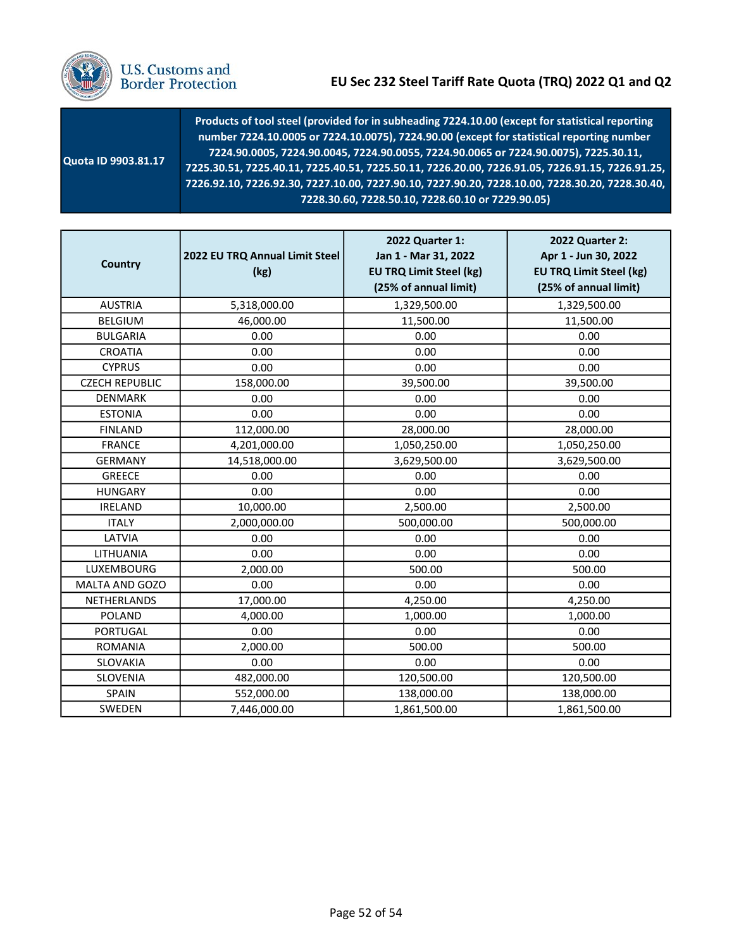

| Quota ID 9903.81.17 | Products of tool steel (provided for in subheading 7224.10.00 (except for statistical reporting<br>number 7224.10.0005 or 7224.10.0075), 7224.90.00 (except for statistical reporting number<br>7224.90.0005, 7224.90.0045, 7224.90.0055, 7224.90.0065 or 7224.90.0075), 7225.30.11,<br>7225.30.51, 7225.40.11, 7225.40.51, 7225.50.11, 7226.20.00, 7226.91.05, 7226.91.15, 7226.91.25, |
|---------------------|-----------------------------------------------------------------------------------------------------------------------------------------------------------------------------------------------------------------------------------------------------------------------------------------------------------------------------------------------------------------------------------------|
|                     | 7226.92.10, 7226.92.30, 7227.10.00, 7227.90.10, 7227.90.20, 7228.10.00, 7228.30.20, 7228.30.40,                                                                                                                                                                                                                                                                                         |
|                     | 7228.30.60, 7228.50.10, 7228.60.10 or 7229.90.05)                                                                                                                                                                                                                                                                                                                                       |

| <b>Country</b>        | 2022 EU TRQ Annual Limit Steel<br>(kg) | 2022 Quarter 1:<br>Jan 1 - Mar 31, 2022<br><b>EU TRQ Limit Steel (kg)</b><br>(25% of annual limit) | 2022 Quarter 2:<br>Apr 1 - Jun 30, 2022<br><b>EU TRQ Limit Steel (kg)</b><br>(25% of annual limit) |
|-----------------------|----------------------------------------|----------------------------------------------------------------------------------------------------|----------------------------------------------------------------------------------------------------|
| <b>AUSTRIA</b>        | 5,318,000.00                           | 1,329,500.00                                                                                       | 1,329,500.00                                                                                       |
| <b>BELGIUM</b>        | 46,000.00                              | 11,500.00                                                                                          | 11,500.00                                                                                          |
| <b>BULGARIA</b>       | 0.00                                   | 0.00                                                                                               | 0.00                                                                                               |
| <b>CROATIA</b>        | 0.00                                   | 0.00                                                                                               | 0.00                                                                                               |
| <b>CYPRUS</b>         | 0.00                                   | 0.00                                                                                               | 0.00                                                                                               |
| <b>CZECH REPUBLIC</b> | 158,000.00                             | 39,500.00                                                                                          | 39,500.00                                                                                          |
| <b>DENMARK</b>        | 0.00                                   | 0.00                                                                                               | 0.00                                                                                               |
| <b>ESTONIA</b>        | 0.00                                   | 0.00                                                                                               | 0.00                                                                                               |
| <b>FINLAND</b>        | 112,000.00                             | 28,000.00                                                                                          | 28,000.00                                                                                          |
| <b>FRANCE</b>         | 4,201,000.00                           | 1,050,250.00                                                                                       | 1,050,250.00                                                                                       |
| <b>GERMANY</b>        | 14,518,000.00                          | 3,629,500.00                                                                                       | 3,629,500.00                                                                                       |
| <b>GREECE</b>         | 0.00                                   | 0.00                                                                                               | 0.00                                                                                               |
| <b>HUNGARY</b>        | 0.00                                   | 0.00                                                                                               | 0.00                                                                                               |
| <b>IRELAND</b>        | 10,000.00                              | 2,500.00                                                                                           | 2,500.00                                                                                           |
| <b>ITALY</b>          | 2,000,000.00                           | 500,000.00                                                                                         | 500,000.00                                                                                         |
| LATVIA                | 0.00                                   | 0.00                                                                                               | 0.00                                                                                               |
| LITHUANIA             | 0.00                                   | 0.00                                                                                               | 0.00                                                                                               |
| LUXEMBOURG            | 2,000.00                               | 500.00                                                                                             | 500.00                                                                                             |
| MALTA AND GOZO        | 0.00                                   | 0.00                                                                                               | 0.00                                                                                               |
| NETHERLANDS           | 17,000.00                              | 4,250.00                                                                                           | 4,250.00                                                                                           |
| <b>POLAND</b>         | 4,000.00                               | 1,000.00                                                                                           | 1,000.00                                                                                           |
| PORTUGAL              | 0.00                                   | 0.00                                                                                               | 0.00                                                                                               |
| <b>ROMANIA</b>        | 2,000.00                               | 500.00                                                                                             | 500.00                                                                                             |
| SLOVAKIA              | 0.00                                   | 0.00                                                                                               | 0.00                                                                                               |
| <b>SLOVENIA</b>       | 482,000.00                             | 120,500.00                                                                                         | 120,500.00                                                                                         |
| SPAIN                 | 552,000.00                             | 138,000.00                                                                                         | 138,000.00                                                                                         |
| SWEDEN                | 7,446,000.00                           | 1,861,500.00                                                                                       | 1,861,500.00                                                                                       |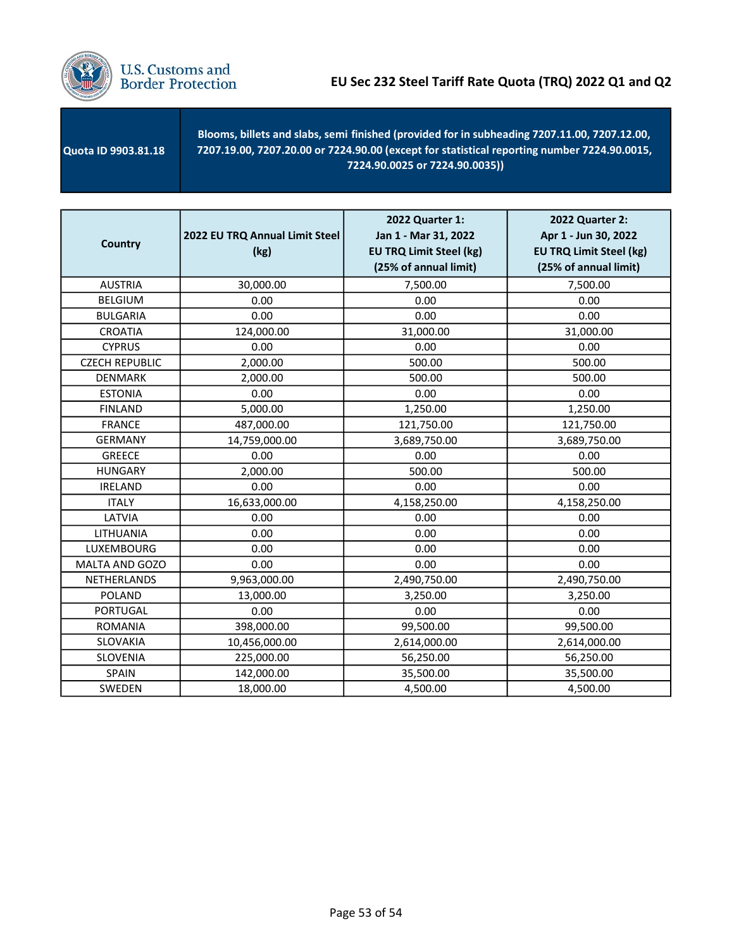

 Quota ID 9903.81.18 - Blooms, billets and slabs, semi finished (provided for in subheading 7207.11.00, 7207.12.00, 7207.19.00, 7207.20.00 or 7224.90.00 (except for statistical reporting number 7224.90.0015, 7224.90.0025 or 7224.90.0035))

| <b>Country</b>        | 2022 EU TRQ Annual Limit Steel<br>(kg) | 2022 Quarter 1:<br>Jan 1 - Mar 31, 2022<br><b>EU TRQ Limit Steel (kg)</b><br>(25% of annual limit) | 2022 Quarter 2:<br>Apr 1 - Jun 30, 2022<br><b>EU TRQ Limit Steel (kg)</b><br>(25% of annual limit) |
|-----------------------|----------------------------------------|----------------------------------------------------------------------------------------------------|----------------------------------------------------------------------------------------------------|
| <b>AUSTRIA</b>        | 30,000.00                              | 7,500.00                                                                                           | 7,500.00                                                                                           |
| <b>BELGIUM</b>        | 0.00                                   | 0.00                                                                                               | 0.00                                                                                               |
| <b>BULGARIA</b>       | 0.00                                   | 0.00                                                                                               | 0.00                                                                                               |
| <b>CROATIA</b>        | 124,000.00                             | 31,000.00                                                                                          | 31,000.00                                                                                          |
| <b>CYPRUS</b>         | 0.00                                   | 0.00                                                                                               | 0.00                                                                                               |
| <b>CZECH REPUBLIC</b> | 2,000.00                               | 500.00                                                                                             | 500.00                                                                                             |
| <b>DENMARK</b>        | 2,000.00                               | 500.00                                                                                             | 500.00                                                                                             |
| <b>ESTONIA</b>        | 0.00                                   | 0.00                                                                                               | 0.00                                                                                               |
| <b>FINLAND</b>        | 5,000.00                               | 1,250.00                                                                                           | 1,250.00                                                                                           |
| <b>FRANCE</b>         | 487,000.00                             | 121,750.00                                                                                         | 121,750.00                                                                                         |
| <b>GERMANY</b>        | 14,759,000.00                          | 3,689,750.00                                                                                       | 3,689,750.00                                                                                       |
| <b>GREECE</b>         | 0.00                                   | 0.00                                                                                               | 0.00                                                                                               |
| <b>HUNGARY</b>        | 2,000.00                               | 500.00                                                                                             | 500.00                                                                                             |
| <b>IRELAND</b>        | 0.00                                   | 0.00                                                                                               | 0.00                                                                                               |
| <b>ITALY</b>          | 16,633,000.00                          | 4,158,250.00                                                                                       | 4,158,250.00                                                                                       |
| LATVIA                | 0.00                                   | 0.00                                                                                               | 0.00                                                                                               |
| LITHUANIA             | 0.00                                   | 0.00                                                                                               | 0.00                                                                                               |
| LUXEMBOURG            | 0.00                                   | 0.00                                                                                               | 0.00                                                                                               |
| MALTA AND GOZO        | 0.00                                   | 0.00                                                                                               | 0.00                                                                                               |
| NETHERLANDS           | 9,963,000.00                           | 2,490,750.00                                                                                       | 2,490,750.00                                                                                       |
| <b>POLAND</b>         | 13,000.00                              | 3,250.00                                                                                           | 3,250.00                                                                                           |
| <b>PORTUGAL</b>       | 0.00                                   | 0.00                                                                                               | 0.00                                                                                               |
| <b>ROMANIA</b>        | 398,000.00                             | 99,500.00                                                                                          | 99,500.00                                                                                          |
| <b>SLOVAKIA</b>       | 10,456,000.00                          | 2,614,000.00                                                                                       | 2,614,000.00                                                                                       |
| SLOVENIA              | 225,000.00                             | 56,250.00                                                                                          | 56,250.00                                                                                          |
| <b>SPAIN</b>          | 142,000.00                             | 35,500.00                                                                                          | 35,500.00                                                                                          |
| SWEDEN                | 18,000.00                              | 4,500.00                                                                                           | 4,500.00                                                                                           |